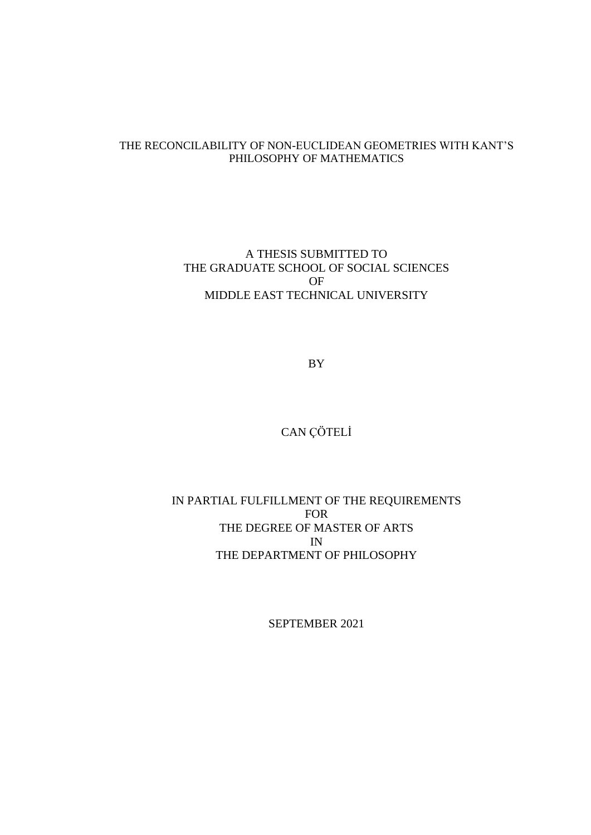## THE RECONCILABILITY OF NON-EUCLIDEAN GEOMETRIES WITH KANT'S PHILOSOPHY OF MATHEMATICS

A THESIS SUBMITTED TO THE GRADUATE SCHOOL OF SOCIAL SCIENCES OF MIDDLE EAST TECHNICAL UNIVERSITY

BY

CAN ÇÖTELİ

# IN PARTIAL FULFILLMENT OF THE REQUIREMENTS FOR THE DEGREE OF MASTER OF ARTS IN THE DEPARTMENT OF PHILOSOPHY

SEPTEMBER 2021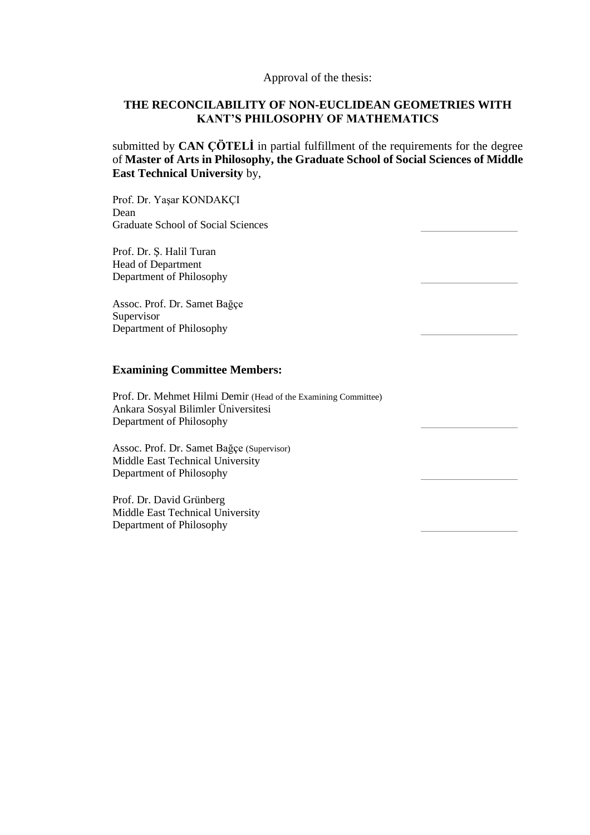## Approval of the thesis:

# **THE RECONCILABILITY OF NON-EUCLIDEAN GEOMETRIES WITH KANT'S PHILOSOPHY OF MATHEMATICS**

submitted by **CAN ÇÖTELİ** in partial fulfillment of the requirements for the degree of **Master of Arts in Philosophy, the Graduate School of Social Sciences of Middle East Technical University** by,

Prof. Dr. Yaşar KONDAKÇI Dean Graduate School of Social Sciences

Prof. Dr. Ş. Halil Turan Head of Department Department of Philosophy

Assoc. Prof. Dr. Samet Bağçe Supervisor Department of Philosophy

## **Examining Committee Members:**

Prof. Dr. Mehmet Hilmi Demir (Head of the Examining Committee) Ankara Sosyal Bilimler Üniversitesi Department of Philosophy

Assoc. Prof. Dr. Samet Bağçe (Supervisor) Middle East Technical University Department of Philosophy

Prof. Dr. David Grünberg Middle East Technical University Department of Philosophy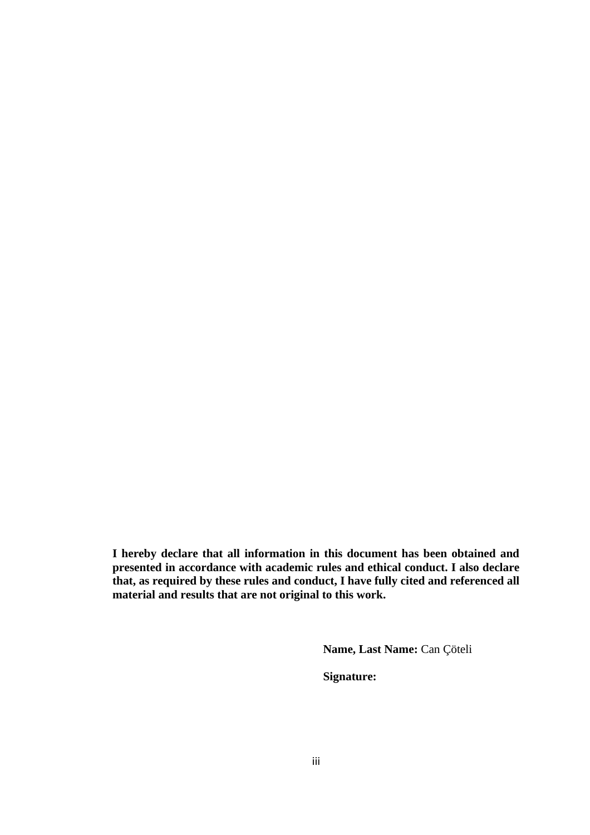**I hereby declare that all information in this document has been obtained and presented in accordance with academic rules and ethical conduct. I also declare that, as required by these rules and conduct, I have fully cited and referenced all material and results that are not original to this work.**

**Name, Last Name:** Can Çöteli

**Signature:**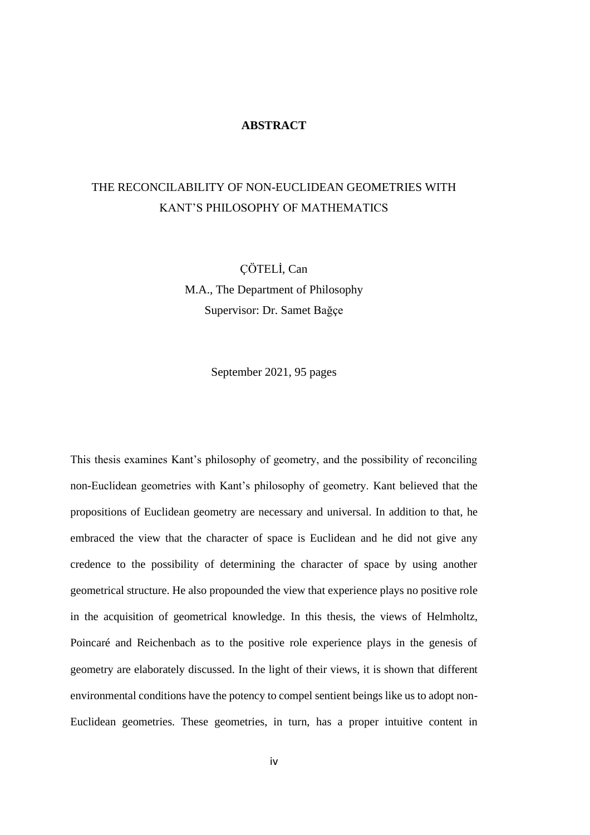#### **ABSTRACT**

# THE RECONCILABILITY OF NON-EUCLIDEAN GEOMETRIES WITH KANT'S PHILOSOPHY OF MATHEMATICS

ÇÖTELİ, Can M.A., The Department of Philosophy Supervisor: Dr. Samet Bağçe

September 2021, 95 pages

This thesis examines Kant's philosophy of geometry, and the possibility of reconciling non-Euclidean geometries with Kant's philosophy of geometry. Kant believed that the propositions of Euclidean geometry are necessary and universal. In addition to that, he embraced the view that the character of space is Euclidean and he did not give any credence to the possibility of determining the character of space by using another geometrical structure. He also propounded the view that experience plays no positive role in the acquisition of geometrical knowledge. In this thesis, the views of Helmholtz, Poincaré and Reichenbach as to the positive role experience plays in the genesis of geometry are elaborately discussed. In the light of their views, it is shown that different environmental conditions have the potency to compel sentient beings like us to adopt non-Euclidean geometries. These geometries, in turn, has a proper intuitive content in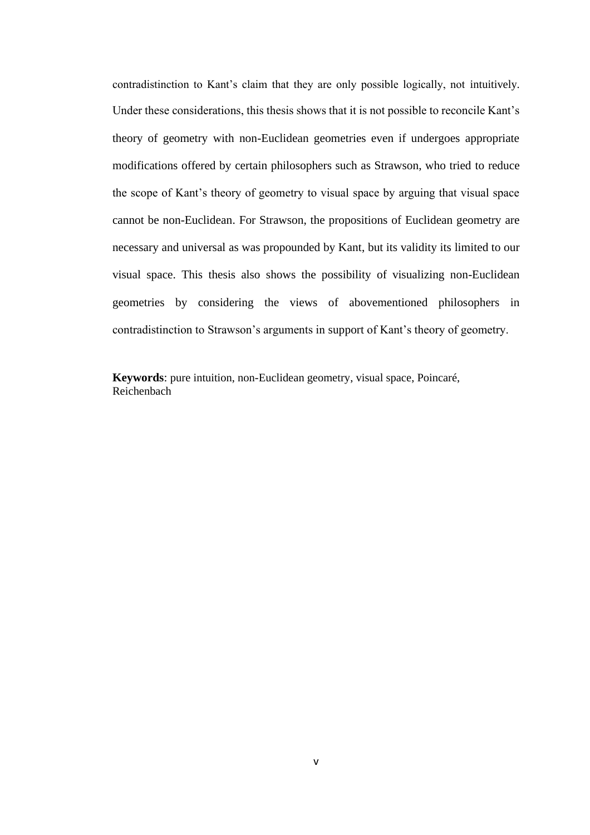contradistinction to Kant's claim that they are only possible logically, not intuitively. Under these considerations, this thesis shows that it is not possible to reconcile Kant's theory of geometry with non-Euclidean geometries even if undergoes appropriate modifications offered by certain philosophers such as Strawson, who tried to reduce the scope of Kant's theory of geometry to visual space by arguing that visual space cannot be non-Euclidean. For Strawson, the propositions of Euclidean geometry are necessary and universal as was propounded by Kant, but its validity its limited to our visual space. This thesis also shows the possibility of visualizing non-Euclidean geometries by considering the views of abovementioned philosophers in contradistinction to Strawson's arguments in support of Kant's theory of geometry.

**Keywords**: pure intuition, non-Euclidean geometry, visual space, Poincaré, Reichenbach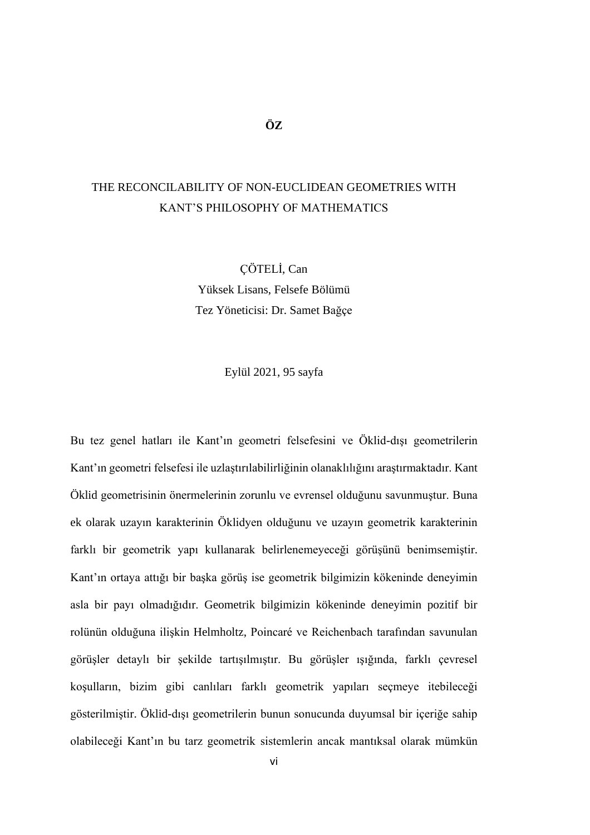**ÖZ**

# THE RECONCILABILITY OF NON-EUCLIDEAN GEOMETRIES WITH KANT'S PHILOSOPHY OF MATHEMATICS

ÇÖTELİ, Can Yüksek Lisans, Felsefe Bölümü Tez Yöneticisi: Dr. Samet Bağçe

Eylül 2021, 95 sayfa

Bu tez genel hatları ile Kant'ın geometri felsefesini ve Öklid-dışı geometrilerin Kant'ın geometri felsefesi ile uzlaştırılabilirliğinin olanaklılığını araştırmaktadır. Kant Öklid geometrisinin önermelerinin zorunlu ve evrensel olduğunu savunmuştur. Buna ek olarak uzayın karakterinin Öklidyen olduğunu ve uzayın geometrik karakterinin farklı bir geometrik yapı kullanarak belirlenemeyeceği görüşünü benimsemiştir. Kant'ın ortaya attığı bir başka görüş ise geometrik bilgimizin kökeninde deneyimin asla bir payı olmadığıdır. Geometrik bilgimizin kökeninde deneyimin pozitif bir rolünün olduğuna ilişkin Helmholtz, Poincaré ve Reichenbach tarafından savunulan görüşler detaylı bir şekilde tartışılmıştır. Bu görüşler ışığında, farklı çevresel koşulların, bizim gibi canlıları farklı geometrik yapıları seçmeye itebileceği gösterilmiştir. Öklid-dışı geometrilerin bunun sonucunda duyumsal bir içeriğe sahip olabileceği Kant'ın bu tarz geometrik sistemlerin ancak mantıksal olarak mümkün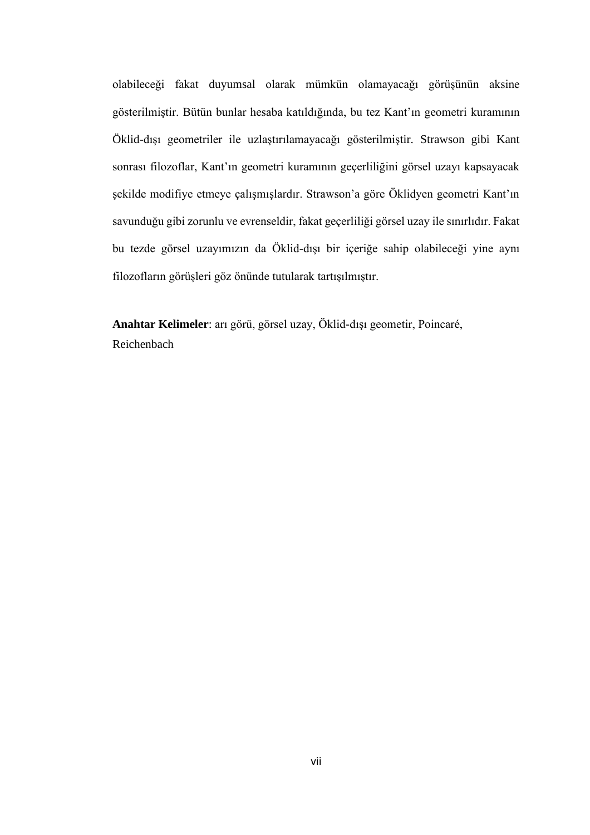olabileceği fakat duyumsal olarak mümkün olamayacağı görüşünün aksine gösterilmiştir. Bütün bunlar hesaba katıldığında, bu tez Kant'ın geometri kuramının Öklid-dışı geometriler ile uzlaştırılamayacağı gösterilmiştir. Strawson gibi Kant sonrası filozoflar, Kant'ın geometri kuramının geçerliliğini görsel uzayı kapsayacak şekilde modifiye etmeye çalışmışlardır. Strawson'a göre Öklidyen geometri Kant'ın savunduğu gibi zorunlu ve evrenseldir, fakat geçerliliği görsel uzay ile sınırlıdır. Fakat bu tezde görsel uzayımızın da Öklid-dışı bir içeriğe sahip olabileceği yine aynı filozofların görüşleri göz önünde tutularak tartışılmıştır.

**Anahtar Kelimeler**: arı görü, görsel uzay, Öklid-dışı geometir, Poincaré, Reichenbach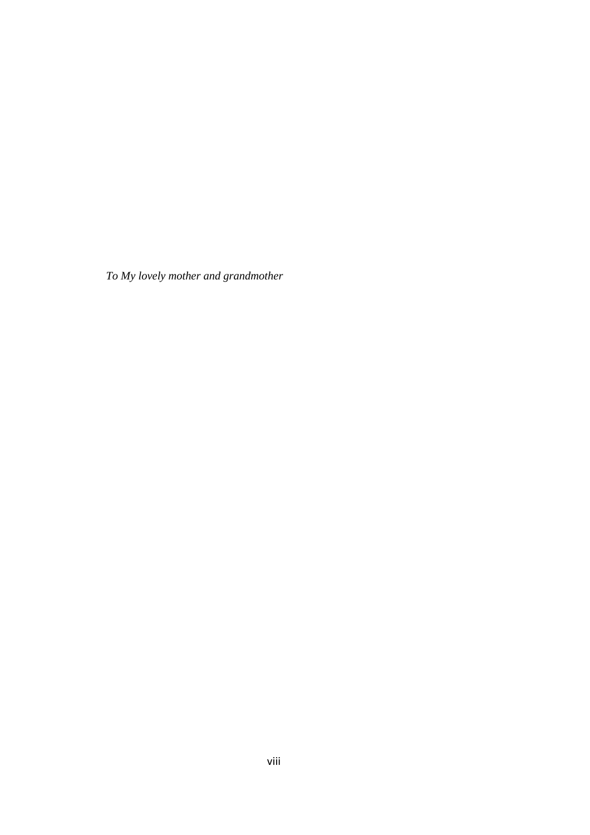*To My lovely mother and grandmother*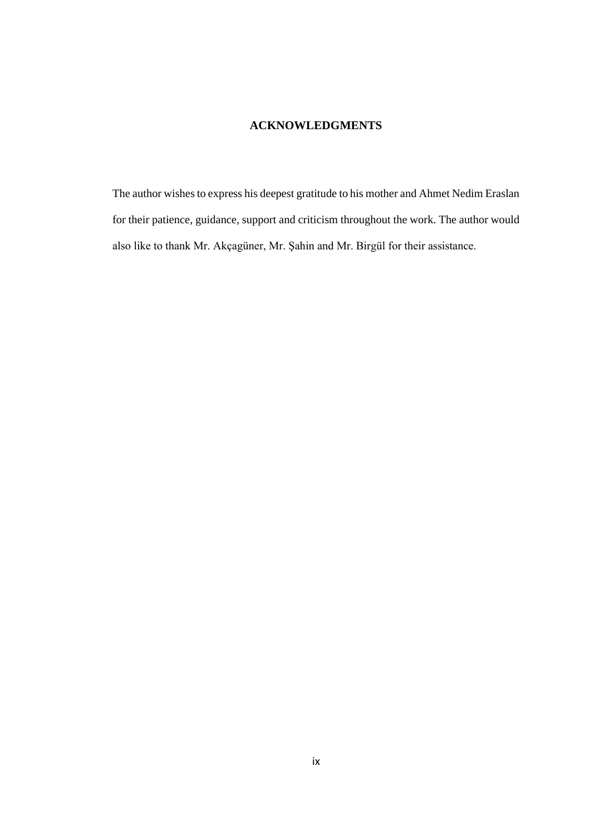# **ACKNOWLEDGMENTS**

The author wishes to express his deepest gratitude to his mother and Ahmet Nedim Eraslan for their patience, guidance, support and criticism throughout the work. The author would also like to thank Mr. Akçagüner, Mr. Şahin and Mr. Birgül for their assistance.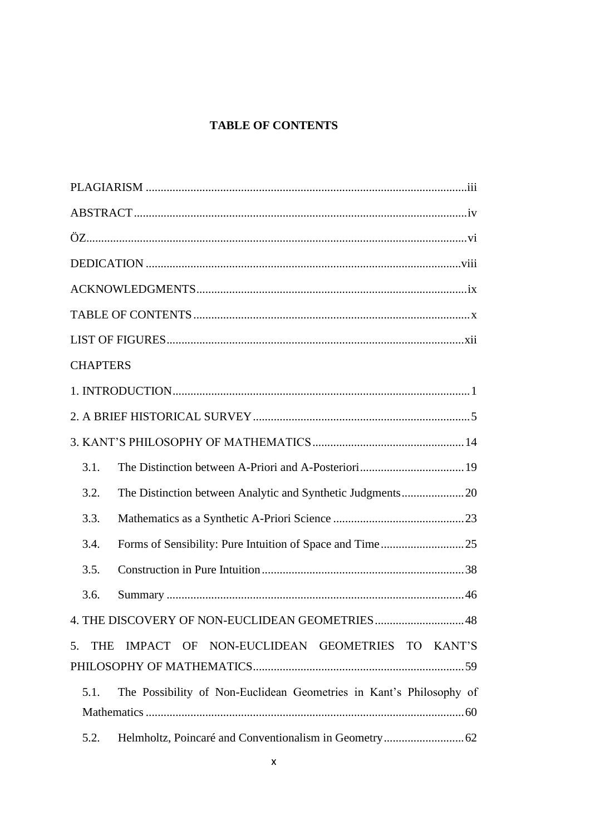# **TABLE OF CONTENTS**

| <b>CHAPTERS</b>                                                             |
|-----------------------------------------------------------------------------|
|                                                                             |
|                                                                             |
|                                                                             |
| 3.1.                                                                        |
| 3.2.                                                                        |
| 3.3.                                                                        |
| 3.4.                                                                        |
| 3.5.                                                                        |
| 3.6.                                                                        |
| 4. THE DISCOVERY OF NON-EUCLIDEAN GEOMETRIES48                              |
| IMPACT OF NON-EUCLIDEAN GEOMETRIES TO KANT'S<br>5.<br>THE                   |
|                                                                             |
| The Possibility of Non-Euclidean Geometries in Kant's Philosophy of<br>5.1. |
|                                                                             |
| 5.2.                                                                        |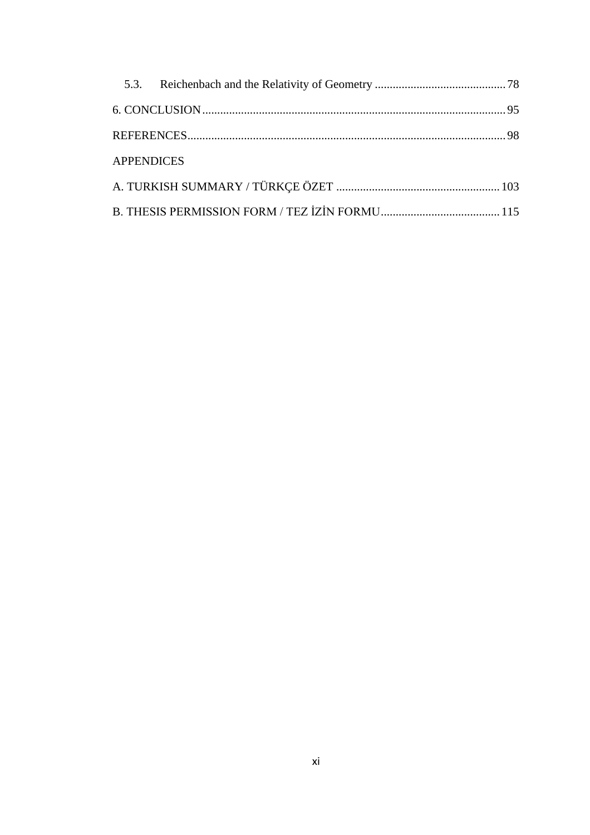| <b>APPENDICES</b> |  |
|-------------------|--|
|                   |  |
|                   |  |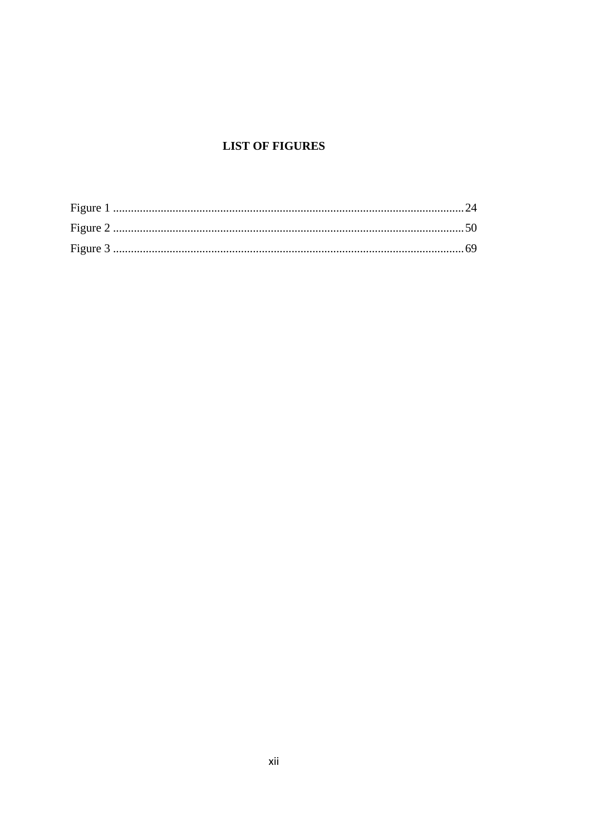# **LIST OF FIGURES**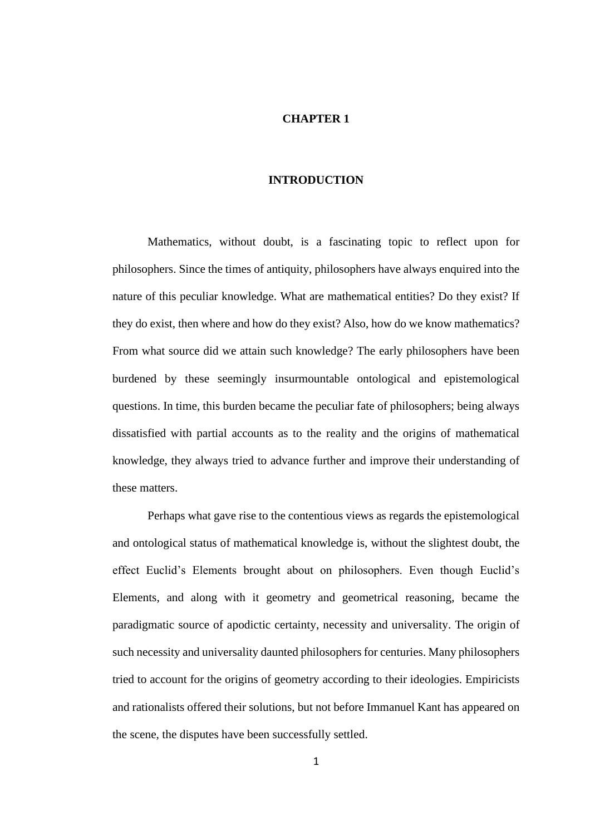## **CHAPTER 1**

## **INTRODUCTION**

Mathematics, without doubt, is a fascinating topic to reflect upon for philosophers. Since the times of antiquity, philosophers have always enquired into the nature of this peculiar knowledge. What are mathematical entities? Do they exist? If they do exist, then where and how do they exist? Also, how do we know mathematics? From what source did we attain such knowledge? The early philosophers have been burdened by these seemingly insurmountable ontological and epistemological questions. In time, this burden became the peculiar fate of philosophers; being always dissatisfied with partial accounts as to the reality and the origins of mathematical knowledge, they always tried to advance further and improve their understanding of these matters.

Perhaps what gave rise to the contentious views as regards the epistemological and ontological status of mathematical knowledge is, without the slightest doubt, the effect Euclid's Elements brought about on philosophers. Even though Euclid's Elements, and along with it geometry and geometrical reasoning, became the paradigmatic source of apodictic certainty, necessity and universality. The origin of such necessity and universality daunted philosophers for centuries. Many philosophers tried to account for the origins of geometry according to their ideologies. Empiricists and rationalists offered their solutions, but not before Immanuel Kant has appeared on the scene, the disputes have been successfully settled.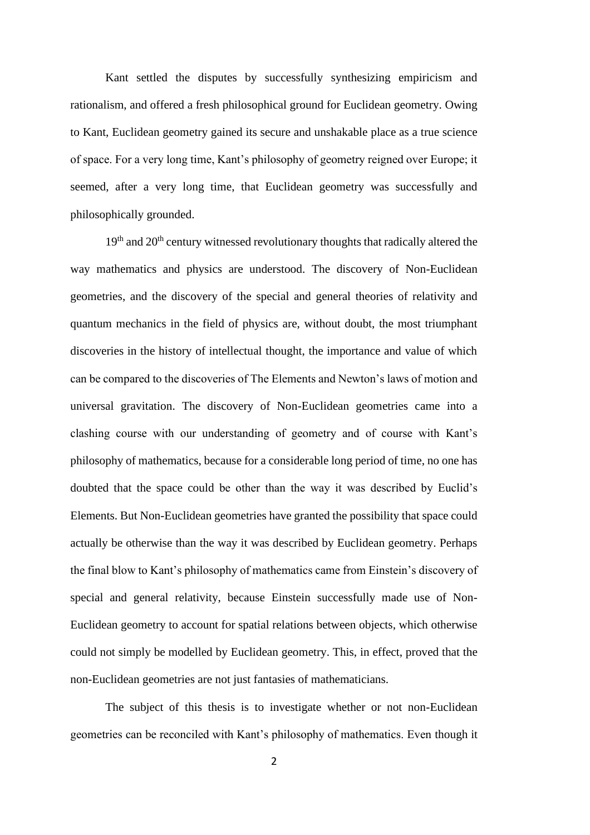Kant settled the disputes by successfully synthesizing empiricism and rationalism, and offered a fresh philosophical ground for Euclidean geometry. Owing to Kant, Euclidean geometry gained its secure and unshakable place as a true science of space. For a very long time, Kant's philosophy of geometry reigned over Europe; it seemed, after a very long time, that Euclidean geometry was successfully and philosophically grounded.

19<sup>th</sup> and 20<sup>th</sup> century witnessed revolutionary thoughts that radically altered the way mathematics and physics are understood. The discovery of Non-Euclidean geometries, and the discovery of the special and general theories of relativity and quantum mechanics in the field of physics are, without doubt, the most triumphant discoveries in the history of intellectual thought, the importance and value of which can be compared to the discoveries of The Elements and Newton's laws of motion and universal gravitation. The discovery of Non-Euclidean geometries came into a clashing course with our understanding of geometry and of course with Kant's philosophy of mathematics, because for a considerable long period of time, no one has doubted that the space could be other than the way it was described by Euclid's Elements. But Non-Euclidean geometries have granted the possibility that space could actually be otherwise than the way it was described by Euclidean geometry. Perhaps the final blow to Kant's philosophy of mathematics came from Einstein's discovery of special and general relativity, because Einstein successfully made use of Non-Euclidean geometry to account for spatial relations between objects, which otherwise could not simply be modelled by Euclidean geometry. This, in effect, proved that the non-Euclidean geometries are not just fantasies of mathematicians.

The subject of this thesis is to investigate whether or not non-Euclidean geometries can be reconciled with Kant's philosophy of mathematics. Even though it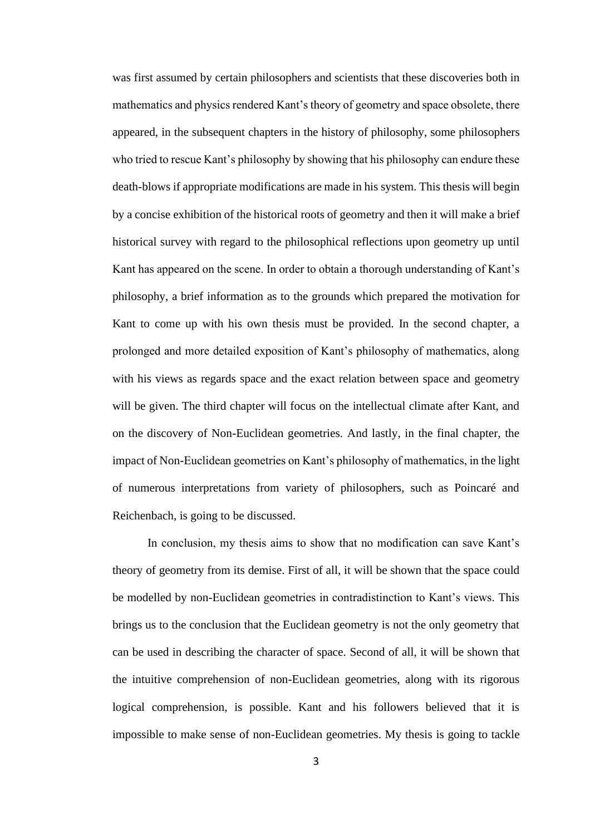was first assumed by certain philosophers and scientists that these discoveries both in mathematics and physics rendered Kant's theory of geometry and space obsolete, there appeared, in the subsequent chapters in the history of philosophy, some philosophers who tried to rescue Kant's philosophy by showing that his philosophy can endure these death-blows if appropriate modifications are made in his system. This thesis will begin by a concise exhibition of the historical roots of geometry and then it will make a brief historical survey with regard to the philosophical reflections upon geometry up until Kant has appeared on the scene. In order to obtain a thorough understanding of Kant's philosophy, a brief information as to the grounds which prepared the motivation for Kant to come up with his own thesis must be provided. In the second chapter, a prolonged and more detailed exposition of Kant's philosophy of mathematics, along with his views as regards space and the exact relation between space and geometry will be given. The third chapter will focus on the intellectual climate after Kant, and on the discovery of Non-Euclidean geometries. And lastly, in the final chapter, the impact of Non-Euclidean geometries on Kant's philosophy of mathematics, in the light of numerous interpretations from variety of philosophers, such as Poincaré and Reichenbach, is going to be discussed.

In conclusion, my thesis aims to show that no modification can save Kant's theory of geometry from its demise. First of all, it will be shown that the space could be modelled by non-Euclidean geometries in contradistinction to Kant's views. This brings us to the conclusion that the Euclidean geometry is not the only geometry that can be used in describing the character of space. Second of all, it will be shown that the intuitive comprehension of non-Euclidean geometries, along with its rigorous logical comprehension, is possible. Kant and his followers believed that it is impossible to make sense of non-Euclidean geometries. My thesis is going to tackle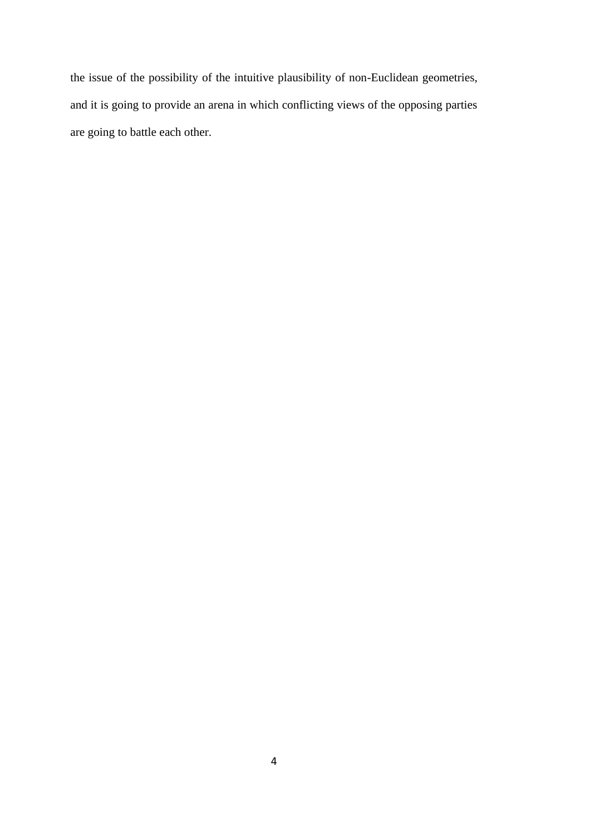the issue of the possibility of the intuitive plausibility of non-Euclidean geometries, and it is going to provide an arena in which conflicting views of the opposing parties are going to battle each other.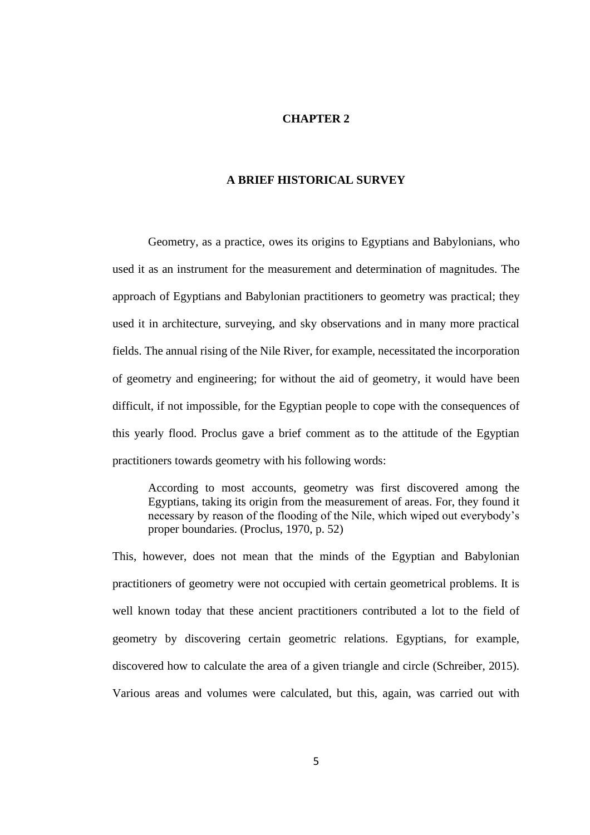## **CHAPTER 2**

## **A BRIEF HISTORICAL SURVEY**

Geometry, as a practice, owes its origins to Egyptians and Babylonians, who used it as an instrument for the measurement and determination of magnitudes. The approach of Egyptians and Babylonian practitioners to geometry was practical; they used it in architecture, surveying, and sky observations and in many more practical fields. The annual rising of the Nile River, for example, necessitated the incorporation of geometry and engineering; for without the aid of geometry, it would have been difficult, if not impossible, for the Egyptian people to cope with the consequences of this yearly flood. Proclus gave a brief comment as to the attitude of the Egyptian practitioners towards geometry with his following words:

According to most accounts, geometry was first discovered among the Egyptians, taking its origin from the measurement of areas. For, they found it necessary by reason of the flooding of the Nile, which wiped out everybody's proper boundaries. (Proclus, 1970, p. 52)

This, however, does not mean that the minds of the Egyptian and Babylonian practitioners of geometry were not occupied with certain geometrical problems. It is well known today that these ancient practitioners contributed a lot to the field of geometry by discovering certain geometric relations. Egyptians, for example, discovered how to calculate the area of a given triangle and circle (Schreiber, 2015). Various areas and volumes were calculated, but this, again, was carried out with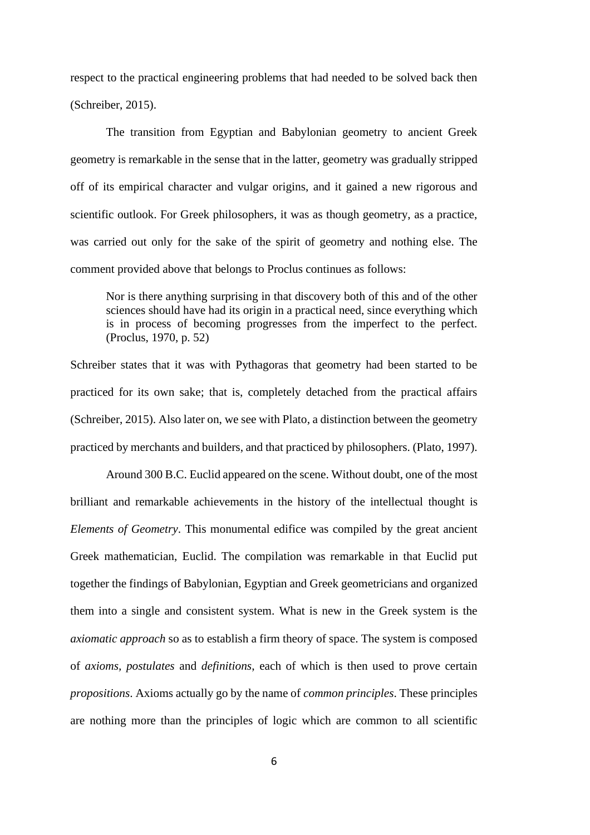respect to the practical engineering problems that had needed to be solved back then (Schreiber, 2015).

The transition from Egyptian and Babylonian geometry to ancient Greek geometry is remarkable in the sense that in the latter, geometry was gradually stripped off of its empirical character and vulgar origins, and it gained a new rigorous and scientific outlook. For Greek philosophers, it was as though geometry, as a practice, was carried out only for the sake of the spirit of geometry and nothing else. The comment provided above that belongs to Proclus continues as follows:

Nor is there anything surprising in that discovery both of this and of the other sciences should have had its origin in a practical need, since everything which is in process of becoming progresses from the imperfect to the perfect. (Proclus, 1970, p. 52)

Schreiber states that it was with Pythagoras that geometry had been started to be practiced for its own sake; that is, completely detached from the practical affairs (Schreiber, 2015). Also later on, we see with Plato, a distinction between the geometry practiced by merchants and builders, and that practiced by philosophers. (Plato, 1997).

Around 300 B.C. Euclid appeared on the scene. Without doubt, one of the most brilliant and remarkable achievements in the history of the intellectual thought is *Elements of Geometry*. This monumental edifice was compiled by the great ancient Greek mathematician, Euclid. The compilation was remarkable in that Euclid put together the findings of Babylonian, Egyptian and Greek geometricians and organized them into a single and consistent system. What is new in the Greek system is the *axiomatic approach* so as to establish a firm theory of space. The system is composed of *axioms, postulates* and *definitions*, each of which is then used to prove certain *propositions*. Axioms actually go by the name of *common principles*. These principles are nothing more than the principles of logic which are common to all scientific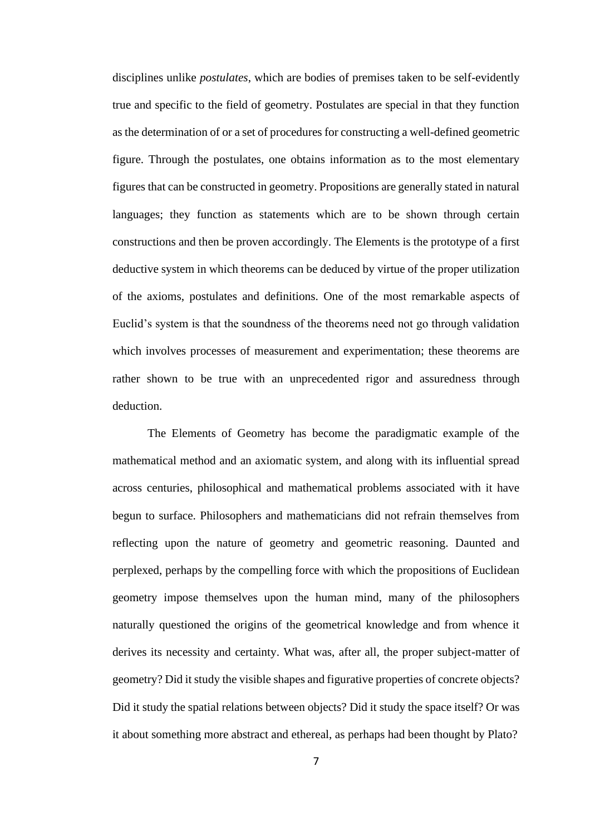disciplines unlike *postulates*, which are bodies of premises taken to be self-evidently true and specific to the field of geometry. Postulates are special in that they function as the determination of or a set of procedures for constructing a well-defined geometric figure. Through the postulates, one obtains information as to the most elementary figures that can be constructed in geometry. Propositions are generally stated in natural languages; they function as statements which are to be shown through certain constructions and then be proven accordingly. The Elements is the prototype of a first deductive system in which theorems can be deduced by virtue of the proper utilization of the axioms, postulates and definitions. One of the most remarkable aspects of Euclid's system is that the soundness of the theorems need not go through validation which involves processes of measurement and experimentation; these theorems are rather shown to be true with an unprecedented rigor and assuredness through deduction.

The Elements of Geometry has become the paradigmatic example of the mathematical method and an axiomatic system, and along with its influential spread across centuries, philosophical and mathematical problems associated with it have begun to surface. Philosophers and mathematicians did not refrain themselves from reflecting upon the nature of geometry and geometric reasoning. Daunted and perplexed, perhaps by the compelling force with which the propositions of Euclidean geometry impose themselves upon the human mind, many of the philosophers naturally questioned the origins of the geometrical knowledge and from whence it derives its necessity and certainty. What was, after all, the proper subject-matter of geometry? Did it study the visible shapes and figurative properties of concrete objects? Did it study the spatial relations between objects? Did it study the space itself? Or was it about something more abstract and ethereal, as perhaps had been thought by Plato?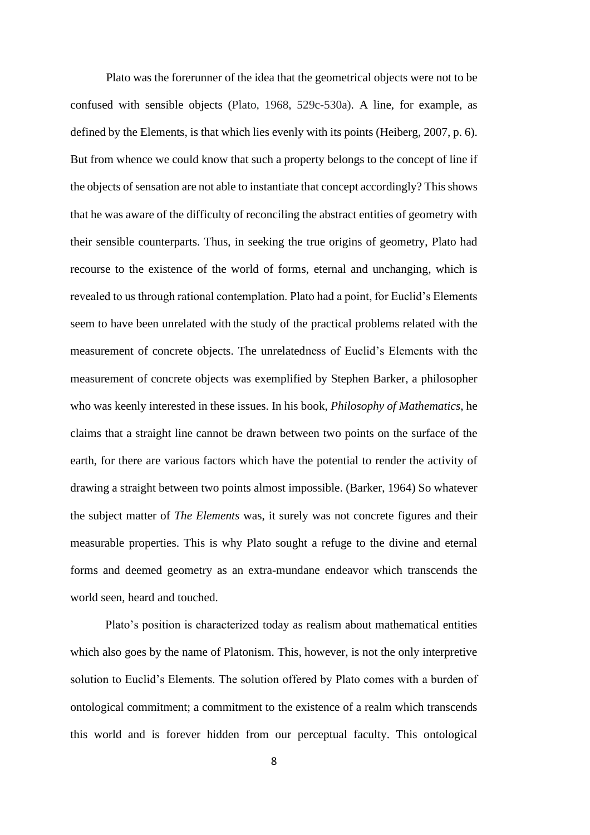Plato was the forerunner of the idea that the geometrical objects were not to be confused with sensible objects (Plato, 1968, 529c-530a). A line, for example, as defined by the Elements, is that which lies evenly with its points (Heiberg, 2007, p. 6). But from whence we could know that such a property belongs to the concept of line if the objects of sensation are not able to instantiate that concept accordingly? This shows that he was aware of the difficulty of reconciling the abstract entities of geometry with their sensible counterparts. Thus, in seeking the true origins of geometry, Plato had recourse to the existence of the world of forms, eternal and unchanging, which is revealed to us through rational contemplation. Plato had a point, for Euclid's Elements seem to have been unrelated with the study of the practical problems related with the measurement of concrete objects. The unrelatedness of Euclid's Elements with the measurement of concrete objects was exemplified by Stephen Barker, a philosopher who was keenly interested in these issues. In his book, *Philosophy of Mathematics*, he claims that a straight line cannot be drawn between two points on the surface of the earth, for there are various factors which have the potential to render the activity of drawing a straight between two points almost impossible. (Barker, 1964) So whatever the subject matter of *The Elements* was, it surely was not concrete figures and their measurable properties. This is why Plato sought a refuge to the divine and eternal forms and deemed geometry as an extra-mundane endeavor which transcends the world seen, heard and touched.

Plato's position is characterized today as realism about mathematical entities which also goes by the name of Platonism. This, however, is not the only interpretive solution to Euclid's Elements. The solution offered by Plato comes with a burden of ontological commitment; a commitment to the existence of a realm which transcends this world and is forever hidden from our perceptual faculty. This ontological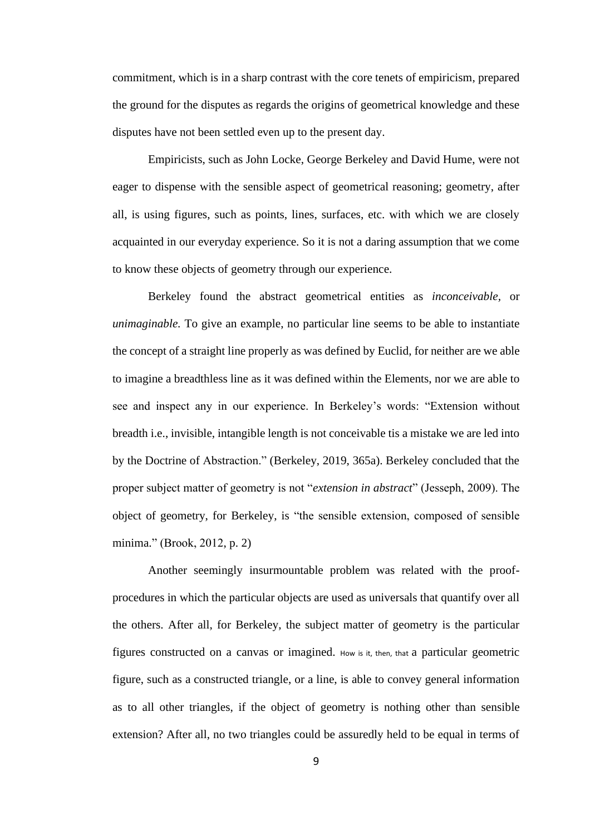commitment, which is in a sharp contrast with the core tenets of empiricism, prepared the ground for the disputes as regards the origins of geometrical knowledge and these disputes have not been settled even up to the present day.

Empiricists, such as John Locke, George Berkeley and David Hume, were not eager to dispense with the sensible aspect of geometrical reasoning; geometry, after all, is using figures, such as points, lines, surfaces, etc. with which we are closely acquainted in our everyday experience. So it is not a daring assumption that we come to know these objects of geometry through our experience.

Berkeley found the abstract geometrical entities as *inconceivable,* or *unimaginable.* To give an example, no particular line seems to be able to instantiate the concept of a straight line properly as was defined by Euclid, for neither are we able to imagine a breadthless line as it was defined within the Elements, nor we are able to see and inspect any in our experience. In Berkeley's words: "Extension without breadth i.e., invisible, intangible length is not conceivable tis a mistake we are led into by the Doctrine of Abstraction." (Berkeley, 2019, 365a). Berkeley concluded that the proper subject matter of geometry is not "*extension in abstract*" (Jesseph, 2009). The object of geometry, for Berkeley, is "the sensible extension, composed of sensible minima." (Brook, 2012, p. 2)

Another seemingly insurmountable problem was related with the proofprocedures in which the particular objects are used as universals that quantify over all the others. After all, for Berkeley, the subject matter of geometry is the particular figures constructed on a canvas or imagined. How is it, then, that a particular geometric figure, such as a constructed triangle, or a line, is able to convey general information as to all other triangles, if the object of geometry is nothing other than sensible extension? After all, no two triangles could be assuredly held to be equal in terms of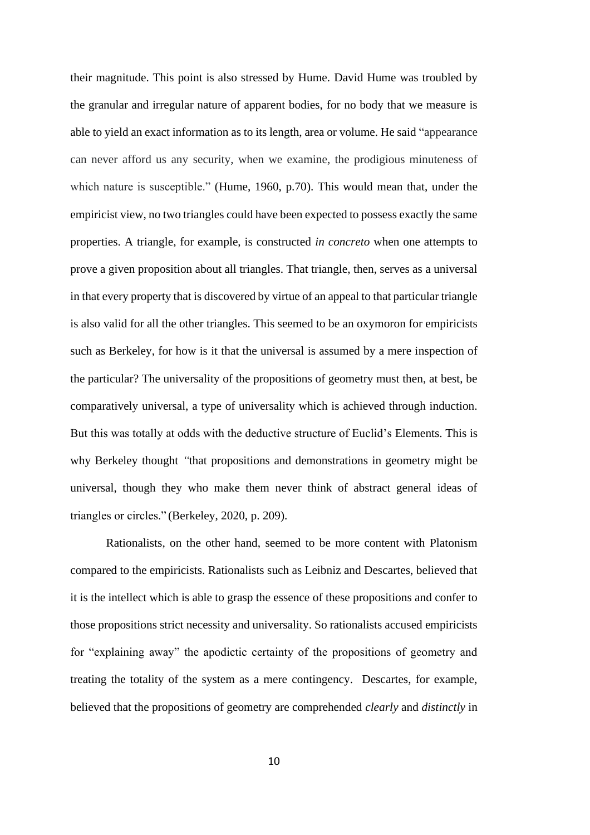their magnitude. This point is also stressed by Hume. David Hume was troubled by the granular and irregular nature of apparent bodies, for no body that we measure is able to yield an exact information as to its length, area or volume. He said "appearance can never afford us any security, when we examine, the prodigious minuteness of which nature is susceptible." (Hume, 1960, p.70). This would mean that, under the empiricist view, no two triangles could have been expected to possess exactly the same properties. A triangle, for example, is constructed *in concreto* when one attempts to prove a given proposition about all triangles. That triangle, then, serves as a universal in that every property that is discovered by virtue of an appeal to that particular triangle is also valid for all the other triangles. This seemed to be an oxymoron for empiricists such as Berkeley, for how is it that the universal is assumed by a mere inspection of the particular? The universality of the propositions of geometry must then, at best, be comparatively universal, a type of universality which is achieved through induction. But this was totally at odds with the deductive structure of Euclid's Elements. This is why Berkeley thought *"*that propositions and demonstrations in geometry might be universal, though they who make them never think of abstract general ideas of triangles or circles." (Berkeley, 2020, p. 209).

Rationalists, on the other hand, seemed to be more content with Platonism compared to the empiricists. Rationalists such as Leibniz and Descartes, believed that it is the intellect which is able to grasp the essence of these propositions and confer to those propositions strict necessity and universality. So rationalists accused empiricists for "explaining away" the apodictic certainty of the propositions of geometry and treating the totality of the system as a mere contingency. Descartes, for example, believed that the propositions of geometry are comprehended *clearly* and *distinctly* in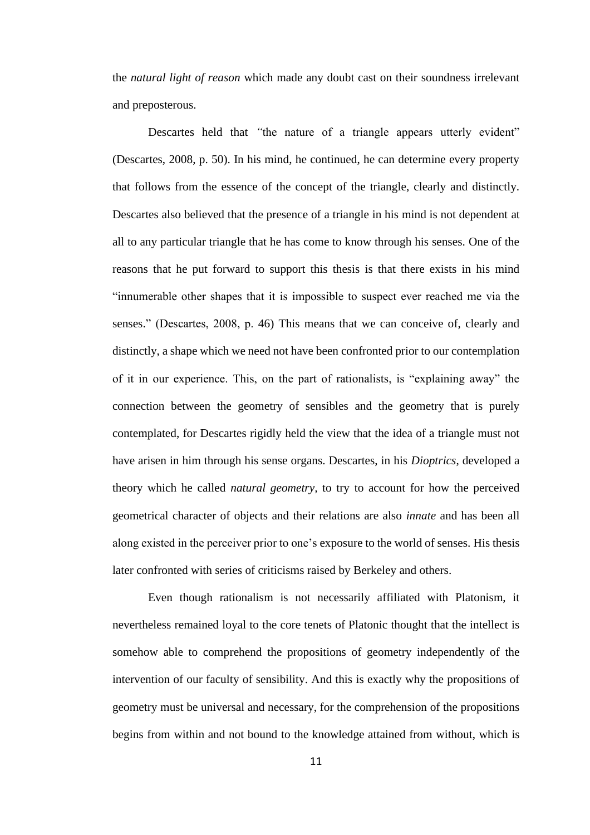the *natural light of reason* which made any doubt cast on their soundness irrelevant and preposterous.

Descartes held that *"*the nature of a triangle appears utterly evident" (Descartes, 2008, p. 50). In his mind, he continued, he can determine every property that follows from the essence of the concept of the triangle, clearly and distinctly. Descartes also believed that the presence of a triangle in his mind is not dependent at all to any particular triangle that he has come to know through his senses. One of the reasons that he put forward to support this thesis is that there exists in his mind "innumerable other shapes that it is impossible to suspect ever reached me via the senses." (Descartes, 2008, p. 46) This means that we can conceive of, clearly and distinctly, a shape which we need not have been confronted prior to our contemplation of it in our experience. This, on the part of rationalists, is "explaining away" the connection between the geometry of sensibles and the geometry that is purely contemplated, for Descartes rigidly held the view that the idea of a triangle must not have arisen in him through his sense organs. Descartes, in his *Dioptrics*, developed a theory which he called *natural geometry,* to try to account for how the perceived geometrical character of objects and their relations are also *innate* and has been all along existed in the perceiver prior to one's exposure to the world of senses. His thesis later confronted with series of criticisms raised by Berkeley and others.

Even though rationalism is not necessarily affiliated with Platonism, it nevertheless remained loyal to the core tenets of Platonic thought that the intellect is somehow able to comprehend the propositions of geometry independently of the intervention of our faculty of sensibility. And this is exactly why the propositions of geometry must be universal and necessary, for the comprehension of the propositions begins from within and not bound to the knowledge attained from without, which is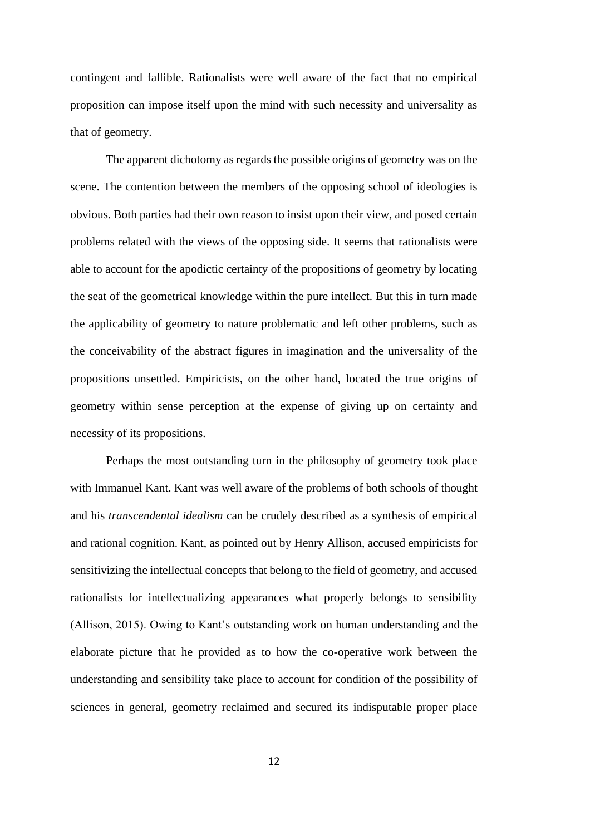contingent and fallible. Rationalists were well aware of the fact that no empirical proposition can impose itself upon the mind with such necessity and universality as that of geometry.

The apparent dichotomy as regards the possible origins of geometry was on the scene. The contention between the members of the opposing school of ideologies is obvious. Both parties had their own reason to insist upon their view, and posed certain problems related with the views of the opposing side. It seems that rationalists were able to account for the apodictic certainty of the propositions of geometry by locating the seat of the geometrical knowledge within the pure intellect. But this in turn made the applicability of geometry to nature problematic and left other problems, such as the conceivability of the abstract figures in imagination and the universality of the propositions unsettled. Empiricists, on the other hand, located the true origins of geometry within sense perception at the expense of giving up on certainty and necessity of its propositions.

Perhaps the most outstanding turn in the philosophy of geometry took place with Immanuel Kant. Kant was well aware of the problems of both schools of thought and his *transcendental idealism* can be crudely described as a synthesis of empirical and rational cognition. Kant, as pointed out by Henry Allison, accused empiricists for sensitivizing the intellectual concepts that belong to the field of geometry, and accused rationalists for intellectualizing appearances what properly belongs to sensibility (Allison, 2015). Owing to Kant's outstanding work on human understanding and the elaborate picture that he provided as to how the co-operative work between the understanding and sensibility take place to account for condition of the possibility of sciences in general, geometry reclaimed and secured its indisputable proper place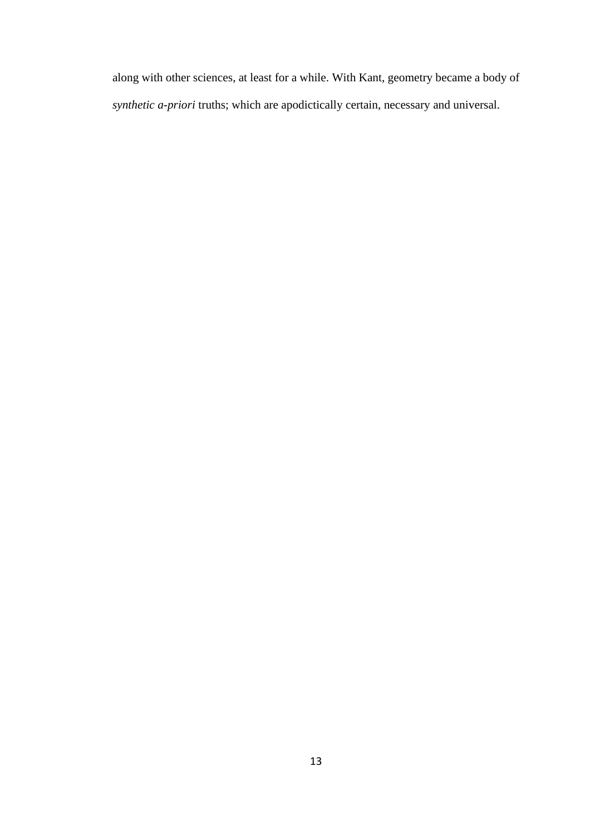along with other sciences, at least for a while. With Kant, geometry became a body of *synthetic a-priori* truths; which are apodictically certain, necessary and universal.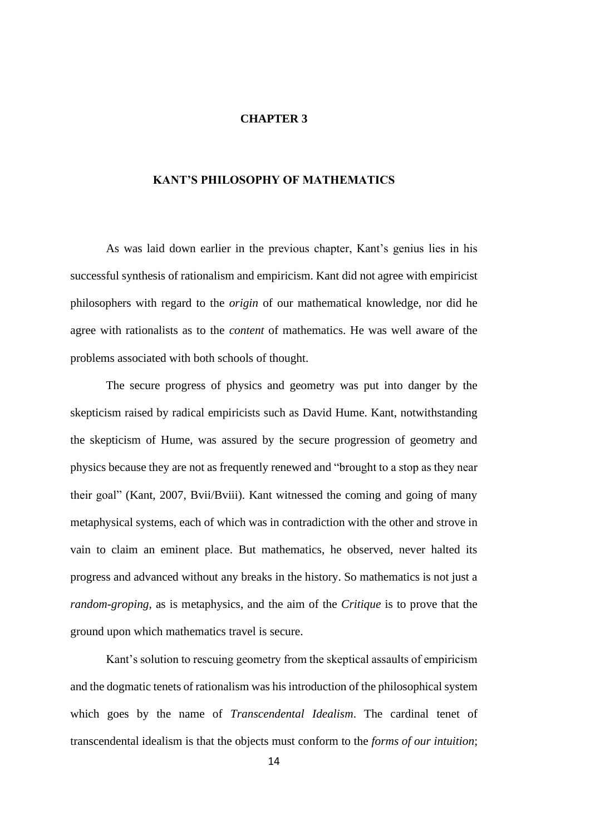## **CHAPTER 3**

## **KANT'S PHILOSOPHY OF MATHEMATICS**

As was laid down earlier in the previous chapter, Kant's genius lies in his successful synthesis of rationalism and empiricism. Kant did not agree with empiricist philosophers with regard to the *origin* of our mathematical knowledge, nor did he agree with rationalists as to the *content* of mathematics. He was well aware of the problems associated with both schools of thought.

The secure progress of physics and geometry was put into danger by the skepticism raised by radical empiricists such as David Hume. Kant, notwithstanding the skepticism of Hume, was assured by the secure progression of geometry and physics because they are not as frequently renewed and "brought to a stop as they near their goal" (Kant, 2007, Bvii/Bviii). Kant witnessed the coming and going of many metaphysical systems, each of which was in contradiction with the other and strove in vain to claim an eminent place. But mathematics, he observed, never halted its progress and advanced without any breaks in the history. So mathematics is not just a *random-groping,* as is metaphysics, and the aim of the *Critique* is to prove that the ground upon which mathematics travel is secure.

Kant's solution to rescuing geometry from the skeptical assaults of empiricism and the dogmatic tenets of rationalism was his introduction of the philosophical system which goes by the name of *Transcendental Idealism*. The cardinal tenet of transcendental idealism is that the objects must conform to the *forms of our intuition*;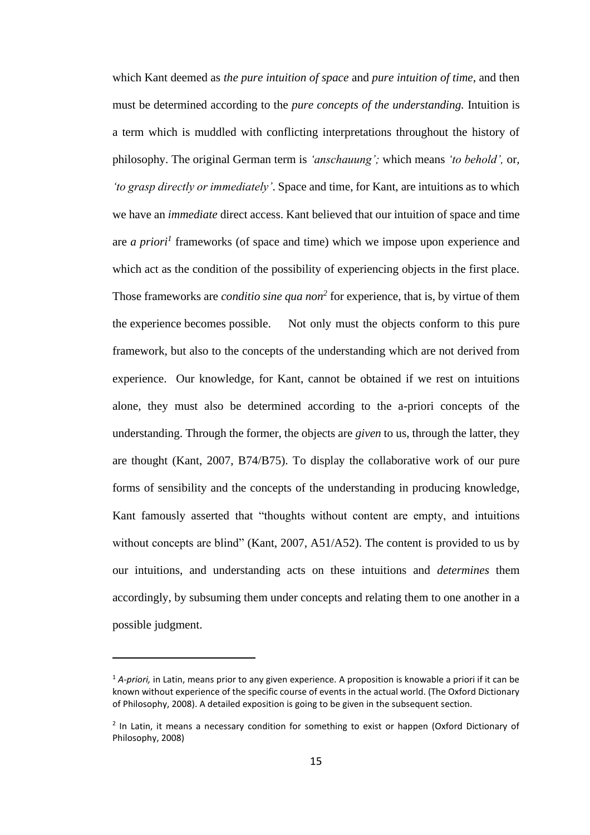which Kant deemed as *the pure intuition of space* and *pure intuition of time,* and then must be determined according to the *pure concepts of the understanding.* Intuition is a term which is muddled with conflicting interpretations throughout the history of philosophy. The original German term is *'anschauung';* which means *'to behold',* or*, 'to grasp directly or immediately'*. Space and time, for Kant, are intuitions as to which we have an *immediate* direct access. Kant believed that our intuition of space and time are *a priori<sup>1</sup>* frameworks (of space and time) which we impose upon experience and which act as the condition of the possibility of experiencing objects in the first place. Those frameworks are *conditio sine qua non<sup>2</sup>* for experience, that is, by virtue of them the experience becomes possible. Not only must the objects conform to this pure framework, but also to the concepts of the understanding which are not derived from experience. Our knowledge, for Kant, cannot be obtained if we rest on intuitions alone, they must also be determined according to the a-priori concepts of the understanding. Through the former, the objects are *given* to us, through the latter, they are thought (Kant, 2007, B74/B75). To display the collaborative work of our pure forms of sensibility and the concepts of the understanding in producing knowledge, Kant famously asserted that "thoughts without content are empty, and intuitions without concepts are blind" (Kant, 2007, A51/A52). The content is provided to us by our intuitions, and understanding acts on these intuitions and *determines* them accordingly, by subsuming them under concepts and relating them to one another in a possible judgment.

<sup>&</sup>lt;sup>1</sup> A-priori, in Latin, means prior to any given experience. A proposition is knowable a priori if it can be known without experience of the specific course of events in the actual world. (The Oxford Dictionary of Philosophy, 2008). A detailed exposition is going to be given in the subsequent section.

<sup>&</sup>lt;sup>2</sup> In Latin, it means a necessary condition for something to exist or happen (Oxford Dictionary of Philosophy, 2008)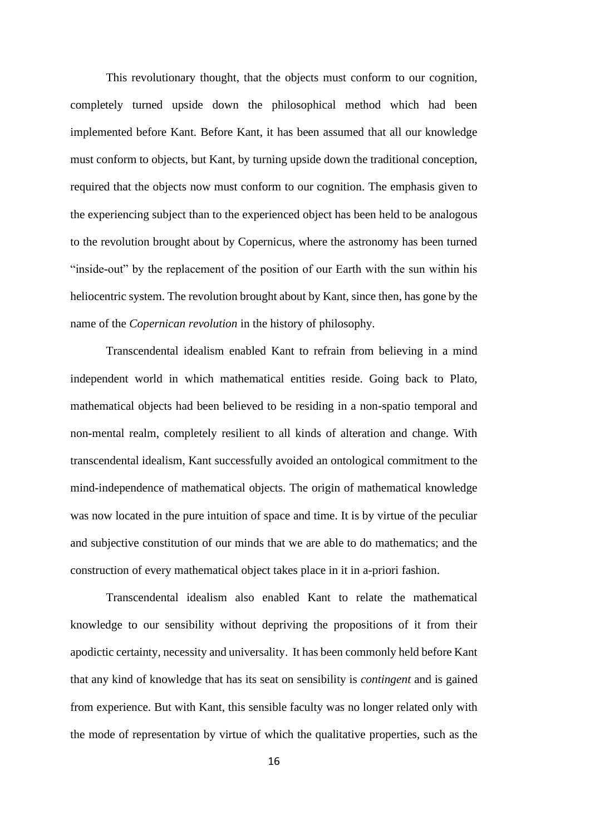This revolutionary thought, that the objects must conform to our cognition, completely turned upside down the philosophical method which had been implemented before Kant. Before Kant, it has been assumed that all our knowledge must conform to objects, but Kant, by turning upside down the traditional conception, required that the objects now must conform to our cognition. The emphasis given to the experiencing subject than to the experienced object has been held to be analogous to the revolution brought about by Copernicus, where the astronomy has been turned "inside-out" by the replacement of the position of our Earth with the sun within his heliocentric system. The revolution brought about by Kant, since then, has gone by the name of the *Copernican revolution* in the history of philosophy.

Transcendental idealism enabled Kant to refrain from believing in a mind independent world in which mathematical entities reside. Going back to Plato, mathematical objects had been believed to be residing in a non-spatio temporal and non-mental realm, completely resilient to all kinds of alteration and change. With transcendental idealism, Kant successfully avoided an ontological commitment to the mind-independence of mathematical objects. The origin of mathematical knowledge was now located in the pure intuition of space and time. It is by virtue of the peculiar and subjective constitution of our minds that we are able to do mathematics; and the construction of every mathematical object takes place in it in a-priori fashion.

Transcendental idealism also enabled Kant to relate the mathematical knowledge to our sensibility without depriving the propositions of it from their apodictic certainty, necessity and universality. It has been commonly held before Kant that any kind of knowledge that has its seat on sensibility is *contingent* and is gained from experience. But with Kant, this sensible faculty was no longer related only with the mode of representation by virtue of which the qualitative properties, such as the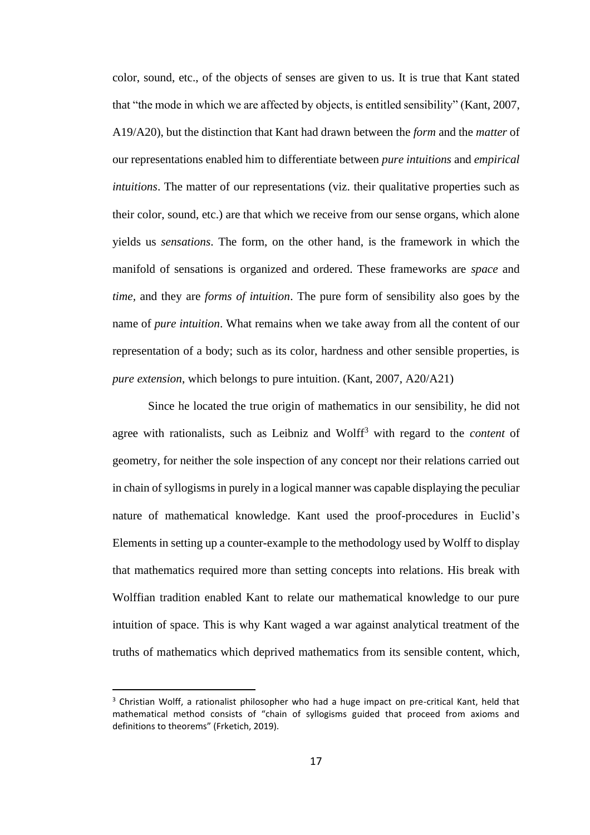color, sound, etc., of the objects of senses are given to us. It is true that Kant stated that "the mode in which we are affected by objects, is entitled sensibility" (Kant, 2007, A19/A20), but the distinction that Kant had drawn between the *form* and the *matter* of our representations enabled him to differentiate between *pure intuitions* and *empirical intuitions*. The matter of our representations (viz. their qualitative properties such as their color, sound, etc.) are that which we receive from our sense organs, which alone yields us *sensations*. The form, on the other hand, is the framework in which the manifold of sensations is organized and ordered. These frameworks are *space* and *time,* and they are *forms of intuition*. The pure form of sensibility also goes by the name of *pure intuition*. What remains when we take away from all the content of our representation of a body; such as its color, hardness and other sensible properties, is *pure extension*, which belongs to pure intuition. (Kant, 2007, A20/A21)

Since he located the true origin of mathematics in our sensibility, he did not agree with rationalists, such as Leibniz and Wolff<sup>3</sup> with regard to the *content* of geometry, for neither the sole inspection of any concept nor their relations carried out in chain of syllogisms in purely in a logical manner was capable displaying the peculiar nature of mathematical knowledge. Kant used the proof-procedures in Euclid's Elements in setting up a counter-example to the methodology used by Wolff to display that mathematics required more than setting concepts into relations. His break with Wolffian tradition enabled Kant to relate our mathematical knowledge to our pure intuition of space. This is why Kant waged a war against analytical treatment of the truths of mathematics which deprived mathematics from its sensible content, which,

<sup>&</sup>lt;sup>3</sup> Christian Wolff, a rationalist philosopher who had a huge impact on pre-critical Kant, held that mathematical method consists of "chain of syllogisms guided that proceed from axioms and definitions to theorems" (Frketich, 2019).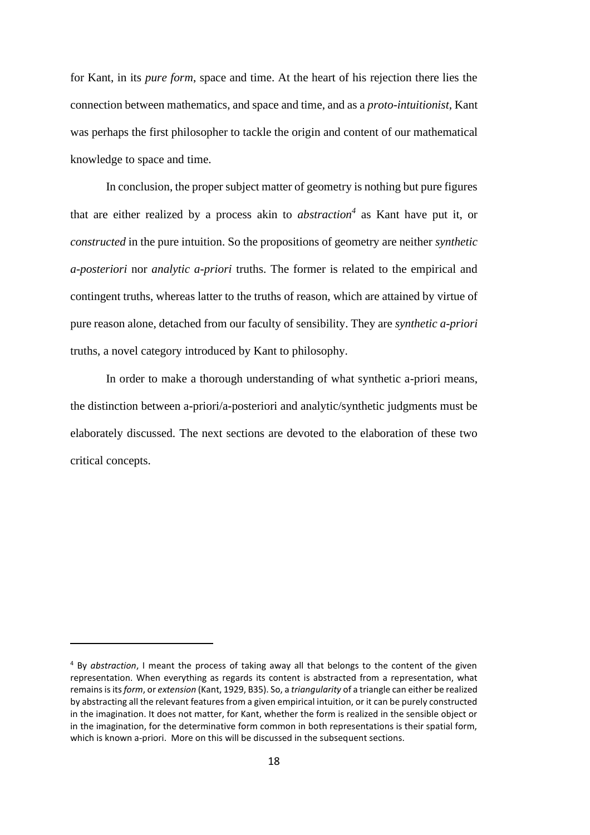for Kant, in its *pure form*, space and time. At the heart of his rejection there lies the connection between mathematics, and space and time, and as a *proto-intuitionist*, Kant was perhaps the first philosopher to tackle the origin and content of our mathematical knowledge to space and time.

In conclusion, the proper subject matter of geometry is nothing but pure figures that are either realized by a process akin to *abstraction<sup>4</sup>* as Kant have put it, or *constructed* in the pure intuition. So the propositions of geometry are neither *synthetic a-posteriori* nor *analytic a-priori* truths. The former is related to the empirical and contingent truths, whereas latter to the truths of reason, which are attained by virtue of pure reason alone, detached from our faculty of sensibility. They are *synthetic a-priori*  truths, a novel category introduced by Kant to philosophy.

In order to make a thorough understanding of what synthetic a-priori means, the distinction between a-priori/a-posteriori and analytic/synthetic judgments must be elaborately discussed. The next sections are devoted to the elaboration of these two critical concepts.

<sup>4</sup> By *abstraction*, I meant the process of taking away all that belongs to the content of the given representation. When everything as regards its content is abstracted from a representation, what remains is its *form*, or *extension* (Kant, 1929, B35). So, a *triangularity* of a triangle can either be realized by abstracting all the relevant features from a given empirical intuition, or it can be purely constructed in the imagination. It does not matter, for Kant, whether the form is realized in the sensible object or in the imagination, for the determinative form common in both representations is their spatial form, which is known a-priori. More on this will be discussed in the subsequent sections.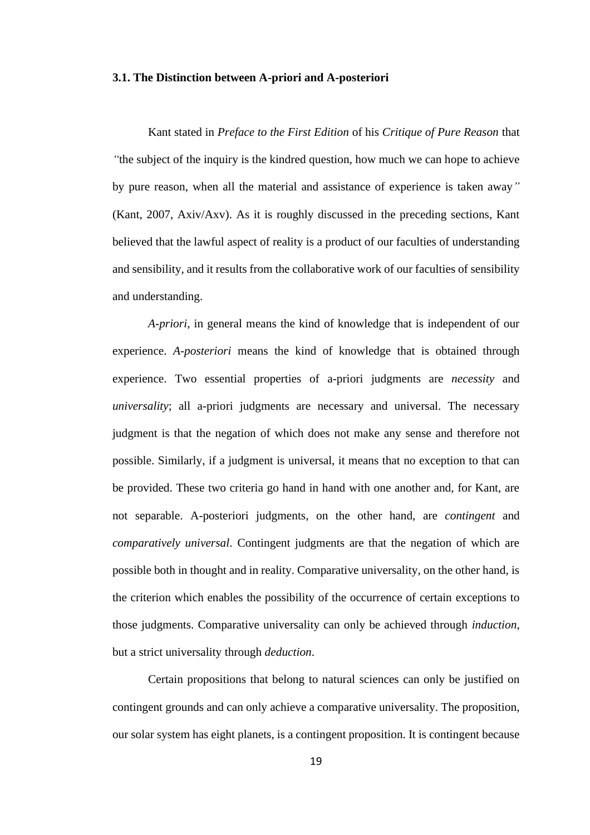## **3.1. The Distinction between A-priori and A-posteriori**

Kant stated in *Preface to the First Edition* of his *Critique of Pure Reason* that *"*the subject of the inquiry is the kindred question, how much we can hope to achieve by pure reason, when all the material and assistance of experience is taken away*"*  (Kant, 2007, Axiv/Axv). As it is roughly discussed in the preceding sections, Kant believed that the lawful aspect of reality is a product of our faculties of understanding and sensibility, and it results from the collaborative work of our faculties of sensibility and understanding.

*A-priori*, in general means the kind of knowledge that is independent of our experience. *A-posteriori* means the kind of knowledge that is obtained through experience. Two essential properties of a-priori judgments are *necessity* and *universality*; all a-priori judgments are necessary and universal. The necessary judgment is that the negation of which does not make any sense and therefore not possible. Similarly, if a judgment is universal, it means that no exception to that can be provided. These two criteria go hand in hand with one another and, for Kant, are not separable. A-posteriori judgments, on the other hand, are *contingent* and *comparatively universal*. Contingent judgments are that the negation of which are possible both in thought and in reality. Comparative universality, on the other hand, is the criterion which enables the possibility of the occurrence of certain exceptions to those judgments. Comparative universality can only be achieved through *induction*, but a strict universality through *deduction*.

Certain propositions that belong to natural sciences can only be justified on contingent grounds and can only achieve a comparative universality. The proposition, our solar system has eight planets, is a contingent proposition. It is contingent because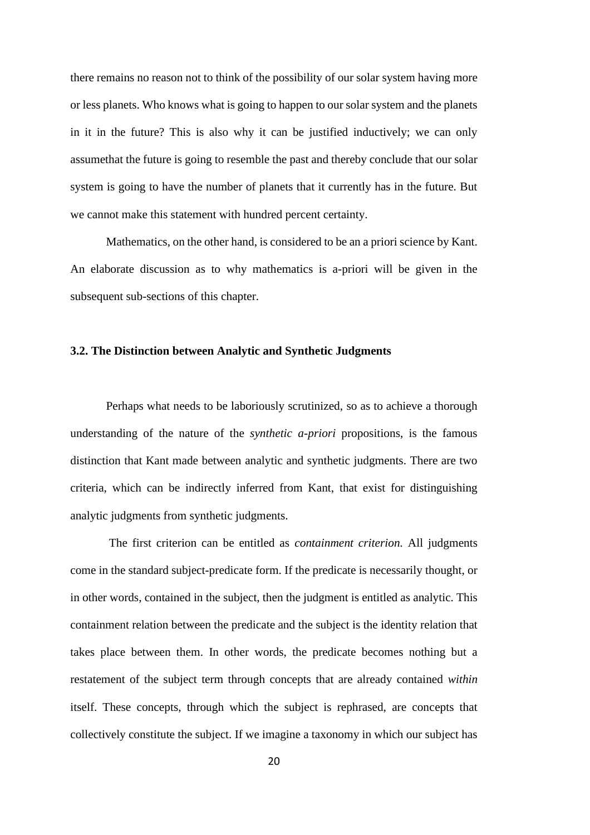there remains no reason not to think of the possibility of our solar system having more or less planets. Who knows what is going to happen to our solar system and the planets in it in the future? This is also why it can be justified inductively; we can only assumethat the future is going to resemble the past and thereby conclude that our solar system is going to have the number of planets that it currently has in the future. But we cannot make this statement with hundred percent certainty.

Mathematics, on the other hand, is considered to be an a priori science by Kant. An elaborate discussion as to why mathematics is a-priori will be given in the subsequent sub-sections of this chapter.

## **3.2. The Distinction between Analytic and Synthetic Judgments**

Perhaps what needs to be laboriously scrutinized, so as to achieve a thorough understanding of the nature of the *synthetic a-priori* propositions, is the famous distinction that Kant made between analytic and synthetic judgments. There are two criteria, which can be indirectly inferred from Kant, that exist for distinguishing analytic judgments from synthetic judgments.

The first criterion can be entitled as *containment criterion.* All judgments come in the standard subject-predicate form. If the predicate is necessarily thought, or in other words, contained in the subject, then the judgment is entitled as analytic. This containment relation between the predicate and the subject is the identity relation that takes place between them. In other words, the predicate becomes nothing but a restatement of the subject term through concepts that are already contained *within*  itself. These concepts, through which the subject is rephrased, are concepts that collectively constitute the subject. If we imagine a taxonomy in which our subject has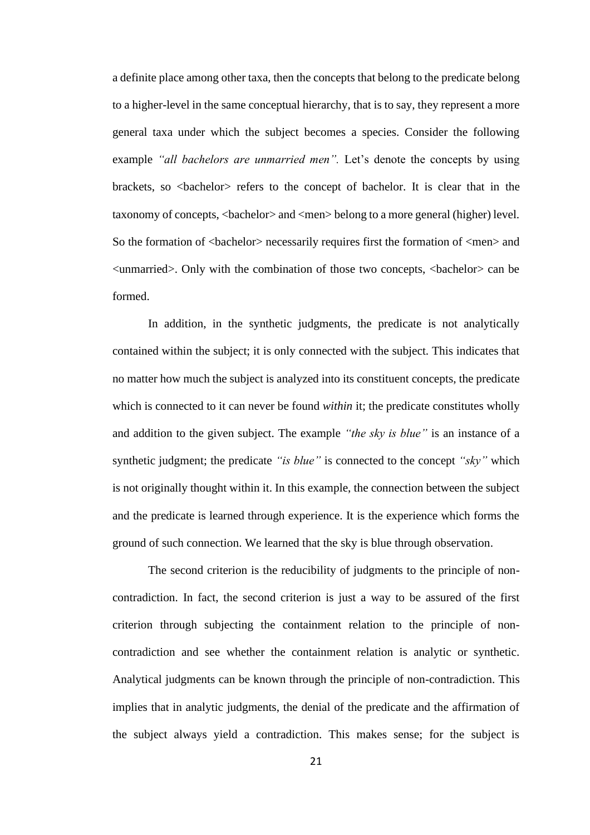a definite place among other taxa, then the concepts that belong to the predicate belong to a higher-level in the same conceptual hierarchy, that is to say, they represent a more general taxa under which the subject becomes a species. Consider the following example *"all bachelors are unmarried men"*. Let's denote the concepts by using brackets, so <br/>bachelor> refers to the concept of bachelor. It is clear that in the taxonomy of concepts, <br/>bachelor> and <men> belong to a more general (higher) level. So the formation of  $\alpha$ -bachelor> necessarily requires first the formation of  $\alpha$ -men> and <unmarried>. Only with the combination of those two concepts, <bachelor> can be formed.

In addition, in the synthetic judgments, the predicate is not analytically contained within the subject; it is only connected with the subject. This indicates that no matter how much the subject is analyzed into its constituent concepts, the predicate which is connected to it can never be found *within* it; the predicate constitutes wholly and addition to the given subject. The example *"the sky is blue"* is an instance of a synthetic judgment; the predicate *"is blue"* is connected to the concept *"sky"* which is not originally thought within it. In this example, the connection between the subject and the predicate is learned through experience. It is the experience which forms the ground of such connection. We learned that the sky is blue through observation.

The second criterion is the reducibility of judgments to the principle of noncontradiction. In fact, the second criterion is just a way to be assured of the first criterion through subjecting the containment relation to the principle of noncontradiction and see whether the containment relation is analytic or synthetic. Analytical judgments can be known through the principle of non-contradiction. This implies that in analytic judgments, the denial of the predicate and the affirmation of the subject always yield a contradiction. This makes sense; for the subject is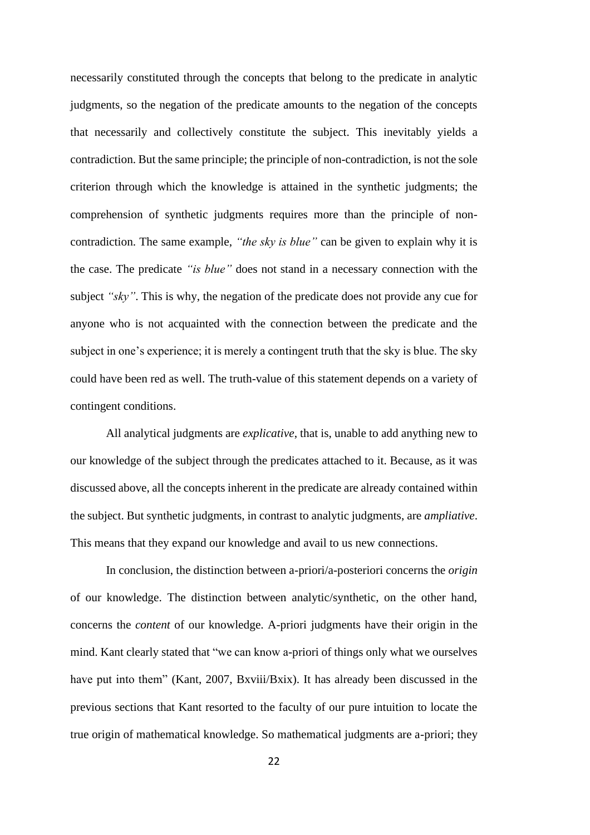necessarily constituted through the concepts that belong to the predicate in analytic judgments, so the negation of the predicate amounts to the negation of the concepts that necessarily and collectively constitute the subject. This inevitably yields a contradiction. But the same principle; the principle of non-contradiction, is not the sole criterion through which the knowledge is attained in the synthetic judgments; the comprehension of synthetic judgments requires more than the principle of noncontradiction. The same example, *"the sky is blue"* can be given to explain why it is the case. The predicate *"is blue"* does not stand in a necessary connection with the subject *"sky"*. This is why, the negation of the predicate does not provide any cue for anyone who is not acquainted with the connection between the predicate and the subject in one's experience; it is merely a contingent truth that the sky is blue. The sky could have been red as well. The truth-value of this statement depends on a variety of contingent conditions.

All analytical judgments are *explicative*, that is, unable to add anything new to our knowledge of the subject through the predicates attached to it. Because, as it was discussed above, all the concepts inherent in the predicate are already contained within the subject. But synthetic judgments, in contrast to analytic judgments, are *ampliative*. This means that they expand our knowledge and avail to us new connections.

In conclusion, the distinction between a-priori/a-posteriori concerns the *origin*  of our knowledge. The distinction between analytic/synthetic, on the other hand, concerns the *content* of our knowledge. A-priori judgments have their origin in the mind. Kant clearly stated that "we can know a-priori of things only what we ourselves have put into them" (Kant, 2007, Bxviii/Bxix). It has already been discussed in the previous sections that Kant resorted to the faculty of our pure intuition to locate the true origin of mathematical knowledge. So mathematical judgments are a-priori; they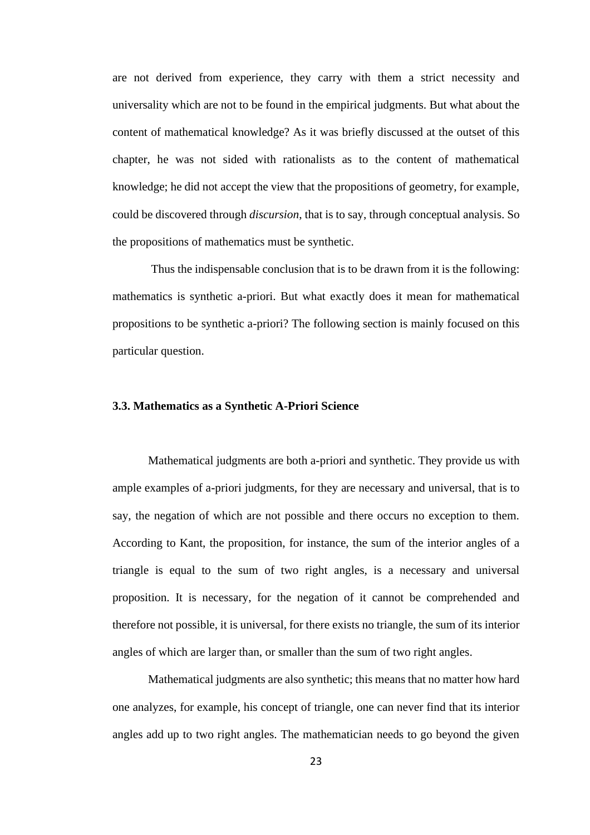are not derived from experience, they carry with them a strict necessity and universality which are not to be found in the empirical judgments. But what about the content of mathematical knowledge? As it was briefly discussed at the outset of this chapter, he was not sided with rationalists as to the content of mathematical knowledge; he did not accept the view that the propositions of geometry, for example, could be discovered through *discursion*, that is to say, through conceptual analysis. So the propositions of mathematics must be synthetic.

Thus the indispensable conclusion that is to be drawn from it is the following: mathematics is synthetic a-priori. But what exactly does it mean for mathematical propositions to be synthetic a-priori? The following section is mainly focused on this particular question.

# **3.3. Mathematics as a Synthetic A-Priori Science**

Mathematical judgments are both a-priori and synthetic. They provide us with ample examples of a-priori judgments, for they are necessary and universal, that is to say, the negation of which are not possible and there occurs no exception to them. According to Kant, the proposition, for instance, the sum of the interior angles of a triangle is equal to the sum of two right angles, is a necessary and universal proposition. It is necessary, for the negation of it cannot be comprehended and therefore not possible, it is universal, for there exists no triangle, the sum of its interior angles of which are larger than, or smaller than the sum of two right angles.

Mathematical judgments are also synthetic; this means that no matter how hard one analyzes, for example, his concept of triangle, one can never find that its interior angles add up to two right angles. The mathematician needs to go beyond the given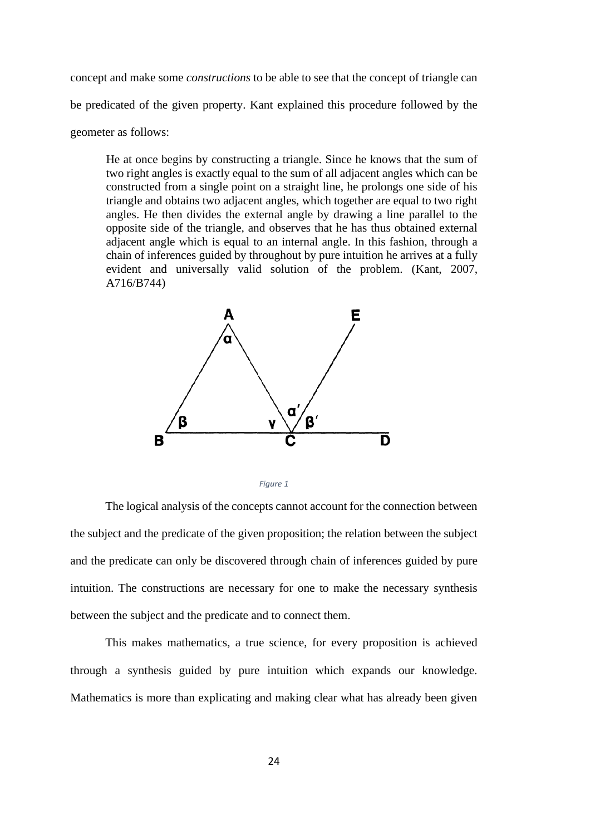concept and make some *constructions* to be able to see that the concept of triangle can be predicated of the given property. Kant explained this procedure followed by the geometer as follows:

He at once begins by constructing a triangle. Since he knows that the sum of two right angles is exactly equal to the sum of all adjacent angles which can be constructed from a single point on a straight line, he prolongs one side of his triangle and obtains two adjacent angles, which together are equal to two right angles. He then divides the external angle by drawing a line parallel to the opposite side of the triangle, and observes that he has thus obtained external adjacent angle which is equal to an internal angle. In this fashion, through a chain of inferences guided by throughout by pure intuition he arrives at a fully evident and universally valid solution of the problem. (Kant, 2007, A716/B744)



*Figure 1*

The logical analysis of the concepts cannot account for the connection between the subject and the predicate of the given proposition; the relation between the subject and the predicate can only be discovered through chain of inferences guided by pure intuition. The constructions are necessary for one to make the necessary synthesis between the subject and the predicate and to connect them.

This makes mathematics, a true science, for every proposition is achieved through a synthesis guided by pure intuition which expands our knowledge. Mathematics is more than explicating and making clear what has already been given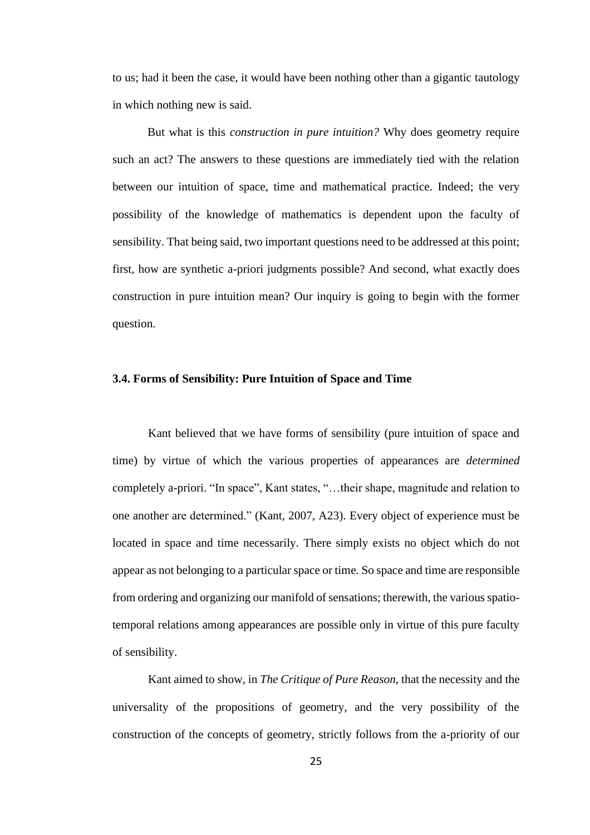to us; had it been the case, it would have been nothing other than a gigantic tautology in which nothing new is said.

But what is this *construction in pure intuition?* Why does geometry require such an act? The answers to these questions are immediately tied with the relation between our intuition of space, time and mathematical practice. Indeed; the very possibility of the knowledge of mathematics is dependent upon the faculty of sensibility. That being said, two important questions need to be addressed at this point; first, how are synthetic a-priori judgments possible? And second, what exactly does construction in pure intuition mean? Our inquiry is going to begin with the former question.

# **3.4. Forms of Sensibility: Pure Intuition of Space and Time**

Kant believed that we have forms of sensibility (pure intuition of space and time) by virtue of which the various properties of appearances are *determined* completely a-priori. "In space", Kant states, "…their shape, magnitude and relation to one another are determined." (Kant, 2007, A23). Every object of experience must be located in space and time necessarily. There simply exists no object which do not appear as not belonging to a particular space or time. So space and time are responsible from ordering and organizing our manifold of sensations; therewith, the various spatiotemporal relations among appearances are possible only in virtue of this pure faculty of sensibility.

Kant aimed to show, in *The Critique of Pure Reason,* that the necessity and the universality of the propositions of geometry, and the very possibility of the construction of the concepts of geometry, strictly follows from the a-priority of our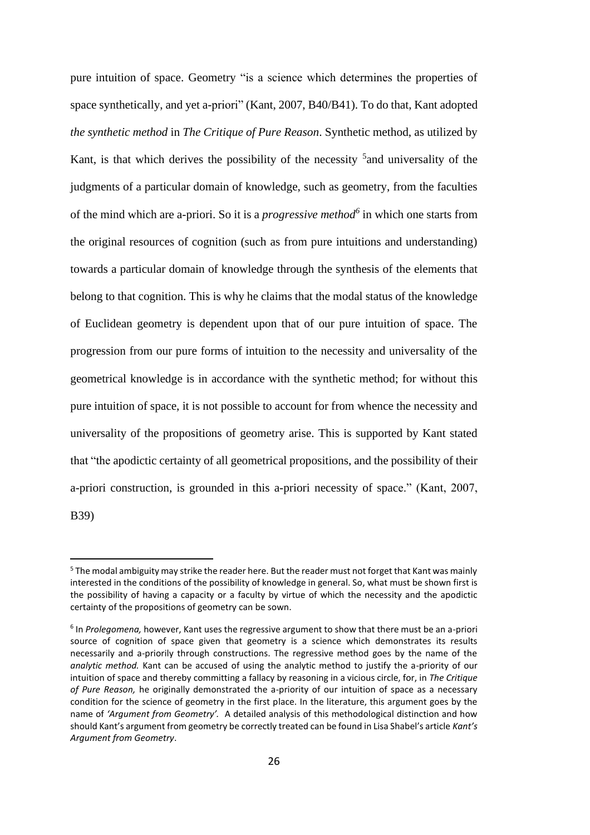pure intuition of space. Geometry "is a science which determines the properties of space synthetically, and yet a-priori" (Kant, 2007, B40/B41). To do that, Kant adopted *the synthetic method* in *The Critique of Pure Reason*. Synthetic method, as utilized by Kant, is that which derives the possibility of the necessity <sup>5</sup> and universality of the judgments of a particular domain of knowledge, such as geometry, from the faculties of the mind which are a-priori. So it is a *progressive method<sup>6</sup>* in which one starts from the original resources of cognition (such as from pure intuitions and understanding) towards a particular domain of knowledge through the synthesis of the elements that belong to that cognition. This is why he claims that the modal status of the knowledge of Euclidean geometry is dependent upon that of our pure intuition of space. The progression from our pure forms of intuition to the necessity and universality of the geometrical knowledge is in accordance with the synthetic method; for without this pure intuition of space, it is not possible to account for from whence the necessity and universality of the propositions of geometry arise. This is supported by Kant stated that "the apodictic certainty of all geometrical propositions, and the possibility of their a-priori construction, is grounded in this a-priori necessity of space." (Kant, 2007, B39)

<sup>5</sup> The modal ambiguity may strike the reader here. But the reader must not forget that Kant was mainly interested in the conditions of the possibility of knowledge in general. So, what must be shown first is the possibility of having a capacity or a faculty by virtue of which the necessity and the apodictic certainty of the propositions of geometry can be sown.

<sup>6</sup> In *Prolegomena,* however, Kant uses the regressive argument to show that there must be an a-priori source of cognition of space given that geometry is a science which demonstrates its results necessarily and a-priorily through constructions. The regressive method goes by the name of the *analytic method.* Kant can be accused of using the analytic method to justify the a-priority of our intuition of space and thereby committing a fallacy by reasoning in a vicious circle, for, in *The Critique of Pure Reason,* he originally demonstrated the a-priority of our intuition of space as a necessary condition for the science of geometry in the first place. In the literature, this argument goes by the name of *'Argument from Geometry'.* A detailed analysis of this methodological distinction and how should Kant's argument from geometry be correctly treated can be found in Lisa Shabel's article *Kant's Argument from Geometry*.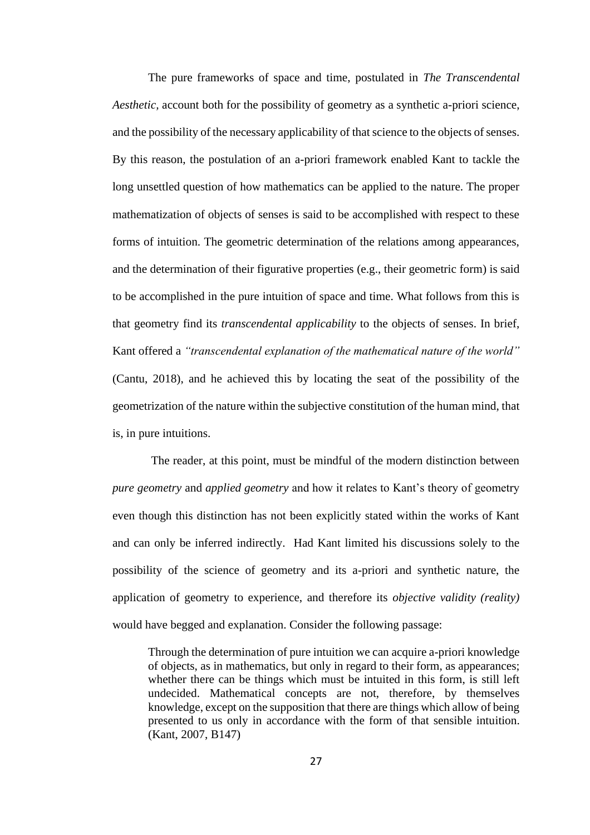The pure frameworks of space and time, postulated in *The Transcendental Aesthetic,* account both for the possibility of geometry as a synthetic a-priori science, and the possibility of the necessary applicability of that science to the objects of senses. By this reason, the postulation of an a-priori framework enabled Kant to tackle the long unsettled question of how mathematics can be applied to the nature. The proper mathematization of objects of senses is said to be accomplished with respect to these forms of intuition. The geometric determination of the relations among appearances, and the determination of their figurative properties (e.g., their geometric form) is said to be accomplished in the pure intuition of space and time. What follows from this is that geometry find its *transcendental applicability* to the objects of senses. In brief, Kant offered a *"transcendental explanation of the mathematical nature of the world"*  (Cantu, 2018), and he achieved this by locating the seat of the possibility of the geometrization of the nature within the subjective constitution of the human mind, that is, in pure intuitions.

The reader, at this point, must be mindful of the modern distinction between *pure geometry* and *applied geometry* and how it relates to Kant's theory of geometry even though this distinction has not been explicitly stated within the works of Kant and can only be inferred indirectly. Had Kant limited his discussions solely to the possibility of the science of geometry and its a-priori and synthetic nature, the application of geometry to experience, and therefore its *objective validity (reality)*  would have begged and explanation. Consider the following passage:

Through the determination of pure intuition we can acquire a-priori knowledge of objects, as in mathematics, but only in regard to their form, as appearances; whether there can be things which must be intuited in this form, is still left undecided. Mathematical concepts are not, therefore, by themselves knowledge, except on the supposition that there are things which allow of being presented to us only in accordance with the form of that sensible intuition. (Kant, 2007, B147)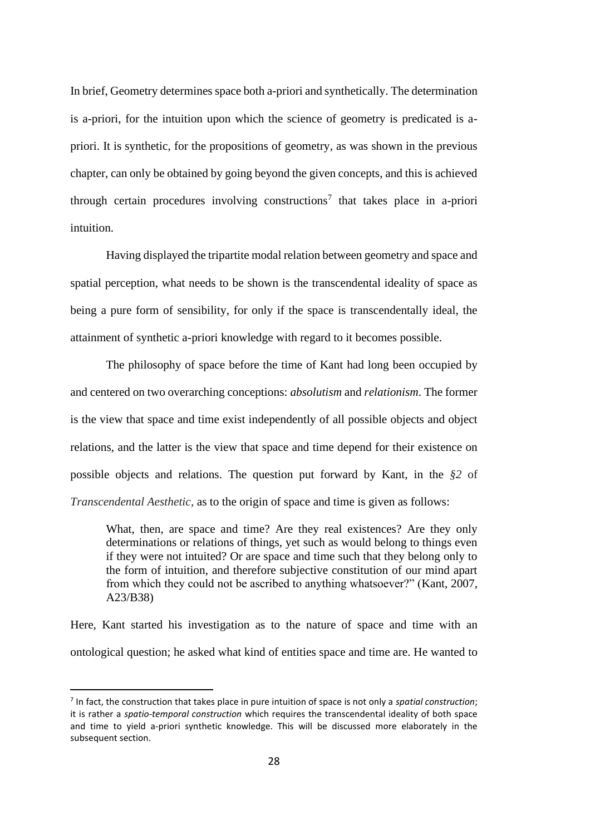In brief, Geometry determines space both a-priori and synthetically. The determination is a-priori, for the intuition upon which the science of geometry is predicated is apriori. It is synthetic, for the propositions of geometry, as was shown in the previous chapter, can only be obtained by going beyond the given concepts, and this is achieved through certain procedures involving constructions<sup>7</sup> that takes place in a-priori intuition.

Having displayed the tripartite modal relation between geometry and space and spatial perception, what needs to be shown is the transcendental ideality of space as being a pure form of sensibility, for only if the space is transcendentally ideal, the attainment of synthetic a-priori knowledge with regard to it becomes possible.

The philosophy of space before the time of Kant had long been occupied by and centered on two overarching conceptions: *absolutism* and *relationism*. The former is the view that space and time exist independently of all possible objects and object relations, and the latter is the view that space and time depend for their existence on possible objects and relations. The question put forward by Kant, in the *§2* of *Transcendental Aesthetic,* as to the origin of space and time is given as follows:

What, then, are space and time? Are they real existences? Are they only determinations or relations of things, yet such as would belong to things even if they were not intuited? Or are space and time such that they belong only to the form of intuition, and therefore subjective constitution of our mind apart from which they could not be ascribed to anything whatsoever?" (Kant, 2007, A23/B38)

Here, Kant started his investigation as to the nature of space and time with an ontological question; he asked what kind of entities space and time are. He wanted to

<sup>7</sup> In fact, the construction that takes place in pure intuition of space is not only a *spatial construction*; it is rather a *spatio-temporal construction* which requires the transcendental ideality of both space and time to yield a-priori synthetic knowledge. This will be discussed more elaborately in the subsequent section.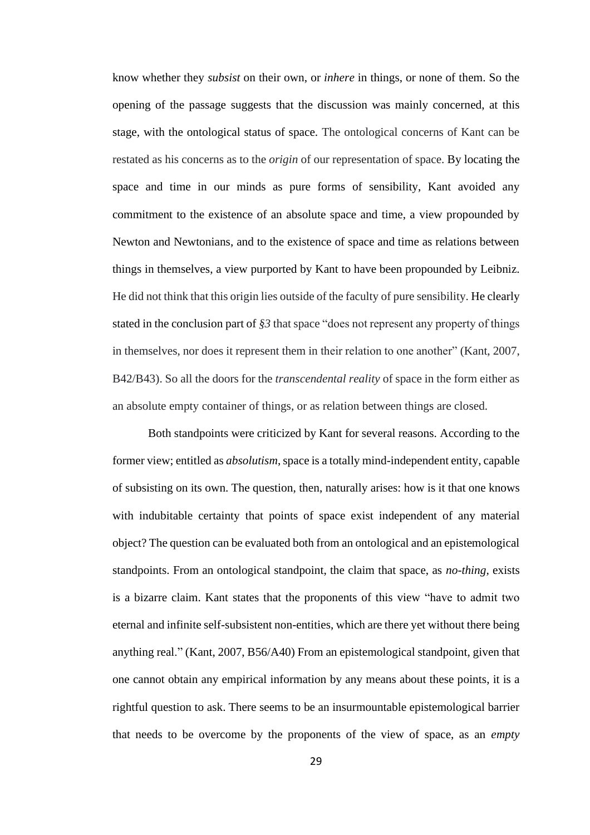know whether they *subsist* on their own, or *inhere* in things, or none of them. So the opening of the passage suggests that the discussion was mainly concerned, at this stage, with the ontological status of space. The ontological concerns of Kant can be restated as his concerns as to the *origin* of our representation of space. By locating the space and time in our minds as pure forms of sensibility, Kant avoided any commitment to the existence of an absolute space and time, a view propounded by Newton and Newtonians, and to the existence of space and time as relations between things in themselves, a view purported by Kant to have been propounded by Leibniz. He did not think that this origin lies outside of the faculty of pure sensibility. He clearly stated in the conclusion part of *§3* that space "does not represent any property of things in themselves, nor does it represent them in their relation to one another" (Kant, 2007, B42/B43). So all the doors for the *transcendental reality* of space in the form either as an absolute empty container of things, or as relation between things are closed.

Both standpoints were criticized by Kant for several reasons. According to the former view; entitled as *absolutism*, space is a totally mind-independent entity, capable of subsisting on its own. The question, then, naturally arises: how is it that one knows with indubitable certainty that points of space exist independent of any material object? The question can be evaluated both from an ontological and an epistemological standpoints. From an ontological standpoint, the claim that space, as *no-thing,* exists is a bizarre claim. Kant states that the proponents of this view "have to admit two eternal and infinite self-subsistent non-entities, which are there yet without there being anything real." (Kant, 2007, B56/A40) From an epistemological standpoint, given that one cannot obtain any empirical information by any means about these points, it is a rightful question to ask. There seems to be an insurmountable epistemological barrier that needs to be overcome by the proponents of the view of space, as an *empty*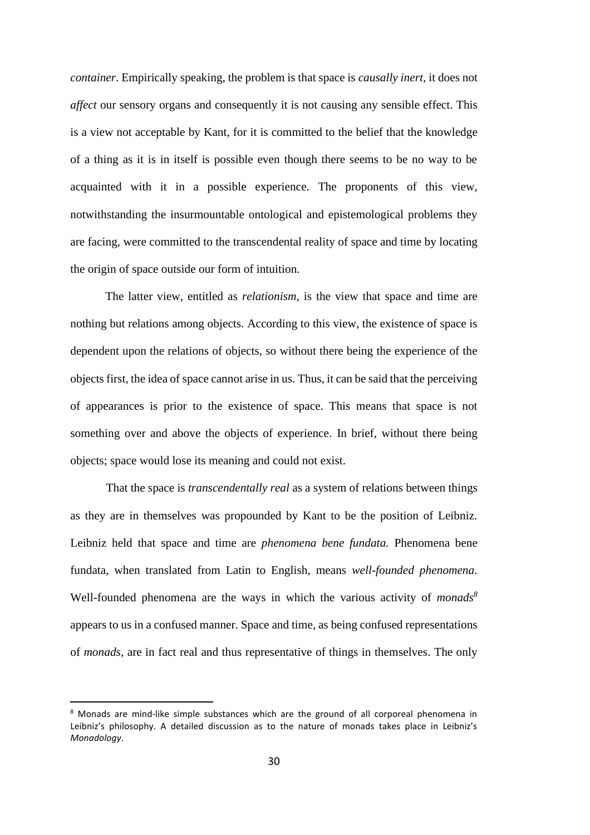*container*. Empirically speaking, the problem is that space is *causally inert,* it does not *affect* our sensory organs and consequently it is not causing any sensible effect. This is a view not acceptable by Kant, for it is committed to the belief that the knowledge of a thing as it is in itself is possible even though there seems to be no way to be acquainted with it in a possible experience. The proponents of this view, notwithstanding the insurmountable ontological and epistemological problems they are facing, were committed to the transcendental reality of space and time by locating the origin of space outside our form of intuition.

The latter view, entitled as *relationism*, is the view that space and time are nothing but relations among objects. According to this view, the existence of space is dependent upon the relations of objects, so without there being the experience of the objects first, the idea of space cannot arise in us. Thus, it can be said that the perceiving of appearances is prior to the existence of space. This means that space is not something over and above the objects of experience. In brief, without there being objects; space would lose its meaning and could not exist.

That the space is *transcendentally real* as a system of relations between things as they are in themselves was propounded by Kant to be the position of Leibniz. Leibniz held that space and time are *phenomena bene fundata.* Phenomena bene fundata, when translated from Latin to English, means *well-founded phenomena*. Well-founded phenomena are the ways in which the various activity of *monads<sup>8</sup>* appears to us in a confused manner. Space and time, as being confused representations of *monads,* are in fact real and thus representative of things in themselves. The only

<sup>8</sup> Monads are mind-like simple substances which are the ground of all corporeal phenomena in Leibniz's philosophy. A detailed discussion as to the nature of monads takes place in Leibniz's *Monadology*.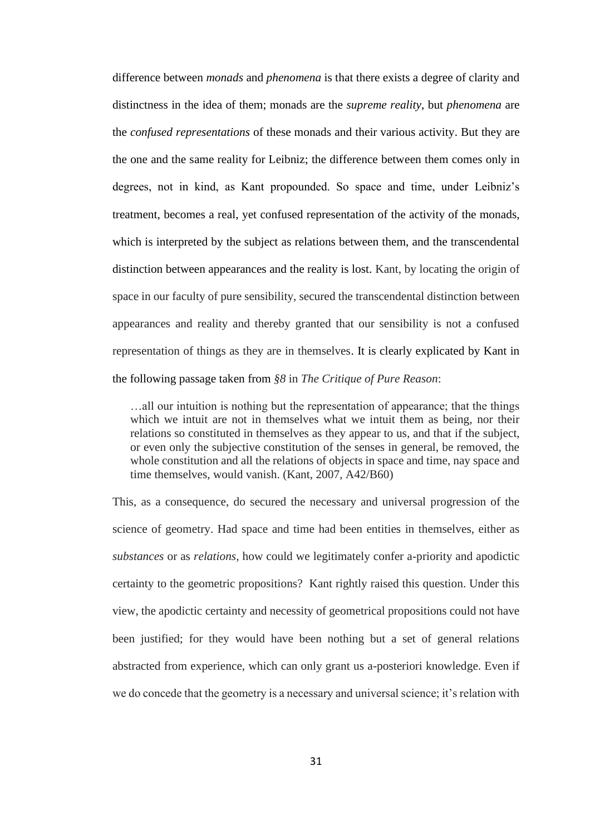difference between *monads* and *phenomena* is that there exists a degree of clarity and distinctness in the idea of them; monads are the *supreme reality*, but *phenomena* are the *confused representations* of these monads and their various activity. But they are the one and the same reality for Leibniz; the difference between them comes only in degrees, not in kind, as Kant propounded. So space and time, under Leibniz's treatment, becomes a real, yet confused representation of the activity of the monads, which is interpreted by the subject as relations between them, and the transcendental distinction between appearances and the reality is lost. Kant, by locating the origin of space in our faculty of pure sensibility, secured the transcendental distinction between appearances and reality and thereby granted that our sensibility is not a confused representation of things as they are in themselves. It is clearly explicated by Kant in the following passage taken from *§8* in *The Critique of Pure Reason*:

…all our intuition is nothing but the representation of appearance; that the things which we intuit are not in themselves what we intuit them as being, nor their relations so constituted in themselves as they appear to us, and that if the subject, or even only the subjective constitution of the senses in general, be removed, the whole constitution and all the relations of objects in space and time, nay space and time themselves, would vanish. (Kant, 2007, A42/B60)

This, as a consequence, do secured the necessary and universal progression of the science of geometry. Had space and time had been entities in themselves, either as *substances* or as *relations,* how could we legitimately confer a-priority and apodictic certainty to the geometric propositions? Kant rightly raised this question. Under this view, the apodictic certainty and necessity of geometrical propositions could not have been justified; for they would have been nothing but a set of general relations abstracted from experience, which can only grant us a-posteriori knowledge. Even if we do concede that the geometry is a necessary and universal science; it's relation with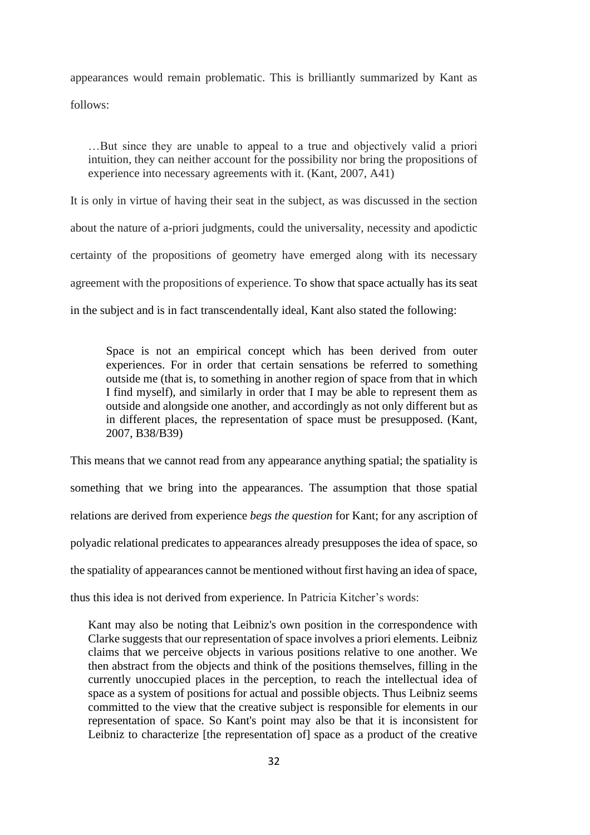appearances would remain problematic. This is brilliantly summarized by Kant as follows:

…But since they are unable to appeal to a true and objectively valid a priori intuition, they can neither account for the possibility nor bring the propositions of experience into necessary agreements with it. (Kant, 2007, A41)

It is only in virtue of having their seat in the subject, as was discussed in the section about the nature of a-priori judgments, could the universality, necessity and apodictic certainty of the propositions of geometry have emerged along with its necessary agreement with the propositions of experience. To show that space actually has its seat in the subject and is in fact transcendentally ideal, Kant also stated the following:

Space is not an empirical concept which has been derived from outer experiences. For in order that certain sensations be referred to something outside me (that is, to something in another region of space from that in which I find myself), and similarly in order that I may be able to represent them as outside and alongside one another, and accordingly as not only different but as in different places, the representation of space must be presupposed. (Kant, 2007, B38/B39)

This means that we cannot read from any appearance anything spatial; the spatiality is something that we bring into the appearances. The assumption that those spatial relations are derived from experience *begs the question* for Kant; for any ascription of polyadic relational predicates to appearances already presupposes the idea of space, so the spatiality of appearances cannot be mentioned without first having an idea of space, thus this idea is not derived from experience. In Patricia Kitcher's words:

Kant may also be noting that Leibniz's own position in the correspondence with Clarke suggests that our representation of space involves a priori elements. Leibniz claims that we perceive objects in various positions relative to one another. We then abstract from the objects and think of the positions themselves, filling in the currently unoccupied places in the perception, to reach the intellectual idea of space as a system of positions for actual and possible objects. Thus Leibniz seems committed to the view that the creative subject is responsible for elements in our representation of space. So Kant's point may also be that it is inconsistent for Leibniz to characterize [the representation of] space as a product of the creative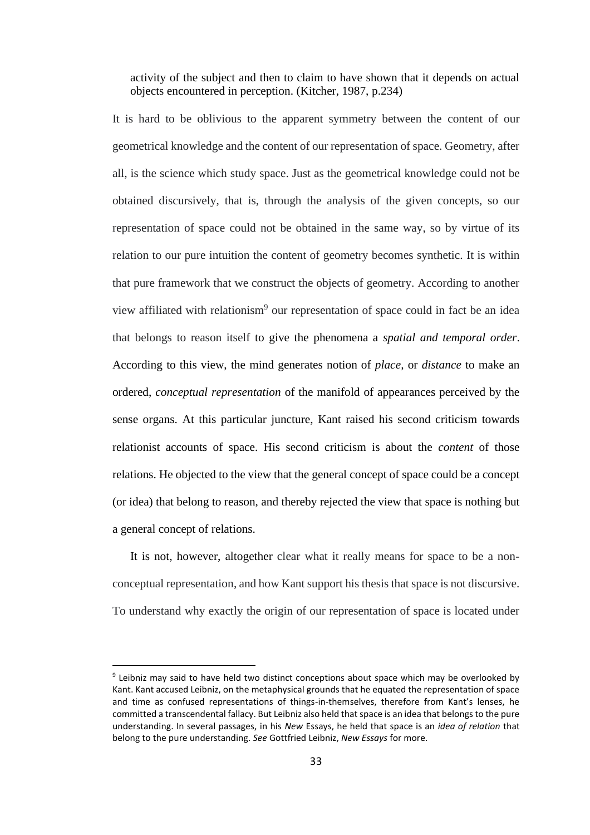activity of the subject and then to claim to have shown that it depends on actual objects encountered in perception. (Kitcher, 1987, p.234)

It is hard to be oblivious to the apparent symmetry between the content of our geometrical knowledge and the content of our representation of space. Geometry, after all, is the science which study space. Just as the geometrical knowledge could not be obtained discursively, that is, through the analysis of the given concepts, so our representation of space could not be obtained in the same way, so by virtue of its relation to our pure intuition the content of geometry becomes synthetic. It is within that pure framework that we construct the objects of geometry. According to another view affiliated with relationism<sup>9</sup> our representation of space could in fact be an idea that belongs to reason itself to give the phenomena a *spatial and temporal order*. According to this view, the mind generates notion of *place,* or *distance* to make an ordered, *conceptual representation* of the manifold of appearances perceived by the sense organs. At this particular juncture, Kant raised his second criticism towards relationist accounts of space. His second criticism is about the *content* of those relations. He objected to the view that the general concept of space could be a concept (or idea) that belong to reason, and thereby rejected the view that space is nothing but a general concept of relations.

It is not, however, altogether clear what it really means for space to be a nonconceptual representation, and how Kant support his thesis that space is not discursive. To understand why exactly the origin of our representation of space is located under

<sup>&</sup>lt;sup>9</sup> Leibniz may said to have held two distinct conceptions about space which may be overlooked by Kant. Kant accused Leibniz, on the metaphysical grounds that he equated the representation of space and time as confused representations of things-in-themselves, therefore from Kant's lenses, he committed a transcendental fallacy. But Leibniz also held that space is an idea that belongs to the pure understanding. In several passages, in his *New* Essays, he held that space is an *idea of relation* that belong to the pure understanding. *See* Gottfried Leibniz, *New Essays* for more.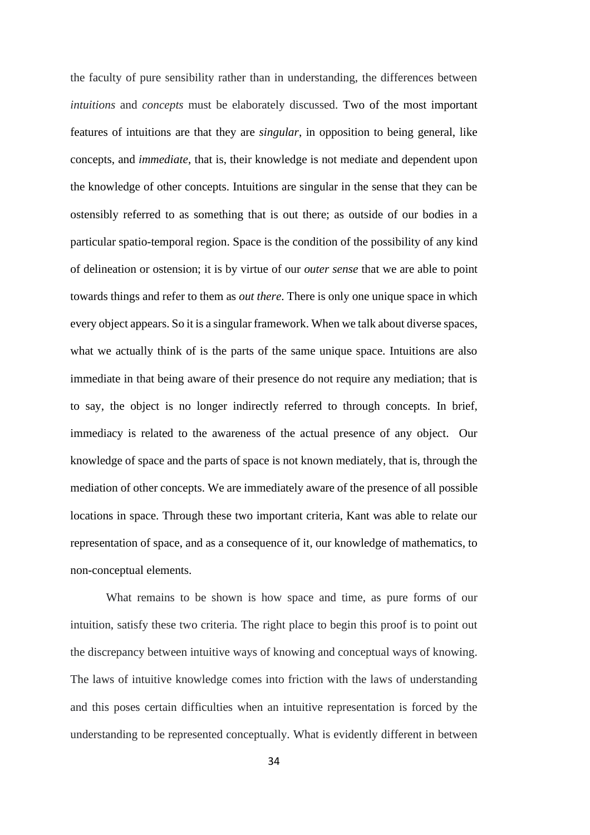the faculty of pure sensibility rather than in understanding, the differences between *intuitions* and *concepts* must be elaborately discussed. Two of the most important features of intuitions are that they are *singular*, in opposition to being general, like concepts, and *immediate*, that is, their knowledge is not mediate and dependent upon the knowledge of other concepts. Intuitions are singular in the sense that they can be ostensibly referred to as something that is out there; as outside of our bodies in a particular spatio-temporal region. Space is the condition of the possibility of any kind of delineation or ostension; it is by virtue of our *outer sense* that we are able to point towards things and refer to them as *out there*. There is only one unique space in which every object appears. So it is a singular framework. When we talk about diverse spaces, what we actually think of is the parts of the same unique space. Intuitions are also immediate in that being aware of their presence do not require any mediation; that is to say, the object is no longer indirectly referred to through concepts. In brief, immediacy is related to the awareness of the actual presence of any object. Our knowledge of space and the parts of space is not known mediately, that is, through the mediation of other concepts. We are immediately aware of the presence of all possible locations in space. Through these two important criteria, Kant was able to relate our representation of space, and as a consequence of it, our knowledge of mathematics, to non-conceptual elements.

What remains to be shown is how space and time, as pure forms of our intuition, satisfy these two criteria. The right place to begin this proof is to point out the discrepancy between intuitive ways of knowing and conceptual ways of knowing. The laws of intuitive knowledge comes into friction with the laws of understanding and this poses certain difficulties when an intuitive representation is forced by the understanding to be represented conceptually. What is evidently different in between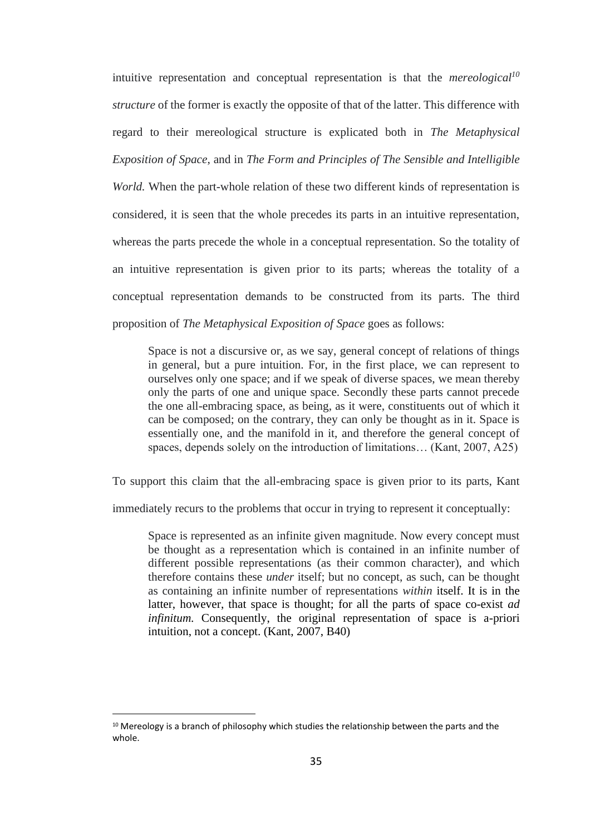intuitive representation and conceptual representation is that the *mereological<sup>10</sup> structure* of the former is exactly the opposite of that of the latter. This difference with regard to their mereological structure is explicated both in *The Metaphysical Exposition of Space*, and in *The Form and Principles of The Sensible and Intelligible* 

*World.* When the part-whole relation of these two different kinds of representation is considered, it is seen that the whole precedes its parts in an intuitive representation, whereas the parts precede the whole in a conceptual representation. So the totality of an intuitive representation is given prior to its parts; whereas the totality of a conceptual representation demands to be constructed from its parts. The third proposition of *The Metaphysical Exposition of Space* goes as follows:

Space is not a discursive or, as we say, general concept of relations of things in general, but a pure intuition. For, in the first place, we can represent to ourselves only one space; and if we speak of diverse spaces, we mean thereby only the parts of one and unique space. Secondly these parts cannot precede the one all-embracing space, as being, as it were, constituents out of which it can be composed; on the contrary, they can only be thought as in it. Space is essentially one, and the manifold in it, and therefore the general concept of spaces, depends solely on the introduction of limitations… (Kant, 2007, A25)

To support this claim that the all-embracing space is given prior to its parts, Kant

immediately recurs to the problems that occur in trying to represent it conceptually:

Space is represented as an infinite given magnitude. Now every concept must be thought as a representation which is contained in an infinite number of different possible representations (as their common character), and which therefore contains these *under* itself; but no concept, as such, can be thought as containing an infinite number of representations *within* itself. It is in the latter, however, that space is thought; for all the parts of space co-exist *ad infinitum.* Consequently, the original representation of space is a-priori intuition, not a concept. (Kant, 2007, B40)

 $10$  Mereology is a branch of philosophy which studies the relationship between the parts and the whole.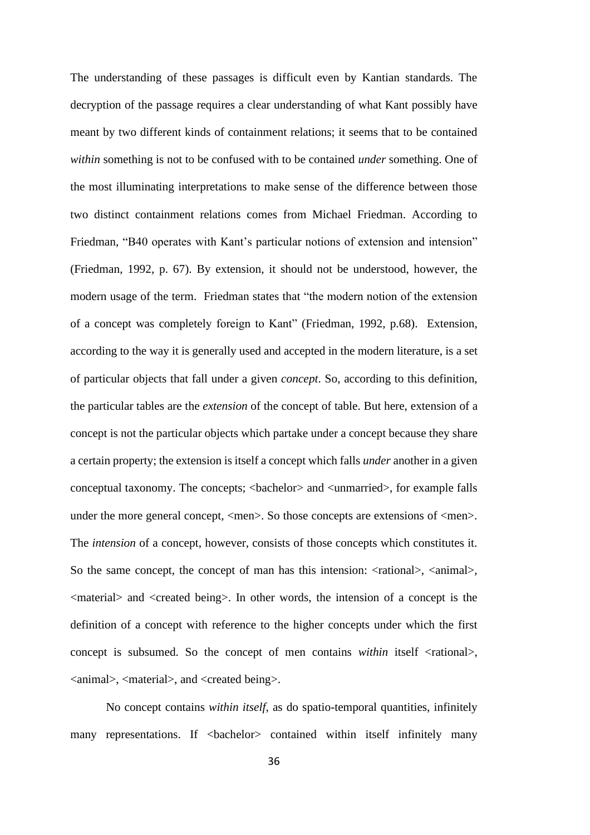The understanding of these passages is difficult even by Kantian standards. The decryption of the passage requires a clear understanding of what Kant possibly have meant by two different kinds of containment relations; it seems that to be contained *within* something is not to be confused with to be contained *under* something. One of the most illuminating interpretations to make sense of the difference between those two distinct containment relations comes from Michael Friedman. According to Friedman, "B40 operates with Kant's particular notions of extension and intension" (Friedman, 1992, p. 67). By extension, it should not be understood, however, the modern usage of the term. Friedman states that "the modern notion of the extension of a concept was completely foreign to Kant" (Friedman, 1992, p.68). Extension, according to the way it is generally used and accepted in the modern literature, is a set of particular objects that fall under a given *concept*. So, according to this definition, the particular tables are the *extension* of the concept of table. But here, extension of a concept is not the particular objects which partake under a concept because they share a certain property; the extension is itself a concept which falls *under* another in a given conceptual taxonomy. The concepts; <bachelor> and <unmarried>, for example falls under the more general concept,  $\langle$ men $\rangle$ . So those concepts are extensions of  $\langle$ men $\rangle$ . The *intension* of a concept, however, consists of those concepts which constitutes it. So the same concept, the concept of man has this intension:  $\langle$  -rational $\rangle$ ,  $\langle$  -animal $\rangle$ , <material> and <created being>. In other words, the intension of a concept is the definition of a concept with reference to the higher concepts under which the first concept is subsumed. So the concept of men contains *within* itself <rational>, <animal>, <material>, and <created being>.

No concept contains *within itself*, as do spatio-temporal quantities, infinitely many representations. If <br/>bachelor> contained within itself infinitely many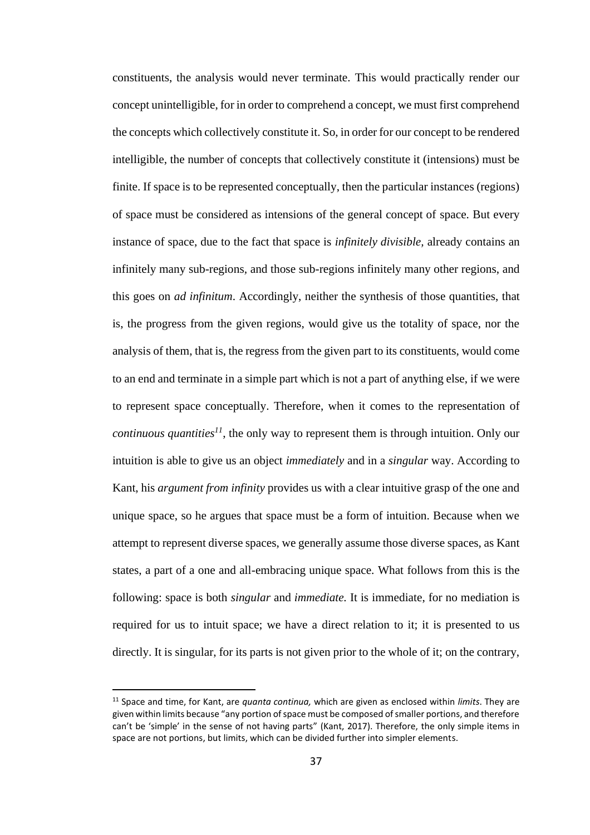constituents, the analysis would never terminate. This would practically render our concept unintelligible, for in order to comprehend a concept, we must first comprehend the concepts which collectively constitute it. So, in order for our concept to be rendered intelligible, the number of concepts that collectively constitute it (intensions) must be finite. If space is to be represented conceptually, then the particular instances (regions) of space must be considered as intensions of the general concept of space. But every instance of space, due to the fact that space is *infinitely divisible,* already contains an infinitely many sub-regions*,* and those sub-regions infinitely many other regions, and this goes on *ad infinitum*. Accordingly, neither the synthesis of those quantities, that is, the progress from the given regions, would give us the totality of space, nor the analysis of them, that is, the regress from the given part to its constituents, would come to an end and terminate in a simple part which is not a part of anything else, if we were to represent space conceptually. Therefore, when it comes to the representation of *continuous quantities<sup>11</sup>*, the only way to represent them is through intuition. Only our intuition is able to give us an object *immediately* and in a *singular* way. According to Kant, his *argument from infinity* provides us with a clear intuitive grasp of the one and unique space, so he argues that space must be a form of intuition. Because when we attempt to represent diverse spaces, we generally assume those diverse spaces, as Kant states, a part of a one and all-embracing unique space. What follows from this is the following: space is both *singular* and *immediate.* It is immediate, for no mediation is required for us to intuit space; we have a direct relation to it; it is presented to us directly. It is singular, for its parts is not given prior to the whole of it; on the contrary,

<sup>11</sup> Space and time, for Kant, are *quanta continua,* which are given as enclosed within *limits*. They are given within limits because "any portion of space must be composed of smaller portions, and therefore can't be 'simple' in the sense of not having parts" (Kant, 2017). Therefore, the only simple items in space are not portions, but limits, which can be divided further into simpler elements.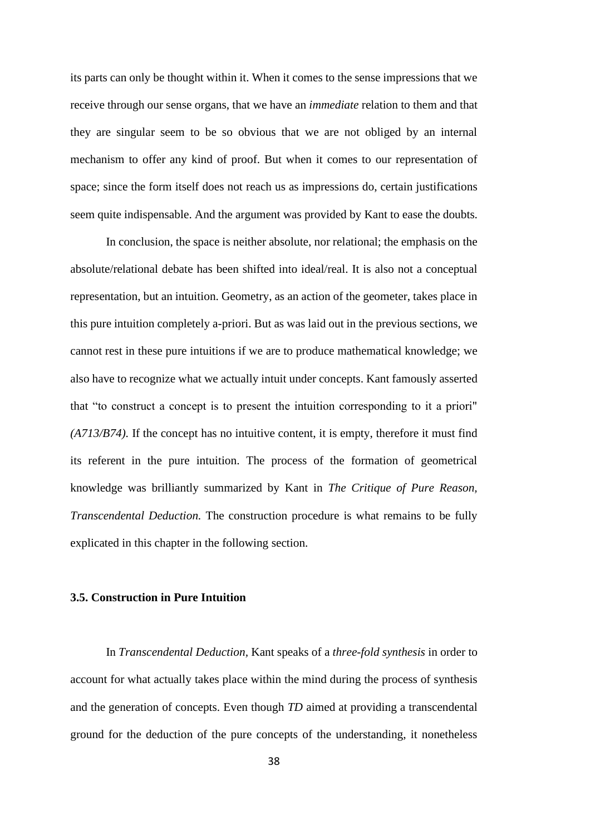its parts can only be thought within it. When it comes to the sense impressions that we receive through our sense organs, that we have an *immediate* relation to them and that they are singular seem to be so obvious that we are not obliged by an internal mechanism to offer any kind of proof. But when it comes to our representation of space; since the form itself does not reach us as impressions do, certain justifications seem quite indispensable. And the argument was provided by Kant to ease the doubts.

In conclusion, the space is neither absolute, nor relational; the emphasis on the absolute/relational debate has been shifted into ideal/real. It is also not a conceptual representation, but an intuition. Geometry, as an action of the geometer, takes place in this pure intuition completely a-priori. But as was laid out in the previous sections, we cannot rest in these pure intuitions if we are to produce mathematical knowledge; we also have to recognize what we actually intuit under concepts. Kant famously asserted that "to construct a concept is to present the intuition corresponding to it a priori" *(A713/B74).* If the concept has no intuitive content, it is empty, therefore it must find its referent in the pure intuition. The process of the formation of geometrical knowledge was brilliantly summarized by Kant in *The Critique of Pure Reason, Transcendental Deduction.* The construction procedure is what remains to be fully explicated in this chapter in the following section.

#### **3.5. Construction in Pure Intuition**

In *Transcendental Deduction,* Kant speaks of a *three-fold synthesis* in order to account for what actually takes place within the mind during the process of synthesis and the generation of concepts. Even though *TD* aimed at providing a transcendental ground for the deduction of the pure concepts of the understanding, it nonetheless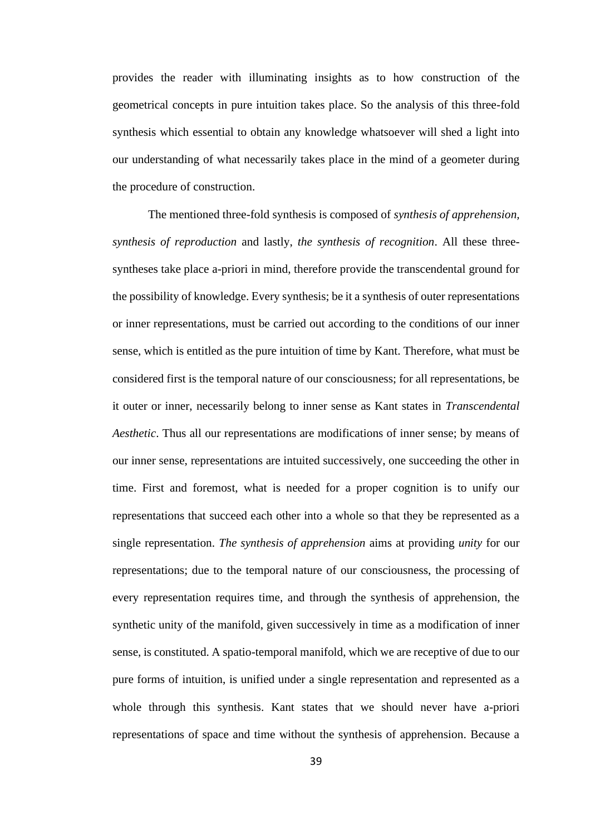provides the reader with illuminating insights as to how construction of the geometrical concepts in pure intuition takes place. So the analysis of this three-fold synthesis which essential to obtain any knowledge whatsoever will shed a light into our understanding of what necessarily takes place in the mind of a geometer during the procedure of construction.

The mentioned three-fold synthesis is composed of *synthesis of apprehension, synthesis of reproduction* and lastly, *the synthesis of recognition*. All these threesyntheses take place a-priori in mind, therefore provide the transcendental ground for the possibility of knowledge. Every synthesis; be it a synthesis of outer representations or inner representations, must be carried out according to the conditions of our inner sense, which is entitled as the pure intuition of time by Kant. Therefore, what must be considered first is the temporal nature of our consciousness; for all representations, be it outer or inner, necessarily belong to inner sense as Kant states in *Transcendental Aesthetic*. Thus all our representations are modifications of inner sense; by means of our inner sense, representations are intuited successively, one succeeding the other in time. First and foremost, what is needed for a proper cognition is to unify our representations that succeed each other into a whole so that they be represented as a single representation. *The synthesis of apprehension* aims at providing *unity* for our representations; due to the temporal nature of our consciousness, the processing of every representation requires time, and through the synthesis of apprehension, the synthetic unity of the manifold, given successively in time as a modification of inner sense, is constituted. A spatio-temporal manifold, which we are receptive of due to our pure forms of intuition, is unified under a single representation and represented as a whole through this synthesis. Kant states that we should never have a-priori representations of space and time without the synthesis of apprehension. Because a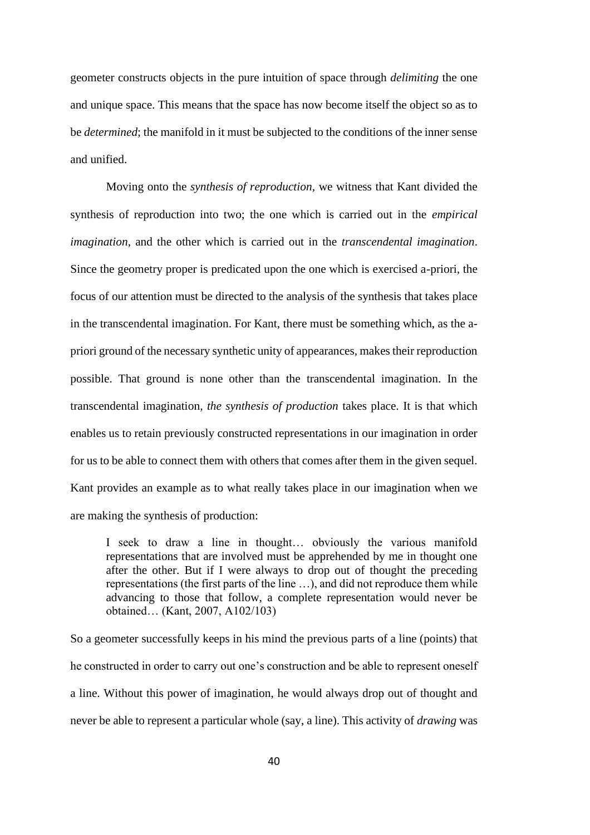geometer constructs objects in the pure intuition of space through *delimiting* the one and unique space. This means that the space has now become itself the object so as to be *determined*; the manifold in it must be subjected to the conditions of the inner sense and unified.

Moving onto the *synthesis of reproduction,* we witness that Kant divided the synthesis of reproduction into two; the one which is carried out in the *empirical imagination*, and the other which is carried out in the *transcendental imagination*. Since the geometry proper is predicated upon the one which is exercised a-priori, the focus of our attention must be directed to the analysis of the synthesis that takes place in the transcendental imagination. For Kant, there must be something which, as the apriori ground of the necessary synthetic unity of appearances, makes their reproduction possible. That ground is none other than the transcendental imagination. In the transcendental imagination*, the synthesis of production* takes place. It is that which enables us to retain previously constructed representations in our imagination in order for us to be able to connect them with others that comes after them in the given sequel. Kant provides an example as to what really takes place in our imagination when we are making the synthesis of production:

I seek to draw a line in thought… obviously the various manifold representations that are involved must be apprehended by me in thought one after the other. But if I were always to drop out of thought the preceding representations (the first parts of the line …), and did not reproduce them while advancing to those that follow, a complete representation would never be obtained… (Kant, 2007, A102/103)

So a geometer successfully keeps in his mind the previous parts of a line (points) that he constructed in order to carry out one's construction and be able to represent oneself a line. Without this power of imagination, he would always drop out of thought and never be able to represent a particular whole (say, a line). This activity of *drawing* was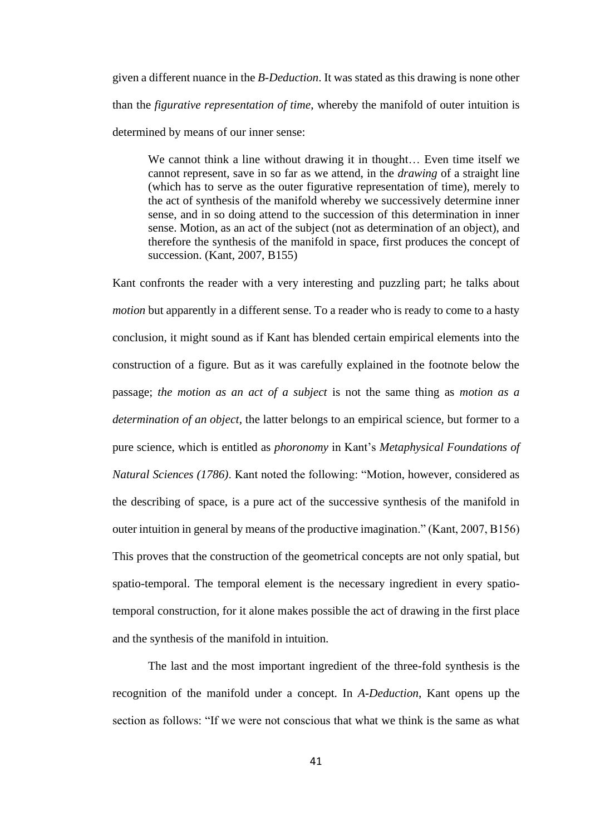given a different nuance in the *B-Deduction*. It was stated as this drawing is none other than the *figurative representation of time*, whereby the manifold of outer intuition is determined by means of our inner sense:

We cannot think a line without drawing it in thought... Even time itself we cannot represent, save in so far as we attend, in the *drawing* of a straight line (which has to serve as the outer figurative representation of time), merely to the act of synthesis of the manifold whereby we successively determine inner sense, and in so doing attend to the succession of this determination in inner sense. Motion, as an act of the subject (not as determination of an object), and therefore the synthesis of the manifold in space, first produces the concept of succession. (Kant, 2007, B155)

Kant confronts the reader with a very interesting and puzzling part; he talks about *motion* but apparently in a different sense. To a reader who is ready to come to a hasty conclusion, it might sound as if Kant has blended certain empirical elements into the construction of a figure. But as it was carefully explained in the footnote below the passage; *the motion as an act of a subject* is not the same thing as *motion as a determination of an object*, the latter belongs to an empirical science, but former to a pure science, which is entitled as *phoronomy* in Kant's *Metaphysical Foundations of Natural Sciences (1786)*. Kant noted the following: "Motion, however, considered as the describing of space, is a pure act of the successive synthesis of the manifold in outer intuition in general by means of the productive imagination." (Kant, 2007, B156) This proves that the construction of the geometrical concepts are not only spatial, but spatio-temporal. The temporal element is the necessary ingredient in every spatiotemporal construction, for it alone makes possible the act of drawing in the first place and the synthesis of the manifold in intuition.

The last and the most important ingredient of the three-fold synthesis is the recognition of the manifold under a concept. In *A-Deduction*, Kant opens up the section as follows: "If we were not conscious that what we think is the same as what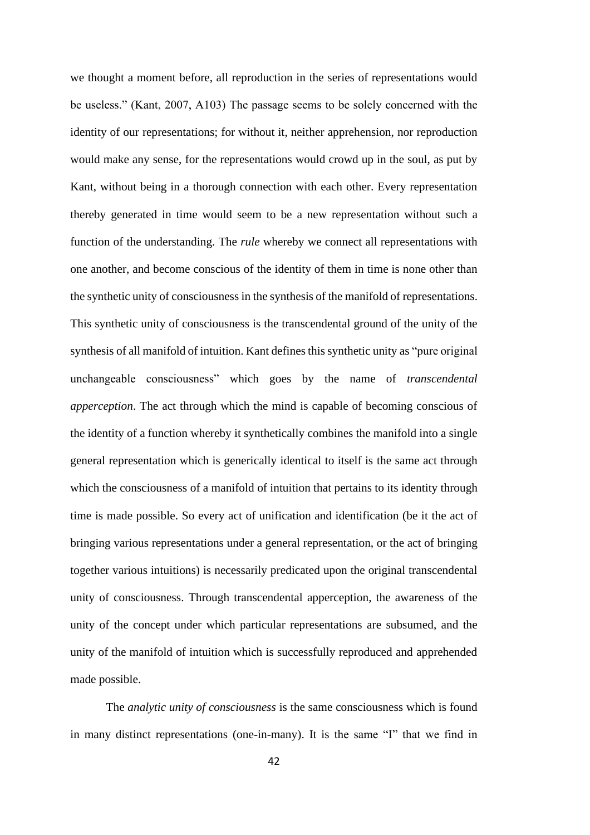we thought a moment before, all reproduction in the series of representations would be useless." (Kant, 2007, A103) The passage seems to be solely concerned with the identity of our representations; for without it, neither apprehension, nor reproduction would make any sense, for the representations would crowd up in the soul, as put by Kant, without being in a thorough connection with each other. Every representation thereby generated in time would seem to be a new representation without such a function of the understanding. The *rule* whereby we connect all representations with one another, and become conscious of the identity of them in time is none other than the synthetic unity of consciousness in the synthesis of the manifold of representations. This synthetic unity of consciousness is the transcendental ground of the unity of the synthesis of all manifold of intuition. Kant defines this synthetic unity as "pure original unchangeable consciousness" which goes by the name of *transcendental apperception*. The act through which the mind is capable of becoming conscious of the identity of a function whereby it synthetically combines the manifold into a single general representation which is generically identical to itself is the same act through which the consciousness of a manifold of intuition that pertains to its identity through time is made possible. So every act of unification and identification (be it the act of bringing various representations under a general representation, or the act of bringing together various intuitions) is necessarily predicated upon the original transcendental unity of consciousness. Through transcendental apperception, the awareness of the unity of the concept under which particular representations are subsumed, and the unity of the manifold of intuition which is successfully reproduced and apprehended made possible.

The *analytic unity of consciousness* is the same consciousness which is found in many distinct representations (one-in-many). It is the same "I" that we find in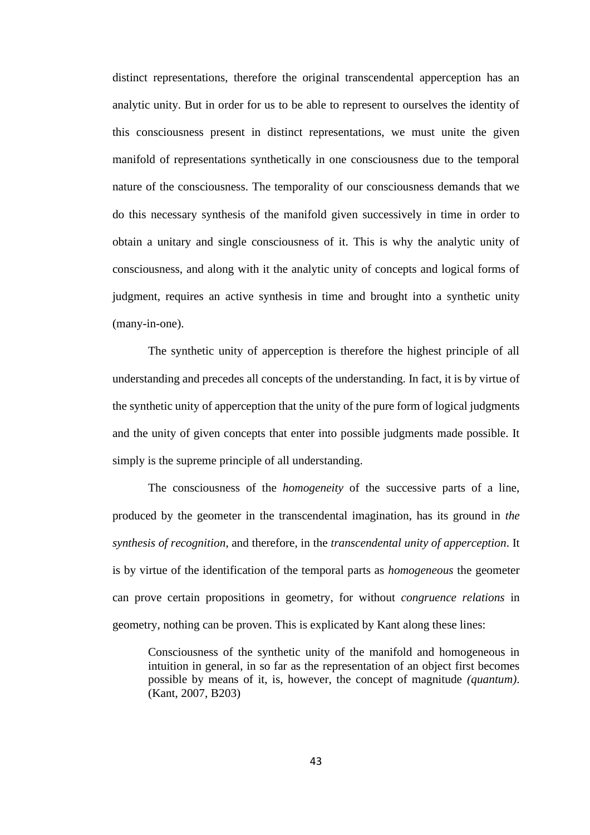distinct representations, therefore the original transcendental apperception has an analytic unity. But in order for us to be able to represent to ourselves the identity of this consciousness present in distinct representations, we must unite the given manifold of representations synthetically in one consciousness due to the temporal nature of the consciousness. The temporality of our consciousness demands that we do this necessary synthesis of the manifold given successively in time in order to obtain a unitary and single consciousness of it. This is why the analytic unity of consciousness, and along with it the analytic unity of concepts and logical forms of judgment, requires an active synthesis in time and brought into a synthetic unity (many-in-one).

The synthetic unity of apperception is therefore the highest principle of all understanding and precedes all concepts of the understanding. In fact, it is by virtue of the synthetic unity of apperception that the unity of the pure form of logical judgments and the unity of given concepts that enter into possible judgments made possible. It simply is the supreme principle of all understanding.

The consciousness of the *homogeneity* of the successive parts of a line, produced by the geometer in the transcendental imagination, has its ground in *the synthesis of recognition*, and therefore, in the *transcendental unity of apperception*. It is by virtue of the identification of the temporal parts as *homogeneous* the geometer can prove certain propositions in geometry, for without *congruence relations* in geometry, nothing can be proven. This is explicated by Kant along these lines:

Consciousness of the synthetic unity of the manifold and homogeneous in intuition in general, in so far as the representation of an object first becomes possible by means of it, is, however, the concept of magnitude *(quantum)*. (Kant, 2007, B203)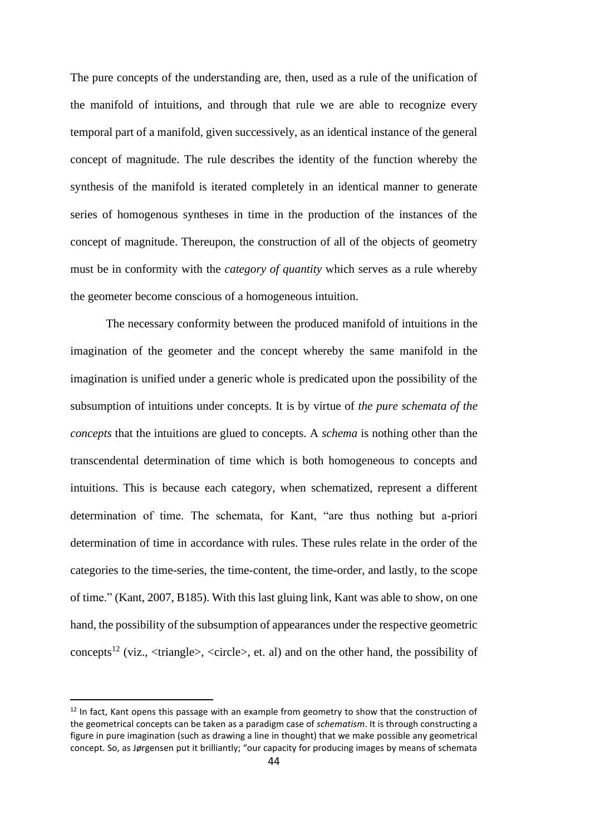The pure concepts of the understanding are, then, used as a rule of the unification of the manifold of intuitions, and through that rule we are able to recognize every temporal part of a manifold, given successively, as an identical instance of the general concept of magnitude. The rule describes the identity of the function whereby the synthesis of the manifold is iterated completely in an identical manner to generate series of homogenous syntheses in time in the production of the instances of the concept of magnitude. Thereupon, the construction of all of the objects of geometry must be in conformity with the *category of quantity* which serves as a rule whereby the geometer become conscious of a homogeneous intuition.

The necessary conformity between the produced manifold of intuitions in the imagination of the geometer and the concept whereby the same manifold in the imagination is unified under a generic whole is predicated upon the possibility of the subsumption of intuitions under concepts. It is by virtue of *the pure schemata of the concepts* that the intuitions are glued to concepts. A *schema* is nothing other than the transcendental determination of time which is both homogeneous to concepts and intuitions. This is because each category, when schematized, represent a different determination of time. The schemata, for Kant, "are thus nothing but a-priori determination of time in accordance with rules. These rules relate in the order of the categories to the time-series, the time-content, the time-order, and lastly, to the scope of time." (Kant, 2007, B185). With this last gluing link, Kant was able to show, on one hand, the possibility of the subsumption of appearances under the respective geometric concepts<sup>12</sup> (viz.,  $\langle$ triangle $\rangle$ ,  $\langle$ circle $\rangle$ , et. al) and on the other hand, the possibility of

 $12$  In fact, Kant opens this passage with an example from geometry to show that the construction of the geometrical concepts can be taken as a paradigm case of *schematism*. It is through constructing a figure in pure imagination (such as drawing a line in thought) that we make possible any geometrical concept. So, as J*ø*rgensen put it brilliantly; "our capacity for producing images by means of schemata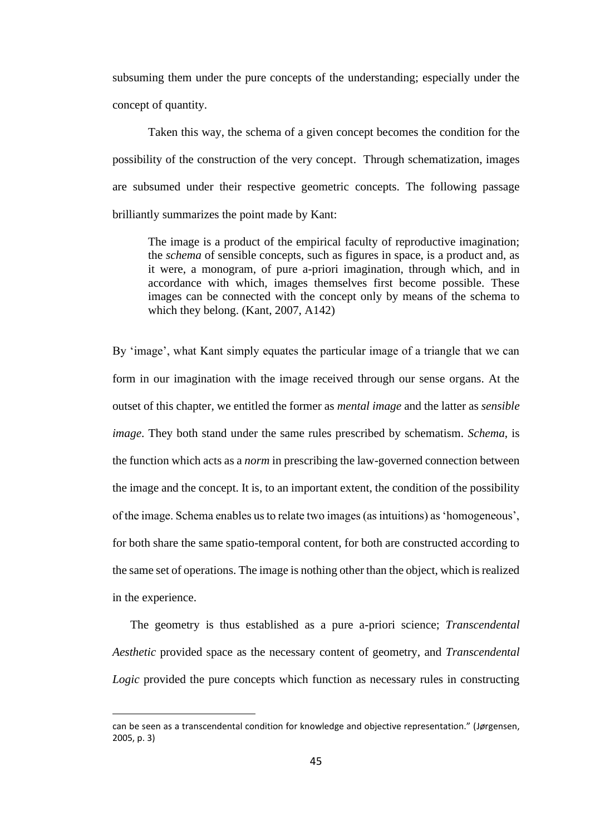subsuming them under the pure concepts of the understanding; especially under the concept of quantity.

Taken this way, the schema of a given concept becomes the condition for the possibility of the construction of the very concept. Through schematization, images are subsumed under their respective geometric concepts. The following passage brilliantly summarizes the point made by Kant:

The image is a product of the empirical faculty of reproductive imagination; the *schema* of sensible concepts, such as figures in space, is a product and, as it were, a monogram, of pure a-priori imagination, through which, and in accordance with which, images themselves first become possible. These images can be connected with the concept only by means of the schema to which they belong. (Kant, 2007, A142)

By 'image', what Kant simply equates the particular image of a triangle that we can form in our imagination with the image received through our sense organs. At the outset of this chapter, we entitled the former as *mental image* and the latter as *sensible image*. They both stand under the same rules prescribed by schematism. *Schema*, is the function which acts as a *norm* in prescribing the law-governed connection between the image and the concept. It is, to an important extent, the condition of the possibility of the image. Schema enables us to relate two images (as intuitions) as 'homogeneous', for both share the same spatio-temporal content, for both are constructed according to the same set of operations. The image is nothing other than the object, which is realized in the experience.

The geometry is thus established as a pure a-priori science; *Transcendental Aesthetic* provided space as the necessary content of geometry, and *Transcendental Logic* provided the pure concepts which function as necessary rules in constructing

can be seen as a transcendental condition for knowledge and objective representation." (J*ø*rgensen, 2005, p. 3)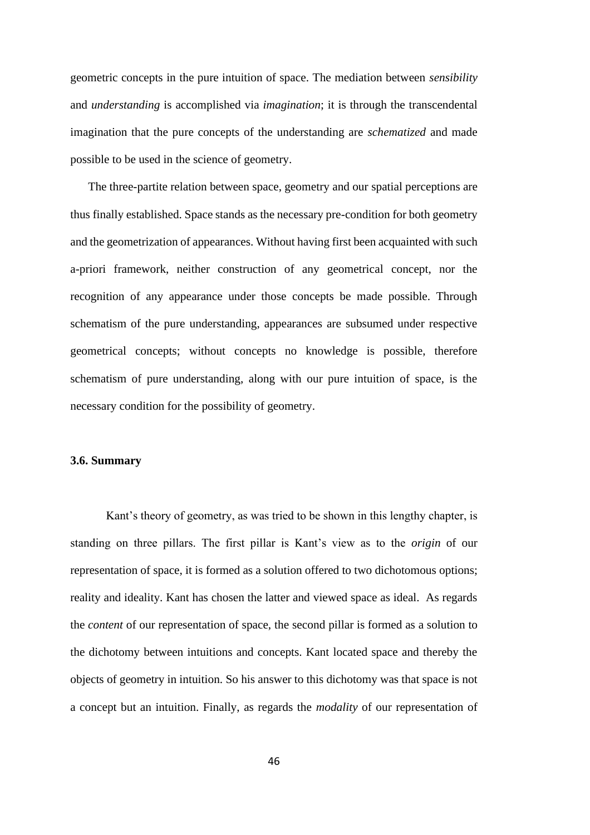geometric concepts in the pure intuition of space. The mediation between *sensibility* and *understanding* is accomplished via *imagination*; it is through the transcendental imagination that the pure concepts of the understanding are *schematized* and made possible to be used in the science of geometry.

The three-partite relation between space, geometry and our spatial perceptions are thus finally established. Space stands as the necessary pre-condition for both geometry and the geometrization of appearances. Without having first been acquainted with such a-priori framework, neither construction of any geometrical concept, nor the recognition of any appearance under those concepts be made possible. Through schematism of the pure understanding, appearances are subsumed under respective geometrical concepts; without concepts no knowledge is possible, therefore schematism of pure understanding, along with our pure intuition of space, is the necessary condition for the possibility of geometry.

### **3.6. Summary**

Kant's theory of geometry, as was tried to be shown in this lengthy chapter, is standing on three pillars. The first pillar is Kant's view as to the *origin* of our representation of space, it is formed as a solution offered to two dichotomous options; reality and ideality. Kant has chosen the latter and viewed space as ideal. As regards the *content* of our representation of space, the second pillar is formed as a solution to the dichotomy between intuitions and concepts. Kant located space and thereby the objects of geometry in intuition. So his answer to this dichotomy was that space is not a concept but an intuition. Finally, as regards the *modality* of our representation of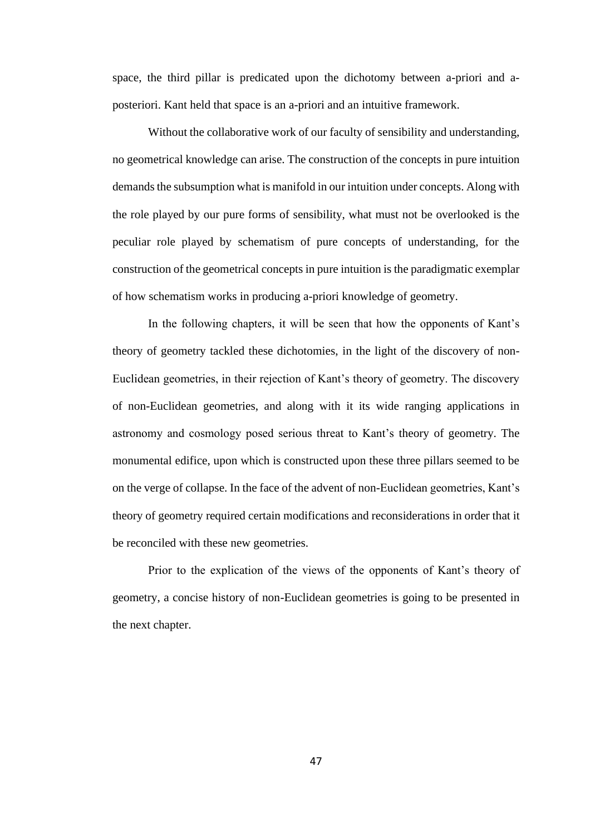space, the third pillar is predicated upon the dichotomy between a-priori and aposteriori. Kant held that space is an a-priori and an intuitive framework.

Without the collaborative work of our faculty of sensibility and understanding, no geometrical knowledge can arise. The construction of the concepts in pure intuition demands the subsumption what is manifold in our intuition under concepts. Along with the role played by our pure forms of sensibility, what must not be overlooked is the peculiar role played by schematism of pure concepts of understanding, for the construction of the geometrical concepts in pure intuition is the paradigmatic exemplar of how schematism works in producing a-priori knowledge of geometry.

In the following chapters, it will be seen that how the opponents of Kant's theory of geometry tackled these dichotomies, in the light of the discovery of non-Euclidean geometries, in their rejection of Kant's theory of geometry. The discovery of non-Euclidean geometries, and along with it its wide ranging applications in astronomy and cosmology posed serious threat to Kant's theory of geometry. The monumental edifice, upon which is constructed upon these three pillars seemed to be on the verge of collapse. In the face of the advent of non-Euclidean geometries, Kant's theory of geometry required certain modifications and reconsiderations in order that it be reconciled with these new geometries.

Prior to the explication of the views of the opponents of Kant's theory of geometry, a concise history of non-Euclidean geometries is going to be presented in the next chapter.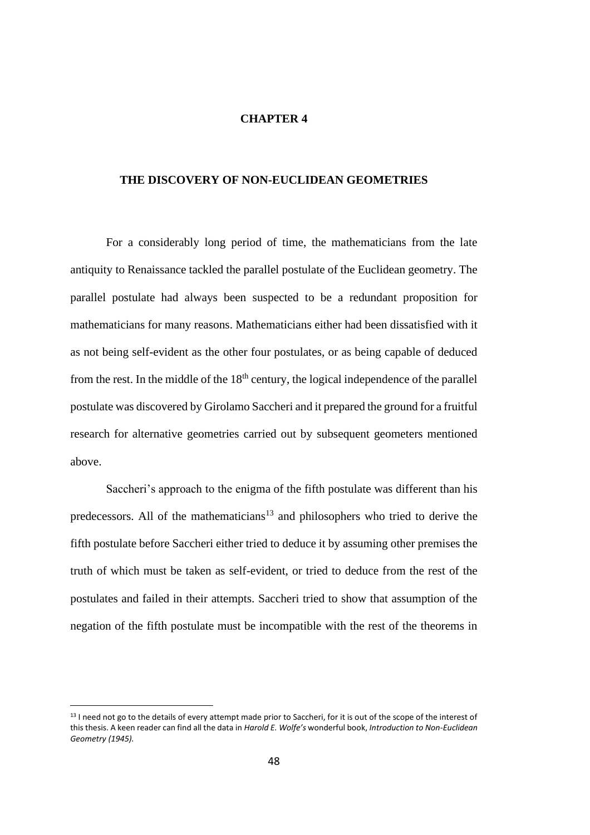### **CHAPTER 4**

# **THE DISCOVERY OF NON-EUCLIDEAN GEOMETRIES**

For a considerably long period of time, the mathematicians from the late antiquity to Renaissance tackled the parallel postulate of the Euclidean geometry. The parallel postulate had always been suspected to be a redundant proposition for mathematicians for many reasons. Mathematicians either had been dissatisfied with it as not being self-evident as the other four postulates, or as being capable of deduced from the rest. In the middle of the  $18<sup>th</sup>$  century, the logical independence of the parallel postulate was discovered by Girolamo Saccheri and it prepared the ground for a fruitful research for alternative geometries carried out by subsequent geometers mentioned above.

Saccheri's approach to the enigma of the fifth postulate was different than his predecessors. All of the mathematicians<sup>13</sup> and philosophers who tried to derive the fifth postulate before Saccheri either tried to deduce it by assuming other premises the truth of which must be taken as self-evident, or tried to deduce from the rest of the postulates and failed in their attempts. Saccheri tried to show that assumption of the negation of the fifth postulate must be incompatible with the rest of the theorems in

<sup>&</sup>lt;sup>13</sup> I need not go to the details of every attempt made prior to Saccheri, for it is out of the scope of the interest of this thesis. A keen reader can find all the data in *Harold E. Wolfe's* wonderful book, *Introduction to Non-Euclidean Geometry (1945).*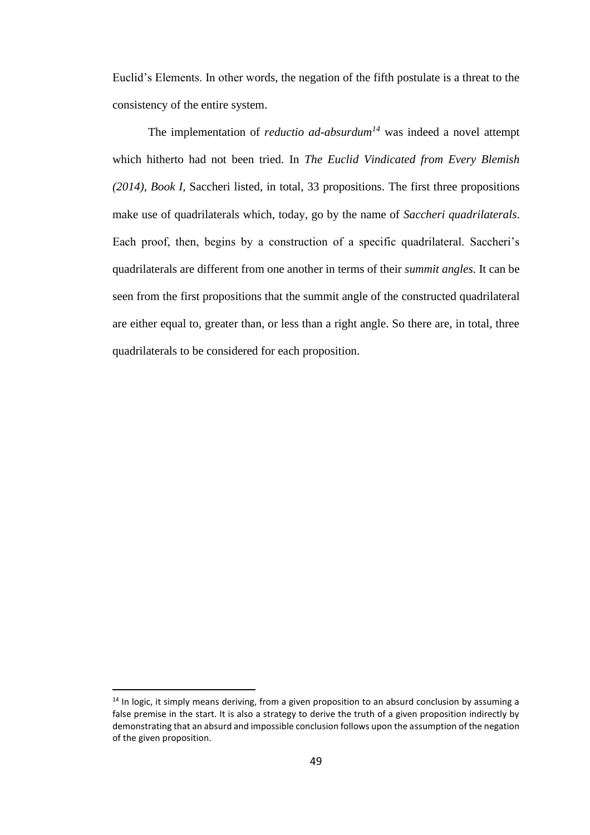Euclid's Elements. In other words, the negation of the fifth postulate is a threat to the consistency of the entire system.

The implementation of *reductio ad-absurdum<sup>14</sup>* was indeed a novel attempt which hitherto had not been tried. In *The Euclid Vindicated from Every Blemish (2014), Book I,* Saccheri listed, in total, 33 propositions. The first three propositions make use of quadrilaterals which, today, go by the name of *Saccheri quadrilaterals*. Each proof, then, begins by a construction of a specific quadrilateral. Saccheri's quadrilaterals are different from one another in terms of their *summit angles.* It can be seen from the first propositions that the summit angle of the constructed quadrilateral are either equal to, greater than, or less than a right angle. So there are, in total, three quadrilaterals to be considered for each proposition.

 $<sup>14</sup>$  In logic, it simply means deriving, from a given proposition to an absurd conclusion by assuming a</sup> false premise in the start. It is also a strategy to derive the truth of a given proposition indirectly by demonstrating that an absurd and impossible conclusion follows upon the assumption of the negation of the given proposition.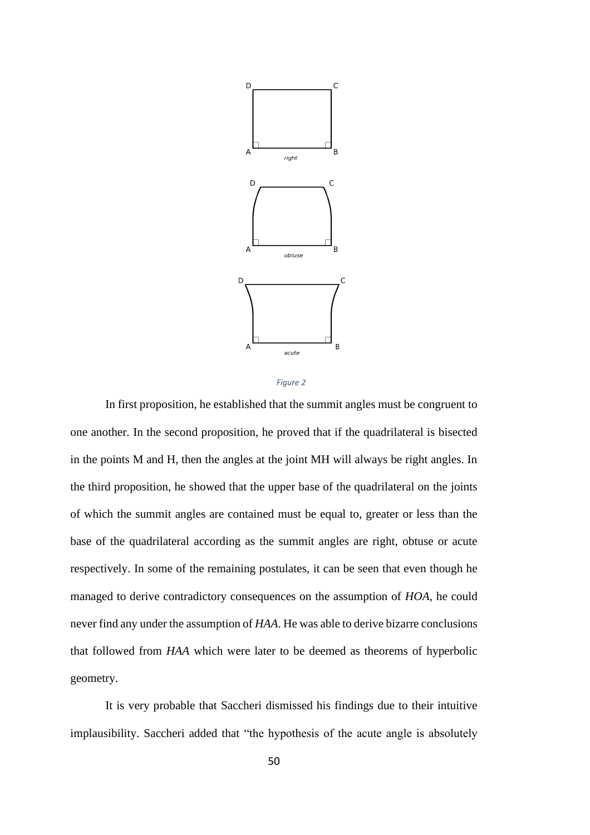



In first proposition, he established that the summit angles must be congruent to one another. In the second proposition, he proved that if the quadrilateral is bisected in the points M and H, then the angles at the joint MH will always be right angles. In the third proposition, he showed that the upper base of the quadrilateral on the joints of which the summit angles are contained must be equal to, greater or less than the base of the quadrilateral according as the summit angles are right, obtuse or acute respectively. In some of the remaining postulates, it can be seen that even though he managed to derive contradictory consequences on the assumption of *HOA,* he could never find any under the assumption of *HAA*. He was able to derive bizarre conclusions that followed from *HAA* which were later to be deemed as theorems of hyperbolic geometry.

It is very probable that Saccheri dismissed his findings due to their intuitive implausibility. Saccheri added that "the hypothesis of the acute angle is absolutely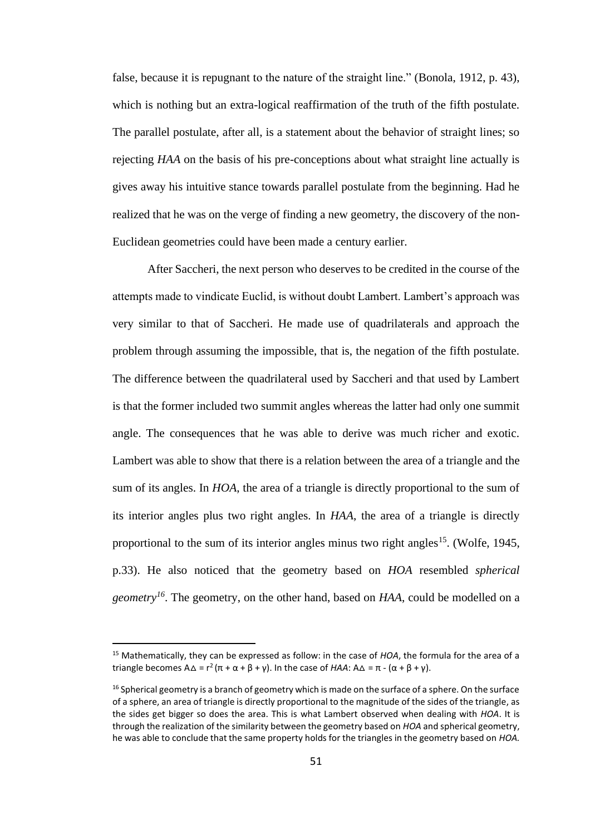false, because it is repugnant to the nature of the straight line." (Bonola, 1912, p. 43), which is nothing but an extra-logical reaffirmation of the truth of the fifth postulate. The parallel postulate, after all, is a statement about the behavior of straight lines; so rejecting *HAA* on the basis of his pre-conceptions about what straight line actually is gives away his intuitive stance towards parallel postulate from the beginning. Had he realized that he was on the verge of finding a new geometry, the discovery of the non-Euclidean geometries could have been made a century earlier.

After Saccheri, the next person who deserves to be credited in the course of the attempts made to vindicate Euclid, is without doubt Lambert. Lambert's approach was very similar to that of Saccheri. He made use of quadrilaterals and approach the problem through assuming the impossible, that is, the negation of the fifth postulate. The difference between the quadrilateral used by Saccheri and that used by Lambert is that the former included two summit angles whereas the latter had only one summit angle. The consequences that he was able to derive was much richer and exotic. Lambert was able to show that there is a relation between the area of a triangle and the sum of its angles. In *HOA*, the area of a triangle is directly proportional to the sum of its interior angles plus two right angles. In *HAA*, the area of a triangle is directly proportional to the sum of its interior angles minus two right angles<sup>15</sup>. (Wolfe, 1945, p.33). He also noticed that the geometry based on *HOA* resembled *spherical geometry<sup>16</sup>*. The geometry, on the other hand, based on *HAA*, could be modelled on a

<sup>15</sup> Mathematically, they can be expressed as follow: in the case of *HOA*, the formula for the area of a triangle becomes  $A\Delta = r^2(\pi + \alpha + \beta + \gamma)$ . In the case of *HAA*:  $A\Delta = \pi - (\alpha + \beta + \gamma)$ .

<sup>&</sup>lt;sup>16</sup> Spherical geometry is a branch of geometry which is made on the surface of a sphere. On the surface of a sphere, an area of triangle is directly proportional to the magnitude of the sides of the triangle, as the sides get bigger so does the area. This is what Lambert observed when dealing with *HOA*. It is through the realization of the similarity between the geometry based on *HOA* and spherical geometry, he was able to conclude that the same property holds for the triangles in the geometry based on *HOA.*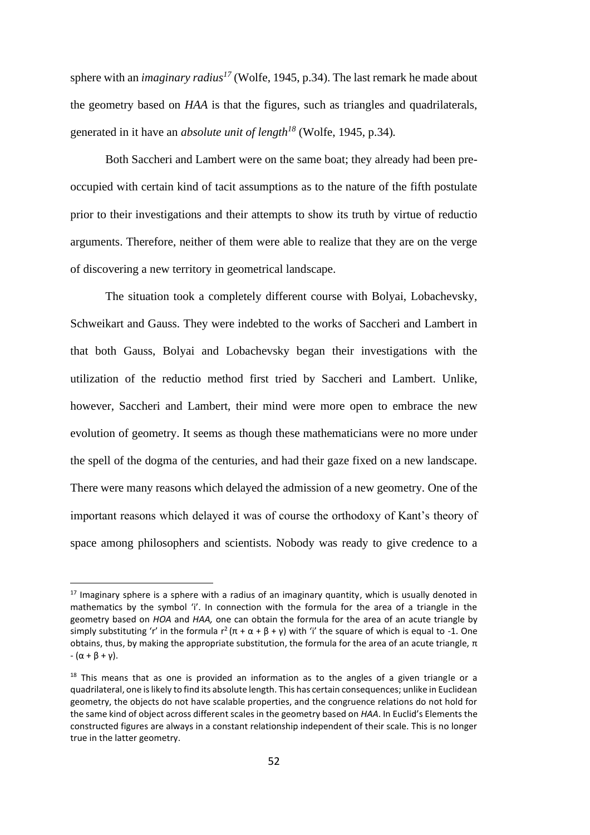sphere with an *imaginary radius<sup>17</sup>* (Wolfe, 1945, p.34). The last remark he made about the geometry based on *HAA* is that the figures, such as triangles and quadrilaterals, generated in it have an *absolute unit of length<sup>18</sup>* (Wolfe, 1945, p.34)*.*

Both Saccheri and Lambert were on the same boat; they already had been preoccupied with certain kind of tacit assumptions as to the nature of the fifth postulate prior to their investigations and their attempts to show its truth by virtue of reductio arguments. Therefore, neither of them were able to realize that they are on the verge of discovering a new territory in geometrical landscape.

The situation took a completely different course with Bolyai, Lobachevsky, Schweikart and Gauss. They were indebted to the works of Saccheri and Lambert in that both Gauss, Bolyai and Lobachevsky began their investigations with the utilization of the reductio method first tried by Saccheri and Lambert. Unlike, however, Saccheri and Lambert, their mind were more open to embrace the new evolution of geometry. It seems as though these mathematicians were no more under the spell of the dogma of the centuries, and had their gaze fixed on a new landscape. There were many reasons which delayed the admission of a new geometry. One of the important reasons which delayed it was of course the orthodoxy of Kant's theory of space among philosophers and scientists. Nobody was ready to give credence to a

 $17$  Imaginary sphere is a sphere with a radius of an imaginary quantity, which is usually denoted in mathematics by the symbol 'i'. In connection with the formula for the area of a triangle in the geometry based on *HOA* and *HAA,* one can obtain the formula for the area of an acute triangle by simply substituting 'r' in the formula  $r^2(\pi + \alpha + \beta + \gamma)$  with 'i' the square of which is equal to -1. One obtains, thus, by making the appropriate substitution, the formula for the area of an acute triangle,  $π$  $-(\alpha + \beta + \gamma).$ 

 $18$  This means that as one is provided an information as to the angles of a given triangle or a quadrilateral, one is likely to find its absolute length. This has certain consequences; unlike in Euclidean geometry, the objects do not have scalable properties, and the congruence relations do not hold for the same kind of object across different scales in the geometry based on *HAA*. In Euclid's Elements the constructed figures are always in a constant relationship independent of their scale. This is no longer true in the latter geometry.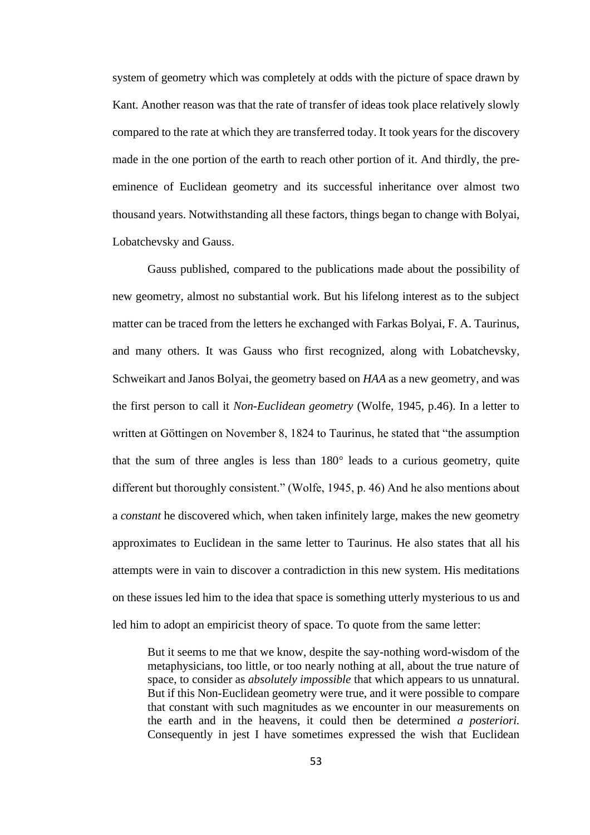system of geometry which was completely at odds with the picture of space drawn by Kant. Another reason was that the rate of transfer of ideas took place relatively slowly compared to the rate at which they are transferred today. It took years for the discovery made in the one portion of the earth to reach other portion of it. And thirdly, the preeminence of Euclidean geometry and its successful inheritance over almost two thousand years. Notwithstanding all these factors, things began to change with Bolyai, Lobatchevsky and Gauss.

Gauss published, compared to the publications made about the possibility of new geometry, almost no substantial work. But his lifelong interest as to the subject matter can be traced from the letters he exchanged with Farkas Bolyai, F. A. Taurinus, and many others. It was Gauss who first recognized, along with Lobatchevsky, Schweikart and Janos Bolyai, the geometry based on *HAA* as a new geometry, and was the first person to call it *Non-Euclidean geometry* (Wolfe, 1945, p.46). In a letter to written at Göttingen on November 8, 1824 to Taurinus, he stated that "the assumption that the sum of three angles is less than 180**°** leads to a curious geometry, quite different but thoroughly consistent." (Wolfe, 1945, p. 46) And he also mentions about a *constant* he discovered which, when taken infinitely large, makes the new geometry approximates to Euclidean in the same letter to Taurinus. He also states that all his attempts were in vain to discover a contradiction in this new system. His meditations on these issues led him to the idea that space is something utterly mysterious to us and led him to adopt an empiricist theory of space. To quote from the same letter:

But it seems to me that we know, despite the say-nothing word-wisdom of the metaphysicians, too little, or too nearly nothing at all, about the true nature of space, to consider as *absolutely impossible* that which appears to us unnatural. But if this Non-Euclidean geometry were true, and it were possible to compare that constant with such magnitudes as we encounter in our measurements on the earth and in the heavens, it could then be determined *a posteriori.* Consequently in jest I have sometimes expressed the wish that Euclidean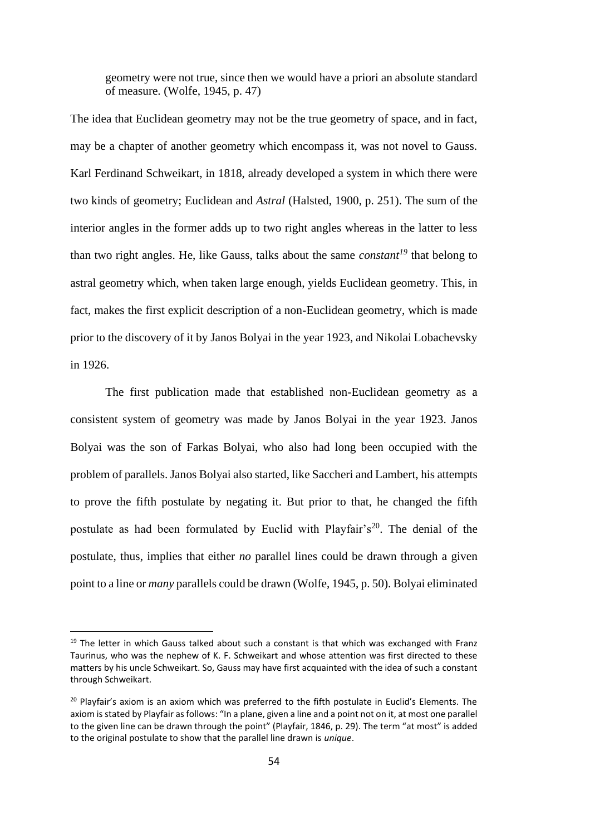geometry were not true, since then we would have a priori an absolute standard of measure. (Wolfe, 1945, p. 47)

The idea that Euclidean geometry may not be the true geometry of space, and in fact, may be a chapter of another geometry which encompass it, was not novel to Gauss. Karl Ferdinand Schweikart, in 1818, already developed a system in which there were two kinds of geometry; Euclidean and *Astral* (Halsted, 1900, p. 251). The sum of the interior angles in the former adds up to two right angles whereas in the latter to less than two right angles. He, like Gauss, talks about the same *constant<sup>19</sup>* that belong to astral geometry which, when taken large enough, yields Euclidean geometry. This, in fact, makes the first explicit description of a non-Euclidean geometry, which is made prior to the discovery of it by Janos Bolyai in the year 1923, and Nikolai Lobachevsky in 1926.

The first publication made that established non-Euclidean geometry as a consistent system of geometry was made by Janos Bolyai in the year 1923. Janos Bolyai was the son of Farkas Bolyai, who also had long been occupied with the problem of parallels. Janos Bolyai also started, like Saccheri and Lambert, his attempts to prove the fifth postulate by negating it. But prior to that, he changed the fifth postulate as had been formulated by Euclid with Playfair's<sup>20</sup>. The denial of the postulate, thus, implies that either *no* parallel lines could be drawn through a given point to a line or *many* parallels could be drawn (Wolfe, 1945, p. 50). Bolyai eliminated

 $19$  The letter in which Gauss talked about such a constant is that which was exchanged with Franz Taurinus, who was the nephew of K. F. Schweikart and whose attention was first directed to these matters by his uncle Schweikart. So, Gauss may have first acquainted with the idea of such a constant through Schweikart.

 $20$  Playfair's axiom is an axiom which was preferred to the fifth postulate in Euclid's Elements. The axiom is stated by Playfair as follows: "In a plane, given a line and a point not on it, at most one parallel to the given line can be drawn through the point" (Playfair, 1846, p. 29). The term "at most" is added to the original postulate to show that the parallel line drawn is *unique*.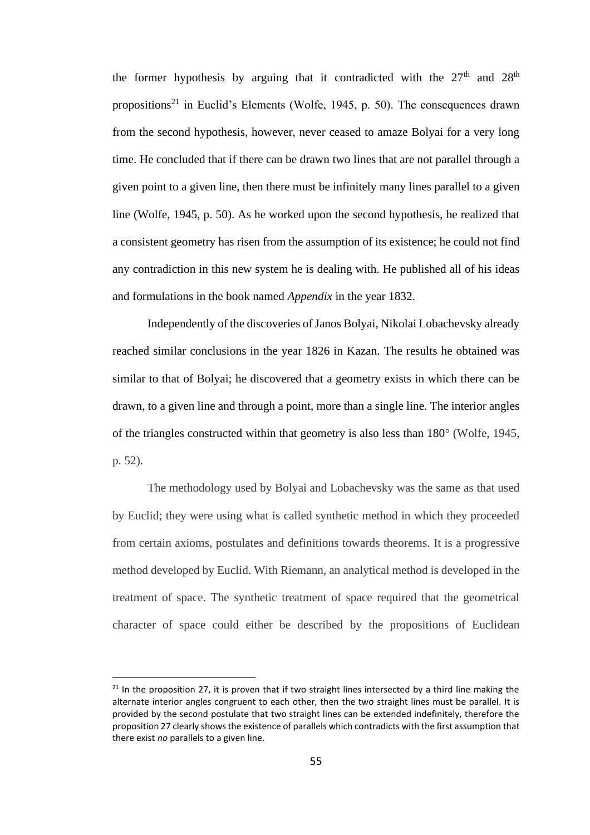the former hypothesis by arguing that it contradicted with the  $27<sup>th</sup>$  and  $28<sup>th</sup>$ propositions<sup>21</sup> in Euclid's Elements (Wolfe, 1945, p. 50). The consequences drawn from the second hypothesis, however, never ceased to amaze Bolyai for a very long time. He concluded that if there can be drawn two lines that are not parallel through a given point to a given line, then there must be infinitely many lines parallel to a given line (Wolfe, 1945, p. 50). As he worked upon the second hypothesis, he realized that a consistent geometry has risen from the assumption of its existence; he could not find any contradiction in this new system he is dealing with. He published all of his ideas and formulations in the book named *Appendix* in the year 1832.

Independently of the discoveries of Janos Bolyai, Nikolai Lobachevsky already reached similar conclusions in the year 1826 in Kazan. The results he obtained was similar to that of Bolyai; he discovered that a geometry exists in which there can be drawn, to a given line and through a point, more than a single line. The interior angles of the triangles constructed within that geometry is also less than 180° (Wolfe, 1945, p. 52).

The methodology used by Bolyai and Lobachevsky was the same as that used by Euclid; they were using what is called synthetic method in which they proceeded from certain axioms, postulates and definitions towards theorems. It is a progressive method developed by Euclid. With Riemann, an analytical method is developed in the treatment of space. The synthetic treatment of space required that the geometrical character of space could either be described by the propositions of Euclidean

 $21$  In the proposition 27, it is proven that if two straight lines intersected by a third line making the alternate interior angles congruent to each other, then the two straight lines must be parallel. It is provided by the second postulate that two straight lines can be extended indefinitely, therefore the proposition 27 clearly shows the existence of parallels which contradicts with the first assumption that there exist *no* parallels to a given line.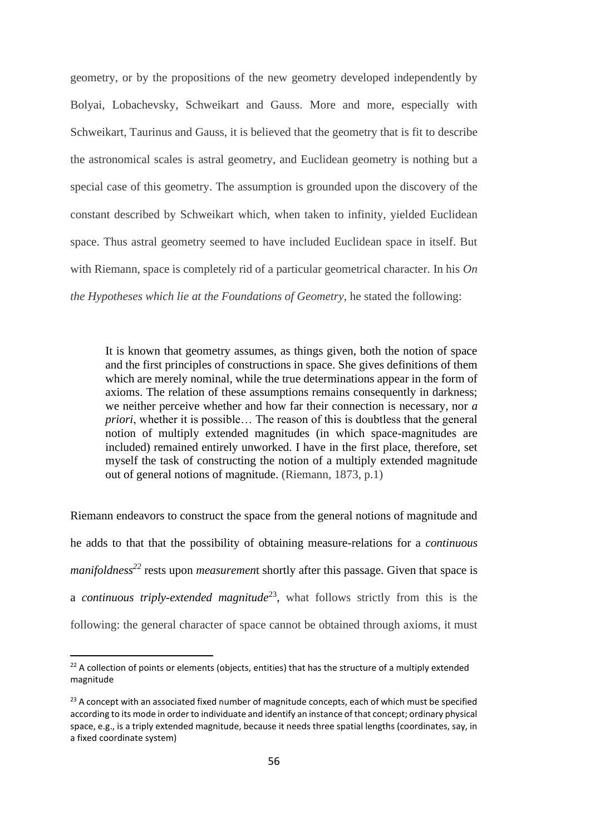geometry, or by the propositions of the new geometry developed independently by Bolyai, Lobachevsky, Schweikart and Gauss. More and more, especially with Schweikart, Taurinus and Gauss, it is believed that the geometry that is fit to describe the astronomical scales is astral geometry, and Euclidean geometry is nothing but a special case of this geometry. The assumption is grounded upon the discovery of the constant described by Schweikart which, when taken to infinity, yielded Euclidean space. Thus astral geometry seemed to have included Euclidean space in itself. But with Riemann, space is completely rid of a particular geometrical character. In his *On the Hypotheses which lie at the Foundations of Geometry*, he stated the following:

It is known that geometry assumes, as things given, both the notion of space and the first principles of constructions in space. She gives definitions of them which are merely nominal, while the true determinations appear in the form of axioms. The relation of these assumptions remains consequently in darkness; we neither perceive whether and how far their connection is necessary, nor *a priori*, whether it is possible… The reason of this is doubtless that the general notion of multiply extended magnitudes (in which space-magnitudes are included) remained entirely unworked. I have in the first place, therefore, set myself the task of constructing the notion of a multiply extended magnitude out of general notions of magnitude. (Riemann, 1873, p.1)

Riemann endeavors to construct the space from the general notions of magnitude and he adds to that that the possibility of obtaining measure-relations for a *continuous manifoldness<sup>22</sup>* rests upon *measuremen*t shortly after this passage. Given that space is a *continuous triply-extended magnitude*<sup>23</sup> , what follows strictly from this is the following: the general character of space cannot be obtained through axioms, it must

<sup>&</sup>lt;sup>22</sup> A collection of points or elements (objects, entities) that has the structure of a multiply extended magnitude

 $23$  A concept with an associated fixed number of magnitude concepts, each of which must be specified according to its mode in order to individuate and identify an instance of that concept; ordinary physical space, e.g., is a triply extended magnitude, because it needs three spatial lengths (coordinates, say, in a fixed coordinate system)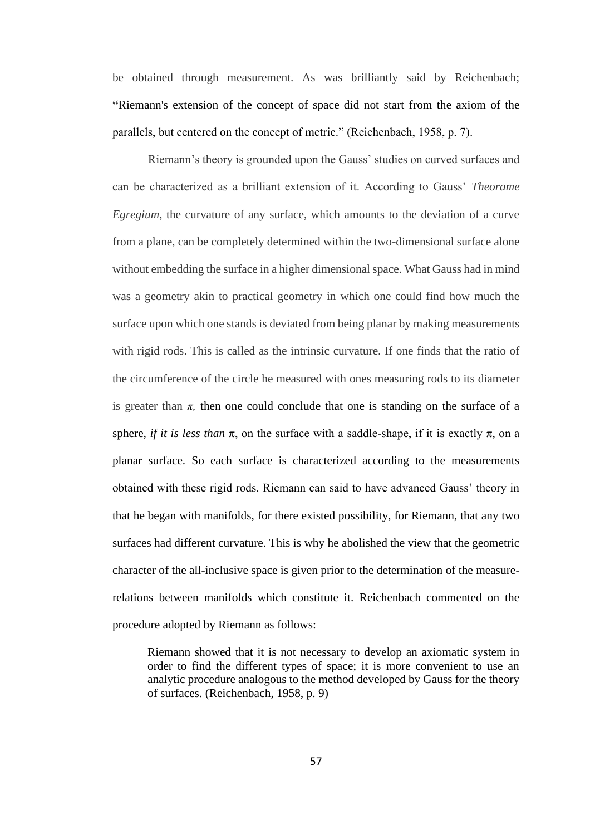be obtained through measurement. As was brilliantly said by Reichenbach; **"**Riemann's extension of the concept of space did not start from the axiom of the parallels, but centered on the concept of metric." (Reichenbach, 1958, p. 7).

Riemann's theory is grounded upon the Gauss' studies on curved surfaces and can be characterized as a brilliant extension of it. According to Gauss' *Theorame Egregium*, the curvature of any surface, which amounts to the deviation of a curve from a plane, can be completely determined within the two-dimensional surface alone without embedding the surface in a higher dimensional space. What Gauss had in mind was a geometry akin to practical geometry in which one could find how much the surface upon which one stands is deviated from being planar by making measurements with rigid rods. This is called as the intrinsic curvature. If one finds that the ratio of the circumference of the circle he measured with ones measuring rods to its diameter is greater than  $\pi$ , then one could conclude that one is standing on the surface of a sphere, *if it is less than*  $\pi$ , on the surface with a saddle-shape, if it is exactly  $\pi$ , on a planar surface. So each surface is characterized according to the measurements obtained with these rigid rods. Riemann can said to have advanced Gauss' theory in that he began with manifolds, for there existed possibility, for Riemann, that any two surfaces had different curvature. This is why he abolished the view that the geometric character of the all-inclusive space is given prior to the determination of the measurerelations between manifolds which constitute it. Reichenbach commented on the procedure adopted by Riemann as follows:

Riemann showed that it is not necessary to develop an axiomatic system in order to find the different types of space; it is more convenient to use an analytic procedure analogous to the method developed by Gauss for the theory of surfaces. (Reichenbach, 1958, p. 9)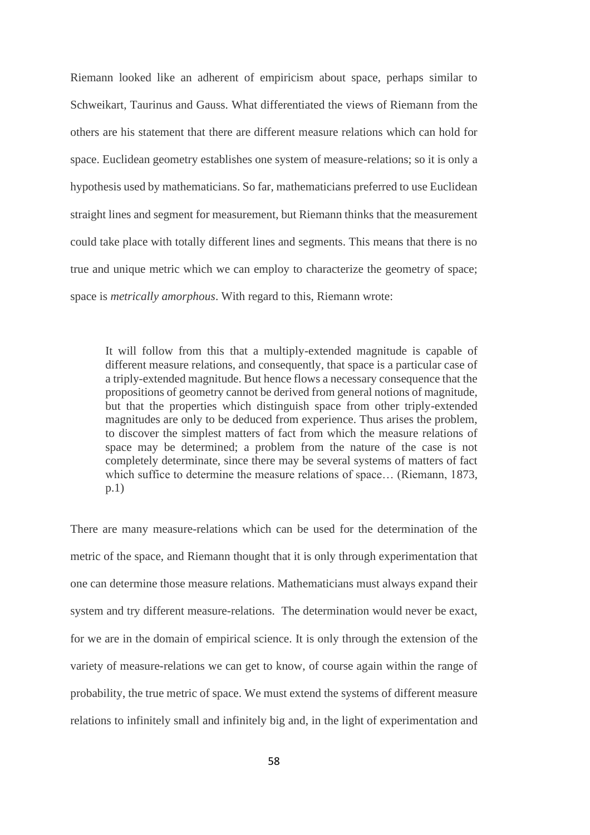Riemann looked like an adherent of empiricism about space, perhaps similar to Schweikart, Taurinus and Gauss. What differentiated the views of Riemann from the others are his statement that there are different measure relations which can hold for space. Euclidean geometry establishes one system of measure-relations; so it is only a hypothesis used by mathematicians. So far, mathematicians preferred to use Euclidean straight lines and segment for measurement, but Riemann thinks that the measurement could take place with totally different lines and segments. This means that there is no true and unique metric which we can employ to characterize the geometry of space; space is *metrically amorphous*. With regard to this, Riemann wrote:

It will follow from this that a multiply-extended magnitude is capable of different measure relations, and consequently, that space is a particular case of a triply-extended magnitude. But hence flows a necessary consequence that the propositions of geometry cannot be derived from general notions of magnitude, but that the properties which distinguish space from other triply-extended magnitudes are only to be deduced from experience. Thus arises the problem, to discover the simplest matters of fact from which the measure relations of space may be determined; a problem from the nature of the case is not completely determinate, since there may be several systems of matters of fact which suffice to determine the measure relations of space… (Riemann, 1873, p.1)

There are many measure-relations which can be used for the determination of the metric of the space, and Riemann thought that it is only through experimentation that one can determine those measure relations. Mathematicians must always expand their system and try different measure-relations. The determination would never be exact, for we are in the domain of empirical science. It is only through the extension of the variety of measure-relations we can get to know, of course again within the range of probability, the true metric of space. We must extend the systems of different measure relations to infinitely small and infinitely big and, in the light of experimentation and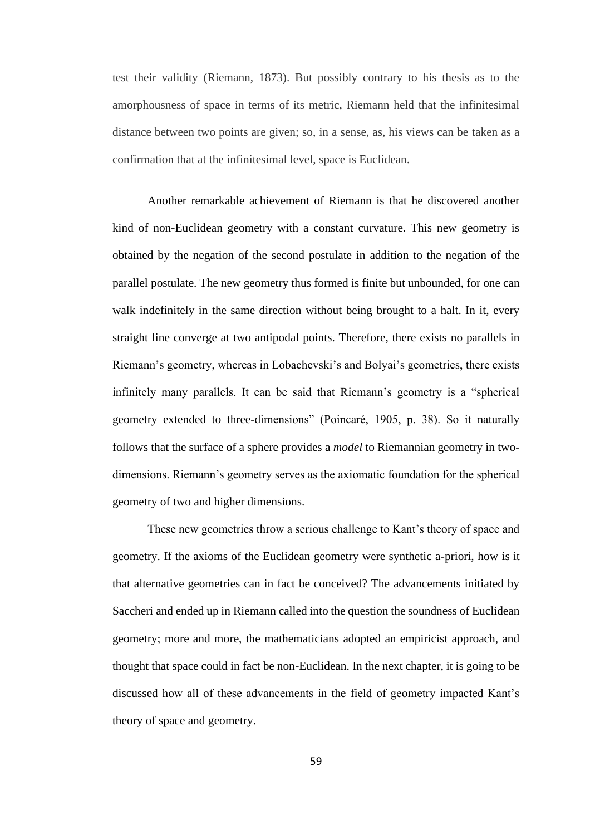test their validity (Riemann, 1873). But possibly contrary to his thesis as to the amorphousness of space in terms of its metric, Riemann held that the infinitesimal distance between two points are given; so, in a sense, as, his views can be taken as a confirmation that at the infinitesimal level, space is Euclidean.

Another remarkable achievement of Riemann is that he discovered another kind of non-Euclidean geometry with a constant curvature. This new geometry is obtained by the negation of the second postulate in addition to the negation of the parallel postulate. The new geometry thus formed is finite but unbounded, for one can walk indefinitely in the same direction without being brought to a halt. In it, every straight line converge at two antipodal points. Therefore, there exists no parallels in Riemann's geometry, whereas in Lobachevski's and Bolyai's geometries, there exists infinitely many parallels. It can be said that Riemann's geometry is a "spherical geometry extended to three-dimensions" (Poincaré, 1905, p. 38). So it naturally follows that the surface of a sphere provides a *model* to Riemannian geometry in twodimensions. Riemann's geometry serves as the axiomatic foundation for the spherical geometry of two and higher dimensions.

These new geometries throw a serious challenge to Kant's theory of space and geometry. If the axioms of the Euclidean geometry were synthetic a-priori, how is it that alternative geometries can in fact be conceived? The advancements initiated by Saccheri and ended up in Riemann called into the question the soundness of Euclidean geometry; more and more, the mathematicians adopted an empiricist approach, and thought that space could in fact be non-Euclidean. In the next chapter, it is going to be discussed how all of these advancements in the field of geometry impacted Kant's theory of space and geometry.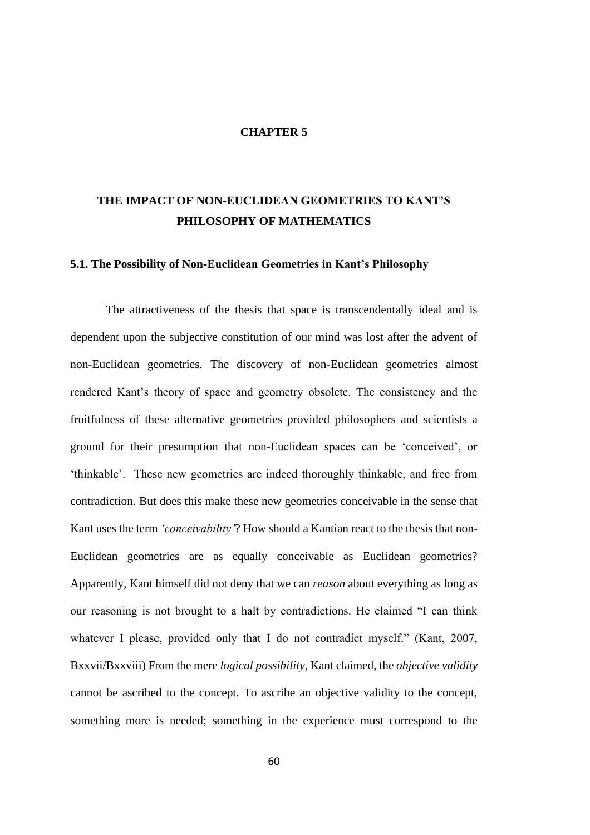#### **CHAPTER 5**

# **THE IMPACT OF NON-EUCLIDEAN GEOMETRIES TO KANT'S PHILOSOPHY OF MATHEMATICS**

## **5.1. The Possibility of Non-Euclidean Geometries in Kant's Philosophy**

The attractiveness of the thesis that space is transcendentally ideal and is dependent upon the subjective constitution of our mind was lost after the advent of non-Euclidean geometries. The discovery of non-Euclidean geometries almost rendered Kant's theory of space and geometry obsolete. The consistency and the fruitfulness of these alternative geometries provided philosophers and scientists a ground for their presumption that non-Euclidean spaces can be 'conceived', or 'thinkable'. These new geometries are indeed thoroughly thinkable, and free from contradiction. But does this make these new geometries conceivable in the sense that Kant uses the term *'conceivability'*? How should a Kantian react to the thesis that non-Euclidean geometries are as equally conceivable as Euclidean geometries? Apparently, Kant himself did not deny that we can *reason* about everything as long as our reasoning is not brought to a halt by contradictions. He claimed "I can think whatever I please, provided only that I do not contradict myself." (Kant, 2007, Bxxvii/Bxxviii) From the mere *logical possibility*, Kant claimed, the *objective validity*  cannot be ascribed to the concept. To ascribe an objective validity to the concept, something more is needed; something in the experience must correspond to the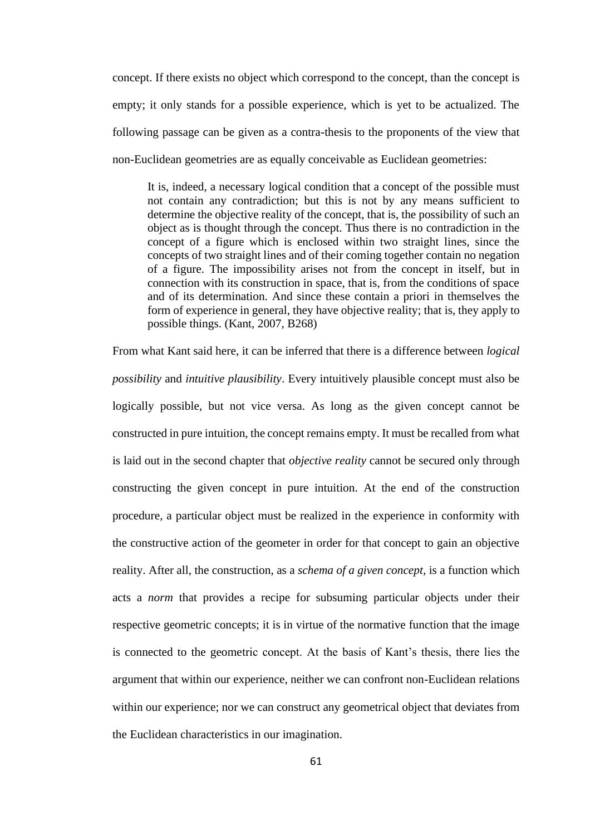concept. If there exists no object which correspond to the concept, than the concept is empty; it only stands for a possible experience, which is yet to be actualized. The following passage can be given as a contra-thesis to the proponents of the view that non-Euclidean geometries are as equally conceivable as Euclidean geometries:

It is, indeed, a necessary logical condition that a concept of the possible must not contain any contradiction; but this is not by any means sufficient to determine the objective reality of the concept, that is, the possibility of such an object as is thought through the concept. Thus there is no contradiction in the concept of a figure which is enclosed within two straight lines, since the concepts of two straight lines and of their coming together contain no negation of a figure. The impossibility arises not from the concept in itself, but in connection with its construction in space, that is, from the conditions of space and of its determination. And since these contain a priori in themselves the form of experience in general, they have objective reality; that is, they apply to possible things. (Kant, 2007, B268)

From what Kant said here, it can be inferred that there is a difference between *logical possibility* and *intuitive plausibility*. Every intuitively plausible concept must also be logically possible, but not vice versa. As long as the given concept cannot be constructed in pure intuition, the concept remains empty. It must be recalled from what is laid out in the second chapter that *objective reality* cannot be secured only through constructing the given concept in pure intuition. At the end of the construction procedure, a particular object must be realized in the experience in conformity with the constructive action of the geometer in order for that concept to gain an objective reality. After all, the construction, as a *schema of a given concept,* is a function which acts a *norm* that provides a recipe for subsuming particular objects under their respective geometric concepts; it is in virtue of the normative function that the image is connected to the geometric concept. At the basis of Kant's thesis, there lies the argument that within our experience, neither we can confront non-Euclidean relations within our experience; nor we can construct any geometrical object that deviates from the Euclidean characteristics in our imagination.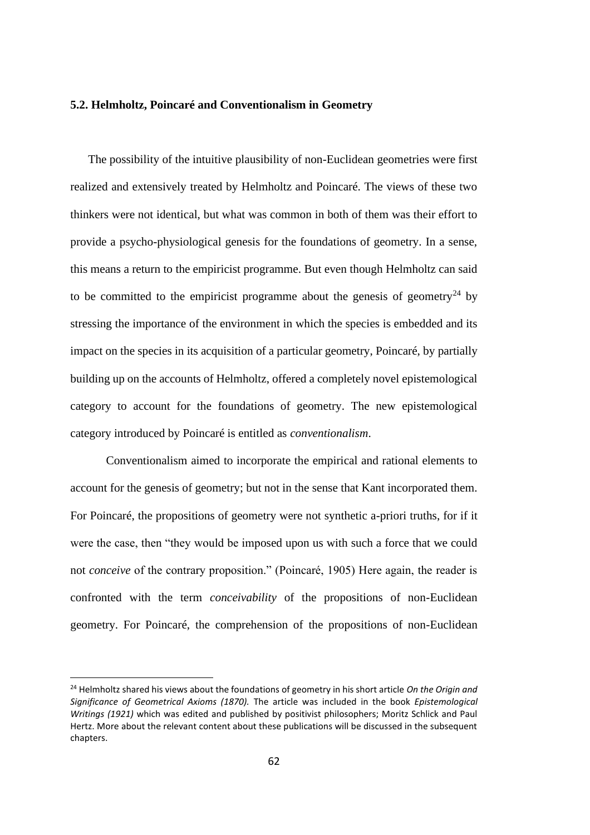## **5.2. Helmholtz, Poincaré and Conventionalism in Geometry**

The possibility of the intuitive plausibility of non-Euclidean geometries were first realized and extensively treated by Helmholtz and Poincaré. The views of these two thinkers were not identical, but what was common in both of them was their effort to provide a psycho-physiological genesis for the foundations of geometry. In a sense, this means a return to the empiricist programme. But even though Helmholtz can said to be committed to the empiricist programme about the genesis of geometry<sup>24</sup> by stressing the importance of the environment in which the species is embedded and its impact on the species in its acquisition of a particular geometry, Poincaré, by partially building up on the accounts of Helmholtz, offered a completely novel epistemological category to account for the foundations of geometry. The new epistemological category introduced by Poincaré is entitled as *conventionalism*.

Conventionalism aimed to incorporate the empirical and rational elements to account for the genesis of geometry; but not in the sense that Kant incorporated them. For Poincaré, the propositions of geometry were not synthetic a-priori truths, for if it were the case, then "they would be imposed upon us with such a force that we could not *conceive* of the contrary proposition." (Poincaré, 1905) Here again, the reader is confronted with the term *conceivability* of the propositions of non-Euclidean geometry. For Poincaré, the comprehension of the propositions of non-Euclidean

<sup>24</sup> Helmholtz shared his views about the foundations of geometry in his short article *On the Origin and Significance of Geometrical Axioms (1870).* The article was included in the book *Epistemological Writings (1921)* which was edited and published by positivist philosophers; Moritz Schlick and Paul Hertz. More about the relevant content about these publications will be discussed in the subsequent chapters.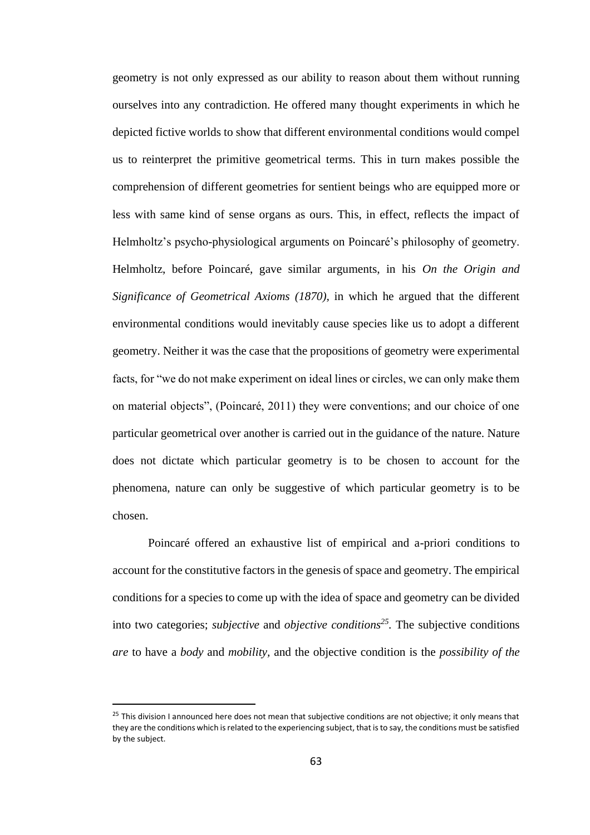geometry is not only expressed as our ability to reason about them without running ourselves into any contradiction. He offered many thought experiments in which he depicted fictive worlds to show that different environmental conditions would compel us to reinterpret the primitive geometrical terms. This in turn makes possible the comprehension of different geometries for sentient beings who are equipped more or less with same kind of sense organs as ours. This, in effect, reflects the impact of Helmholtz's psycho-physiological arguments on Poincaré's philosophy of geometry. Helmholtz, before Poincaré, gave similar arguments, in his *On the Origin and Significance of Geometrical Axioms (1870),* in which he argued that the different environmental conditions would inevitably cause species like us to adopt a different geometry. Neither it was the case that the propositions of geometry were experimental facts, for "we do not make experiment on ideal lines or circles, we can only make them on material objects", (Poincaré, 2011) they were conventions; and our choice of one particular geometrical over another is carried out in the guidance of the nature. Nature does not dictate which particular geometry is to be chosen to account for the phenomena, nature can only be suggestive of which particular geometry is to be chosen.

Poincaré offered an exhaustive list of empirical and a-priori conditions to account for the constitutive factors in the genesis of space and geometry. The empirical conditions for a species to come up with the idea of space and geometry can be divided into two categories; *subjective* and *objective conditions<sup>25</sup> .* The subjective conditions *are* to have a *body* and *mobility,* and the objective condition is the *possibility of the* 

<sup>&</sup>lt;sup>25</sup> This division I announced here does not mean that subjective conditions are not objective; it only means that they are the conditions which is related to the experiencing subject, that is to say, the conditions must be satisfied by the subject.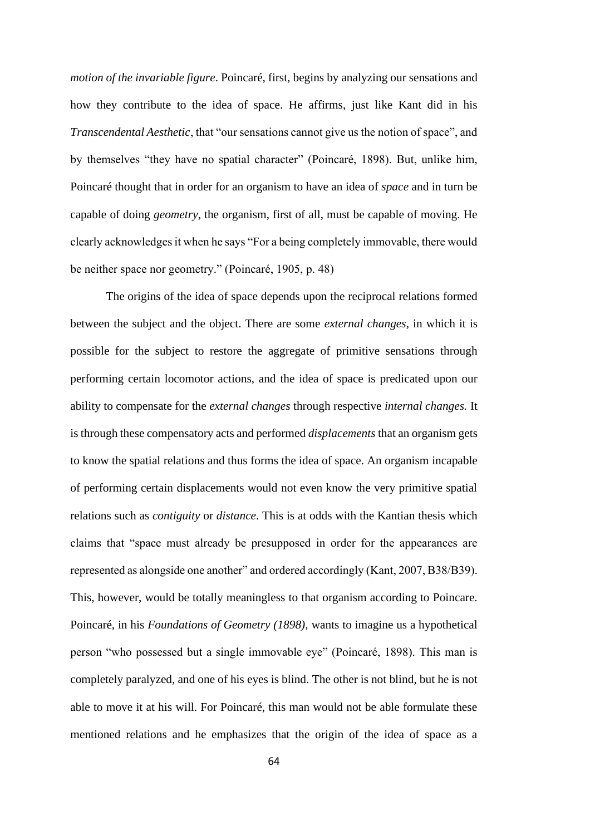*motion of the invariable figure*. Poincaré, first, begins by analyzing our sensations and how they contribute to the idea of space. He affirms, just like Kant did in his *Transcendental Aesthetic*, that "our sensations cannot give us the notion of space", and by themselves "they have no spatial character" (Poincaré, 1898). But, unlike him, Poincaré thought that in order for an organism to have an idea of *space* and in turn be capable of doing *geometry*, the organism, first of all, must be capable of moving. He clearly acknowledges it when he says "For a being completely immovable, there would be neither space nor geometry." (Poincaré, 1905, p. 48)

The origins of the idea of space depends upon the reciprocal relations formed between the subject and the object. There are some *external changes*, in which it is possible for the subject to restore the aggregate of primitive sensations through performing certain locomotor actions, and the idea of space is predicated upon our ability to compensate for the *external changes* through respective *internal changes.* It is through these compensatory acts and performed *displacements* that an organism gets to know the spatial relations and thus forms the idea of space. An organism incapable of performing certain displacements would not even know the very primitive spatial relations such as *contiguity* or *distance*. This is at odds with the Kantian thesis which claims that "space must already be presupposed in order for the appearances are represented as alongside one another" and ordered accordingly (Kant, 2007, B38/B39). This, however, would be totally meaningless to that organism according to Poincare. Poincaré, in his *Foundations of Geometry (1898),* wants to imagine us a hypothetical person "who possessed but a single immovable eye" (Poincaré, 1898). This man is completely paralyzed, and one of his eyes is blind. The other is not blind, but he is not able to move it at his will. For Poincaré, this man would not be able formulate these mentioned relations and he emphasizes that the origin of the idea of space as a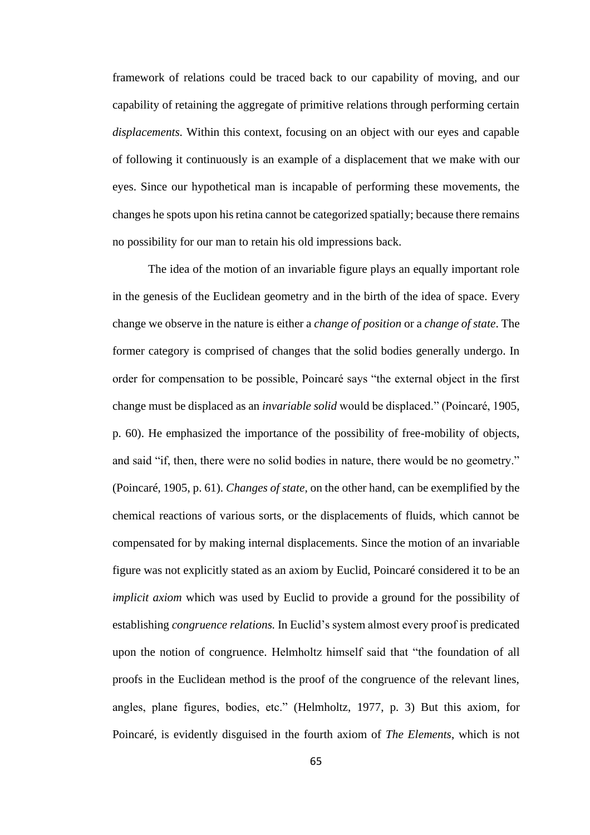framework of relations could be traced back to our capability of moving, and our capability of retaining the aggregate of primitive relations through performing certain *displacements.* Within this context, focusing on an object with our eyes and capable of following it continuously is an example of a displacement that we make with our eyes. Since our hypothetical man is incapable of performing these movements, the changes he spots upon his retina cannot be categorized spatially; because there remains no possibility for our man to retain his old impressions back.

The idea of the motion of an invariable figure plays an equally important role in the genesis of the Euclidean geometry and in the birth of the idea of space. Every change we observe in the nature is either a *change of position* or a *change of state*. The former category is comprised of changes that the solid bodies generally undergo. In order for compensation to be possible, Poincaré says "the external object in the first change must be displaced as an *invariable solid* would be displaced." (Poincaré, 1905, p. 60). He emphasized the importance of the possibility of free-mobility of objects, and said "if, then, there were no solid bodies in nature, there would be no geometry." (Poincaré, 1905, p. 61). *Changes of state,* on the other hand, can be exemplified by the chemical reactions of various sorts, or the displacements of fluids, which cannot be compensated for by making internal displacements. Since the motion of an invariable figure was not explicitly stated as an axiom by Euclid, Poincaré considered it to be an *implicit axiom* which was used by Euclid to provide a ground for the possibility of establishing *congruence relations.* In Euclid's system almost every proof is predicated upon the notion of congruence. Helmholtz himself said that "the foundation of all proofs in the Euclidean method is the proof of the congruence of the relevant lines, angles, plane figures, bodies, etc." (Helmholtz, 1977, p. 3) But this axiom, for Poincaré, is evidently disguised in the fourth axiom of *The Elements*, which is not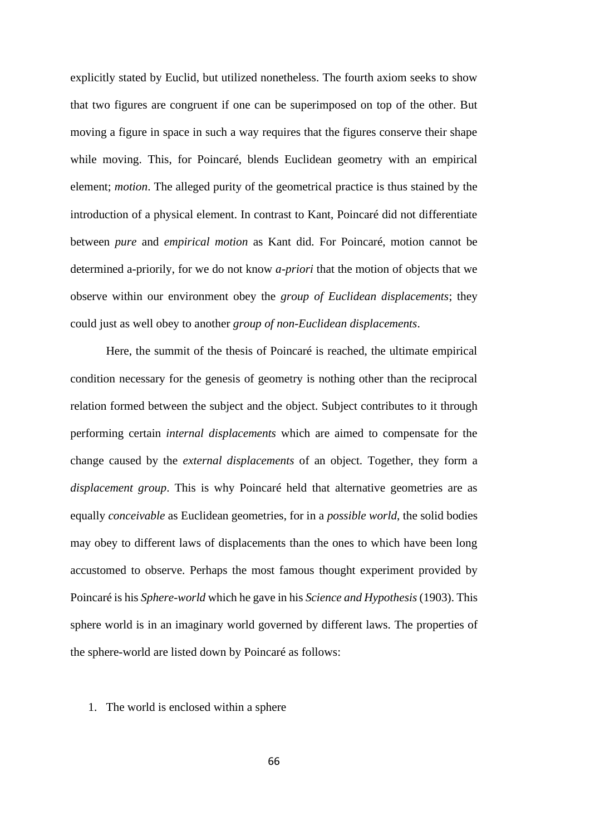explicitly stated by Euclid, but utilized nonetheless. The fourth axiom seeks to show that two figures are congruent if one can be superimposed on top of the other. But moving a figure in space in such a way requires that the figures conserve their shape while moving. This, for Poincaré, blends Euclidean geometry with an empirical element; *motion*. The alleged purity of the geometrical practice is thus stained by the introduction of a physical element. In contrast to Kant, Poincaré did not differentiate between *pure* and *empirical motion* as Kant did. For Poincaré, motion cannot be determined a-priorily, for we do not know *a-priori* that the motion of objects that we observe within our environment obey the *group of Euclidean displacements*; they could just as well obey to another *group of non-Euclidean displacements*.

Here, the summit of the thesis of Poincaré is reached, the ultimate empirical condition necessary for the genesis of geometry is nothing other than the reciprocal relation formed between the subject and the object. Subject contributes to it through performing certain *internal displacements* which are aimed to compensate for the change caused by the *external displacements* of an object. Together, they form a *displacement group*. This is why Poincaré held that alternative geometries are as equally *conceivable* as Euclidean geometries, for in a *possible world*, the solid bodies may obey to different laws of displacements than the ones to which have been long accustomed to observe. Perhaps the most famous thought experiment provided by Poincaré is his *Sphere-world* which he gave in his *Science and Hypothesis* (1903). This sphere world is in an imaginary world governed by different laws. The properties of the sphere-world are listed down by Poincaré as follows:

### 1. The world is enclosed within a sphere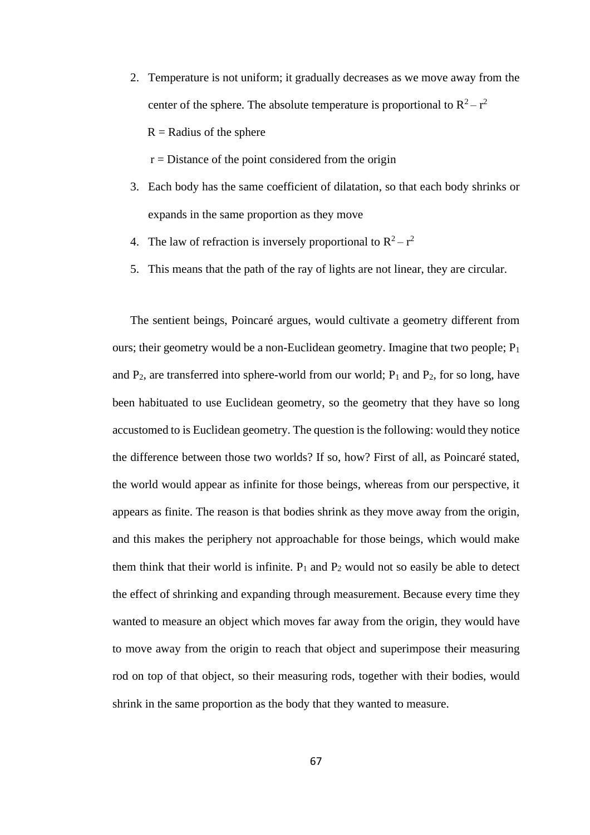2. Temperature is not uniform; it gradually decreases as we move away from the center of the sphere. The absolute temperature is proportional to  $R^2 - r^2$  $R =$ Radius of the sphere

 $r = Distance$  of the point considered from the origin

- 3. Each body has the same coefficient of dilatation, so that each body shrinks or expands in the same proportion as they move
- 4. The law of refraction is inversely proportional to  $R^2 r^2$
- 5. This means that the path of the ray of lights are not linear, they are circular.

The sentient beings, Poincaré argues, would cultivate a geometry different from ours; their geometry would be a non-Euclidean geometry. Imagine that two people;  $P_1$ and  $P_2$ , are transferred into sphere-world from our world;  $P_1$  and  $P_2$ , for so long, have been habituated to use Euclidean geometry, so the geometry that they have so long accustomed to is Euclidean geometry. The question is the following: would they notice the difference between those two worlds? If so, how? First of all, as Poincaré stated, the world would appear as infinite for those beings, whereas from our perspective, it appears as finite. The reason is that bodies shrink as they move away from the origin, and this makes the periphery not approachable for those beings, which would make them think that their world is infinite.  $P_1$  and  $P_2$  would not so easily be able to detect the effect of shrinking and expanding through measurement. Because every time they wanted to measure an object which moves far away from the origin, they would have to move away from the origin to reach that object and superimpose their measuring rod on top of that object, so their measuring rods, together with their bodies, would shrink in the same proportion as the body that they wanted to measure.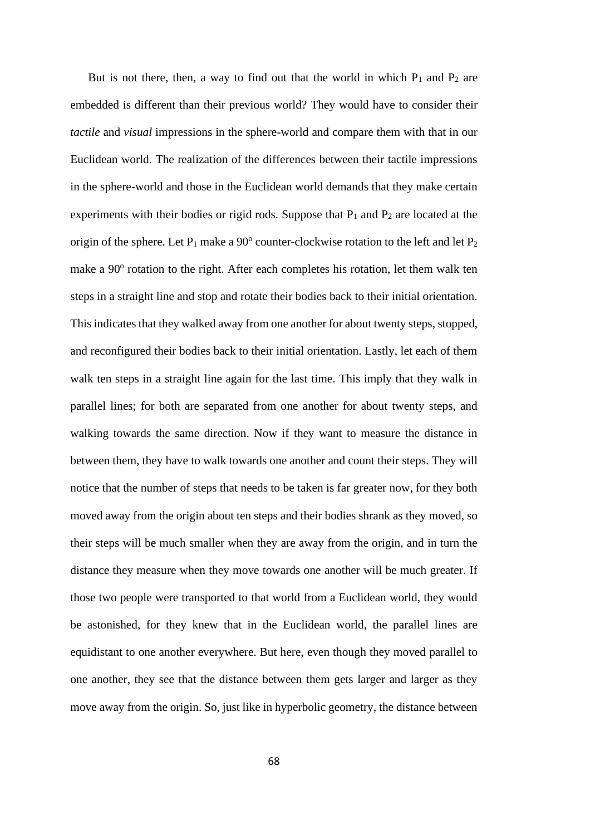But is not there, then, a way to find out that the world in which  $P_1$  and  $P_2$  are embedded is different than their previous world? They would have to consider their *tactile* and *visual* impressions in the sphere-world and compare them with that in our Euclidean world. The realization of the differences between their tactile impressions in the sphere-world and those in the Euclidean world demands that they make certain experiments with their bodies or rigid rods. Suppose that  $P_1$  and  $P_2$  are located at the origin of the sphere. Let  $P_1$  make a 90 $^{\circ}$  counter-clockwise rotation to the left and let  $P_2$ make a 90° rotation to the right. After each completes his rotation, let them walk ten steps in a straight line and stop and rotate their bodies back to their initial orientation. This indicates that they walked away from one another for about twenty steps, stopped, and reconfigured their bodies back to their initial orientation. Lastly, let each of them walk ten steps in a straight line again for the last time. This imply that they walk in parallel lines; for both are separated from one another for about twenty steps, and walking towards the same direction. Now if they want to measure the distance in between them, they have to walk towards one another and count their steps. They will notice that the number of steps that needs to be taken is far greater now, for they both moved away from the origin about ten steps and their bodies shrank as they moved, so their steps will be much smaller when they are away from the origin, and in turn the distance they measure when they move towards one another will be much greater. If those two people were transported to that world from a Euclidean world, they would be astonished, for they knew that in the Euclidean world, the parallel lines are equidistant to one another everywhere. But here, even though they moved parallel to one another, they see that the distance between them gets larger and larger as they move away from the origin. So, just like in hyperbolic geometry, the distance between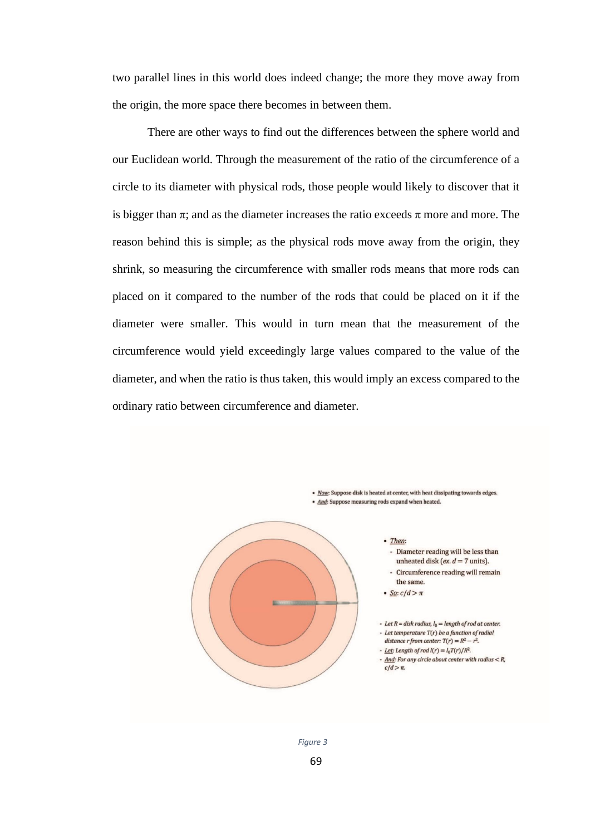two parallel lines in this world does indeed change; the more they move away from the origin, the more space there becomes in between them.

There are other ways to find out the differences between the sphere world and our Euclidean world. Through the measurement of the ratio of the circumference of a circle to its diameter with physical rods, those people would likely to discover that it is bigger than  $\pi$ ; and as the diameter increases the ratio exceeds  $\pi$  more and more. The reason behind this is simple; as the physical rods move away from the origin, they shrink, so measuring the circumference with smaller rods means that more rods can placed on it compared to the number of the rods that could be placed on it if the diameter were smaller. This would in turn mean that the measurement of the circumference would yield exceedingly large values compared to the value of the diameter, and when the ratio is thus taken, this would imply an excess compared to the ordinary ratio between circumference and diameter.



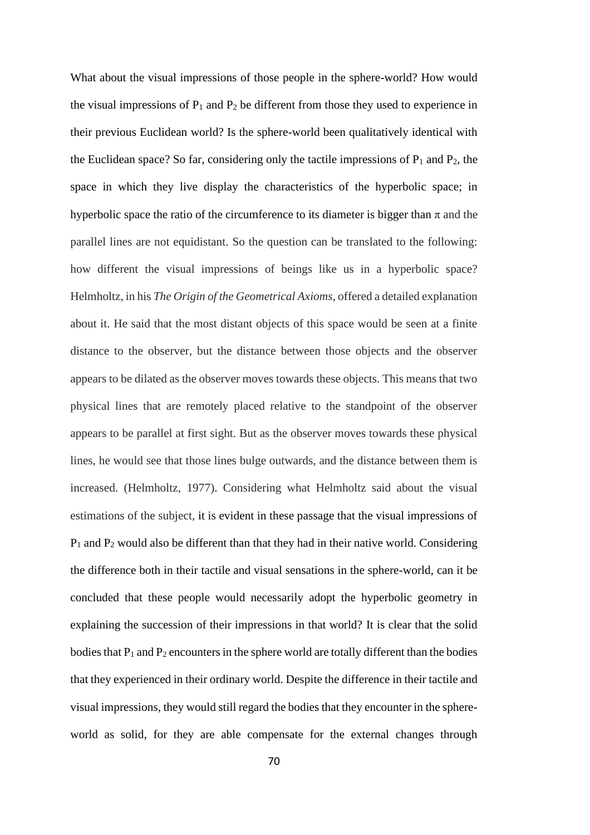What about the visual impressions of those people in the sphere-world? How would the visual impressions of  $P_1$  and  $P_2$  be different from those they used to experience in their previous Euclidean world? Is the sphere-world been qualitatively identical with the Euclidean space? So far, considering only the tactile impressions of  $P_1$  and  $P_2$ , the space in which they live display the characteristics of the hyperbolic space; in hyperbolic space the ratio of the circumference to its diameter is bigger than  $\pi$  and the parallel lines are not equidistant. So the question can be translated to the following: how different the visual impressions of beings like us in a hyperbolic space? Helmholtz, in his *The Origin of the Geometrical Axioms*, offered a detailed explanation about it. He said that the most distant objects of this space would be seen at a finite distance to the observer, but the distance between those objects and the observer appears to be dilated as the observer moves towards these objects. This means that two physical lines that are remotely placed relative to the standpoint of the observer appears to be parallel at first sight. But as the observer moves towards these physical lines, he would see that those lines bulge outwards, and the distance between them is increased. (Helmholtz, 1977). Considering what Helmholtz said about the visual estimations of the subject, it is evident in these passage that the visual impressions of  $P_1$  and  $P_2$  would also be different than that they had in their native world. Considering the difference both in their tactile and visual sensations in the sphere-world, can it be concluded that these people would necessarily adopt the hyperbolic geometry in explaining the succession of their impressions in that world? It is clear that the solid bodies that  $P_1$  and  $P_2$  encounters in the sphere world are totally different than the bodies that they experienced in their ordinary world. Despite the difference in their tactile and visual impressions, they would still regard the bodies that they encounter in the sphereworld as solid, for they are able compensate for the external changes through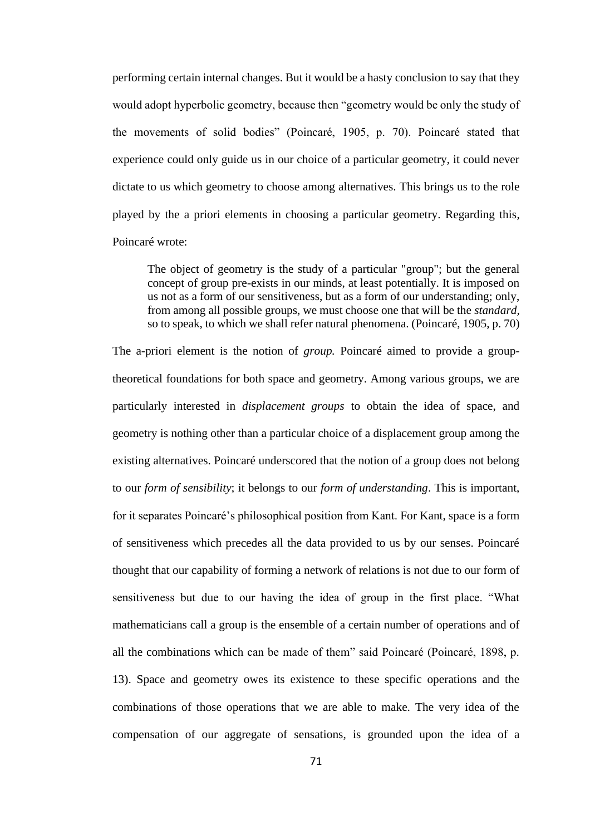performing certain internal changes. But it would be a hasty conclusion to say that they would adopt hyperbolic geometry, because then "geometry would be only the study of the movements of solid bodies" (Poincaré, 1905, p. 70). Poincaré stated that experience could only guide us in our choice of a particular geometry, it could never dictate to us which geometry to choose among alternatives. This brings us to the role played by the a priori elements in choosing a particular geometry. Regarding this, Poincaré wrote:

The object of geometry is the study of a particular "group"; but the general concept of group pre-exists in our minds, at least potentially. It is imposed on us not as a form of our sensitiveness, but as a form of our understanding; only, from among all possible groups, we must choose one that will be the *standard,*  so to speak, to which we shall refer natural phenomena. (Poincaré, 1905, p. 70)

The a-priori element is the notion of *group.* Poincaré aimed to provide a grouptheoretical foundations for both space and geometry. Among various groups, we are particularly interested in *displacement groups* to obtain the idea of space, and geometry is nothing other than a particular choice of a displacement group among the existing alternatives. Poincaré underscored that the notion of a group does not belong to our *form of sensibility*; it belongs to our *form of understanding*. This is important, for it separates Poincaré's philosophical position from Kant. For Kant, space is a form of sensitiveness which precedes all the data provided to us by our senses. Poincaré thought that our capability of forming a network of relations is not due to our form of sensitiveness but due to our having the idea of group in the first place. "What mathematicians call a group is the ensemble of a certain number of operations and of all the combinations which can be made of them" said Poincaré (Poincaré, 1898, p. 13). Space and geometry owes its existence to these specific operations and the combinations of those operations that we are able to make. The very idea of the compensation of our aggregate of sensations, is grounded upon the idea of a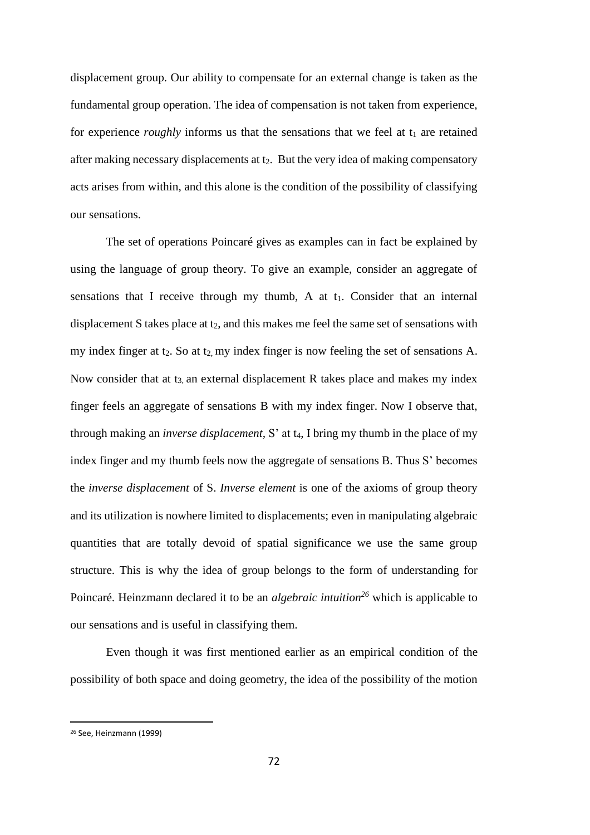displacement group. Our ability to compensate for an external change is taken as the fundamental group operation. The idea of compensation is not taken from experience, for experience *roughly* informs us that the sensations that we feel at  $t_1$  are retained after making necessary displacements at t<sub>2</sub>. But the very idea of making compensatory acts arises from within, and this alone is the condition of the possibility of classifying our sensations.

The set of operations Poincaré gives as examples can in fact be explained by using the language of group theory. To give an example, consider an aggregate of sensations that I receive through my thumb, A at  $t_1$ . Consider that an internal displacement S takes place at  $t_2$ , and this makes me feel the same set of sensations with my index finger at  $t_2$ . So at  $t_2$ , my index finger is now feeling the set of sensations A. Now consider that at  $t_3$  an external displacement R takes place and makes my index finger feels an aggregate of sensations B with my index finger. Now I observe that, through making an *inverse displacement*, S' at t<sub>4</sub>, I bring my thumb in the place of my index finger and my thumb feels now the aggregate of sensations B. Thus S' becomes the *inverse displacement* of S. *Inverse element* is one of the axioms of group theory and its utilization is nowhere limited to displacements; even in manipulating algebraic quantities that are totally devoid of spatial significance we use the same group structure. This is why the idea of group belongs to the form of understanding for Poincaré. Heinzmann declared it to be an *algebraic intuition<sup>26</sup>* which is applicable to our sensations and is useful in classifying them.

Even though it was first mentioned earlier as an empirical condition of the possibility of both space and doing geometry, the idea of the possibility of the motion

<sup>26</sup> See, Heinzmann (1999)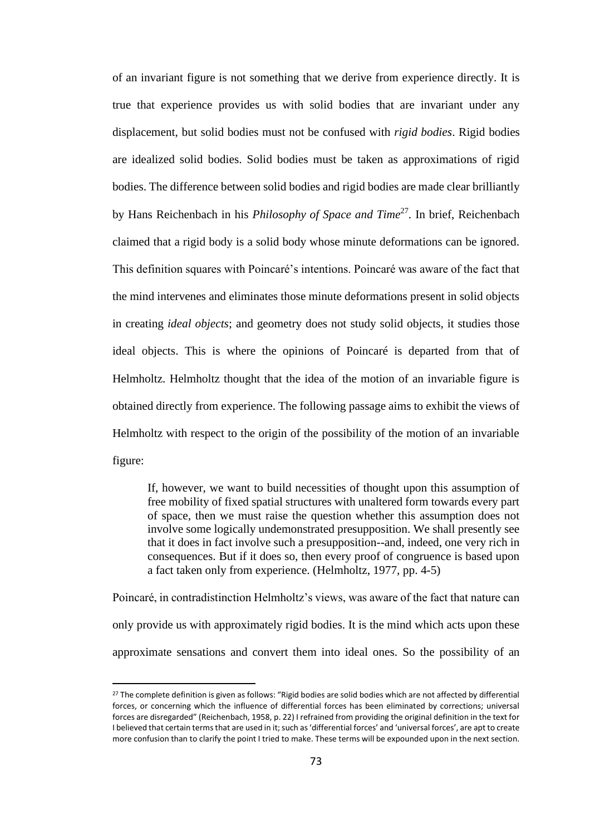of an invariant figure is not something that we derive from experience directly. It is true that experience provides us with solid bodies that are invariant under any displacement, but solid bodies must not be confused with *rigid bodies*. Rigid bodies are idealized solid bodies. Solid bodies must be taken as approximations of rigid bodies. The difference between solid bodies and rigid bodies are made clear brilliantly by Hans Reichenbach in his *Philosophy of Space and Time*<sup>27</sup>. In brief, Reichenbach claimed that a rigid body is a solid body whose minute deformations can be ignored. This definition squares with Poincaré's intentions. Poincaré was aware of the fact that the mind intervenes and eliminates those minute deformations present in solid objects in creating *ideal objects*; and geometry does not study solid objects, it studies those ideal objects. This is where the opinions of Poincaré is departed from that of Helmholtz. Helmholtz thought that the idea of the motion of an invariable figure is obtained directly from experience. The following passage aims to exhibit the views of Helmholtz with respect to the origin of the possibility of the motion of an invariable figure:

If, however, we want to build necessities of thought upon this assumption of free mobility of fixed spatial structures with unaltered form towards every part of space, then we must raise the question whether this assumption does not involve some logically undemonstrated presupposition. We shall presently see that it does in fact involve such a presupposition--and, indeed, one very rich in consequences. But if it does so, then every proof of congruence is based upon a fact taken only from experience. (Helmholtz, 1977, pp. 4-5)

Poincaré, in contradistinction Helmholtz's views, was aware of the fact that nature can only provide us with approximately rigid bodies. It is the mind which acts upon these approximate sensations and convert them into ideal ones. So the possibility of an

<sup>&</sup>lt;sup>27</sup> The complete definition is given as follows: "Rigid bodies are solid bodies which are not affected by differential forces, or concerning which the influence of differential forces has been eliminated by corrections; universal forces are disregarded" (Reichenbach, 1958, p. 22) I refrained from providing the original definition in the text for I believed that certain terms that are used in it; such as 'differential forces' and 'universal forces', are apt to create more confusion than to clarify the point I tried to make. These terms will be expounded upon in the next section.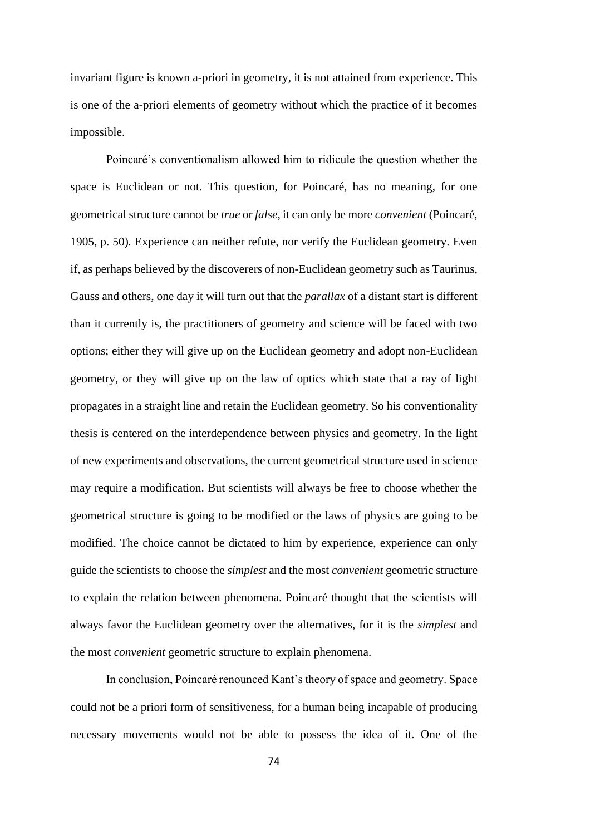invariant figure is known a-priori in geometry, it is not attained from experience. This is one of the a-priori elements of geometry without which the practice of it becomes impossible.

Poincaré's conventionalism allowed him to ridicule the question whether the space is Euclidean or not. This question, for Poincaré, has no meaning, for one geometrical structure cannot be *true* or *false,* it can only be more *convenient* (Poincaré, 1905, p. 50)*.* Experience can neither refute, nor verify the Euclidean geometry. Even if, as perhaps believed by the discoverers of non-Euclidean geometry such as Taurinus, Gauss and others, one day it will turn out that the *parallax* of a distant start is different than it currently is, the practitioners of geometry and science will be faced with two options; either they will give up on the Euclidean geometry and adopt non-Euclidean geometry, or they will give up on the law of optics which state that a ray of light propagates in a straight line and retain the Euclidean geometry. So his conventionality thesis is centered on the interdependence between physics and geometry. In the light of new experiments and observations, the current geometrical structure used in science may require a modification. But scientists will always be free to choose whether the geometrical structure is going to be modified or the laws of physics are going to be modified. The choice cannot be dictated to him by experience, experience can only guide the scientists to choose the *simplest* and the most *convenient* geometric structure to explain the relation between phenomena. Poincaré thought that the scientists will always favor the Euclidean geometry over the alternatives, for it is the *simplest* and the most *convenient* geometric structure to explain phenomena.

In conclusion, Poincaré renounced Kant's theory of space and geometry. Space could not be a priori form of sensitiveness, for a human being incapable of producing necessary movements would not be able to possess the idea of it. One of the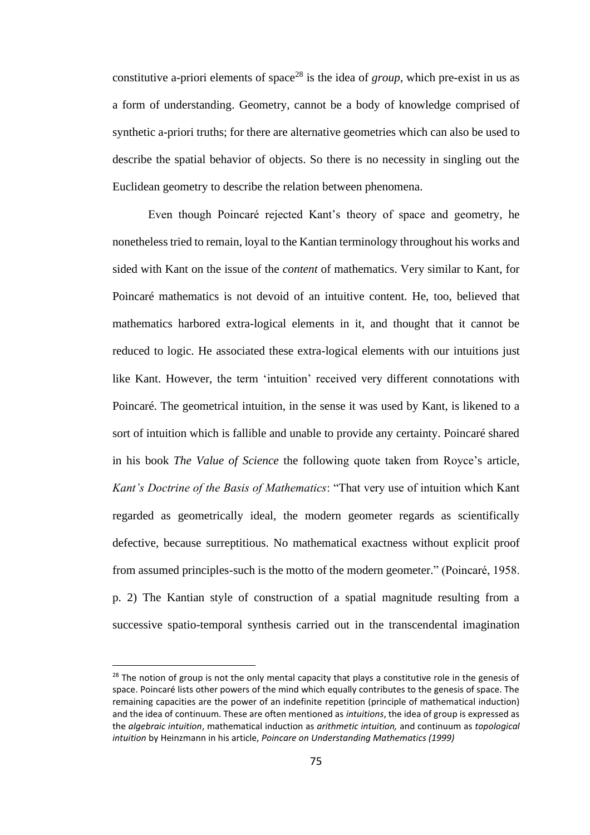constitutive a-priori elements of space<sup>28</sup> is the idea of *group*, which pre-exist in us as a form of understanding. Geometry, cannot be a body of knowledge comprised of synthetic a-priori truths; for there are alternative geometries which can also be used to describe the spatial behavior of objects. So there is no necessity in singling out the Euclidean geometry to describe the relation between phenomena.

Even though Poincaré rejected Kant's theory of space and geometry, he nonetheless tried to remain, loyal to the Kantian terminology throughout his works and sided with Kant on the issue of the *content* of mathematics. Very similar to Kant, for Poincaré mathematics is not devoid of an intuitive content. He, too, believed that mathematics harbored extra-logical elements in it, and thought that it cannot be reduced to logic. He associated these extra-logical elements with our intuitions just like Kant. However, the term 'intuition' received very different connotations with Poincaré. The geometrical intuition, in the sense it was used by Kant, is likened to a sort of intuition which is fallible and unable to provide any certainty. Poincaré shared in his book *The Value of Science* the following quote taken from Royce's article, *Kant's Doctrine of the Basis of Mathematics*: "That very use of intuition which Kant regarded as geometrically ideal, the modern geometer regards as scientifically defective, because surreptitious. No mathematical exactness without explicit proof from assumed principles-such is the motto of the modern geometer." (Poincaré, 1958. p. 2) The Kantian style of construction of a spatial magnitude resulting from a successive spatio-temporal synthesis carried out in the transcendental imagination

<sup>&</sup>lt;sup>28</sup> The notion of group is not the only mental capacity that plays a constitutive role in the genesis of space. Poincaré lists other powers of the mind which equally contributes to the genesis of space. The remaining capacities are the power of an indefinite repetition (principle of mathematical induction) and the idea of continuum. These are often mentioned as *intuitions*, the idea of group is expressed as the *algebraic intuition*, mathematical induction as *arithmetic intuition,* and continuum as *topological intuition* by Heinzmann in his article, *Poincare on Understanding Mathematics (1999)*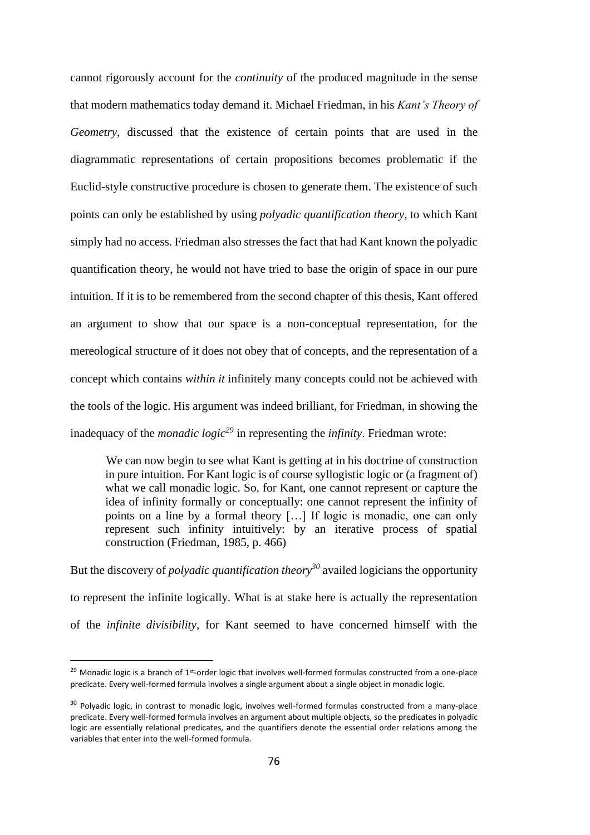cannot rigorously account for the *continuity* of the produced magnitude in the sense that modern mathematics today demand it. Michael Friedman, in his *Kant's Theory of Geometry*, discussed that the existence of certain points that are used in the diagrammatic representations of certain propositions becomes problematic if the Euclid-style constructive procedure is chosen to generate them. The existence of such points can only be established by using *polyadic quantification theory*, to which Kant simply had no access. Friedman also stresses the fact that had Kant known the polyadic quantification theory, he would not have tried to base the origin of space in our pure intuition. If it is to be remembered from the second chapter of this thesis, Kant offered an argument to show that our space is a non-conceptual representation, for the mereological structure of it does not obey that of concepts, and the representation of a concept which contains *within it* infinitely many concepts could not be achieved with the tools of the logic. His argument was indeed brilliant, for Friedman, in showing the inadequacy of the *monadic logic<sup>29</sup>* in representing the *infinity*. Friedman wrote:

We can now begin to see what Kant is getting at in his doctrine of construction in pure intuition. For Kant logic is of course syllogistic logic or (a fragment of) what we call monadic logic. So, for Kant, one cannot represent or capture the idea of infinity formally or conceptually: one cannot represent the infinity of points on a line by a formal theory […] If logic is monadic, one can only represent such infinity intuitively: by an iterative process of spatial construction (Friedman, 1985, p. 466)

But the discovery of *polyadic quantification theory<sup>30</sup>* availed logicians the opportunity to represent the infinite logically*.* What is at stake here is actually the representation of the *infinite divisibility,* for Kant seemed to have concerned himself with the

<sup>&</sup>lt;sup>29</sup> Monadic logic is a branch of  $1^{st}$ -order logic that involves well-formed formulas constructed from a one-place predicate. Every well-formed formula involves a single argument about a single object in monadic logic.

<sup>&</sup>lt;sup>30</sup> Polyadic logic, in contrast to monadic logic, involves well-formed formulas constructed from a many-place predicate. Every well-formed formula involves an argument about multiple objects, so the predicates in polyadic logic are essentially relational predicates, and the quantifiers denote the essential order relations among the variables that enter into the well-formed formula.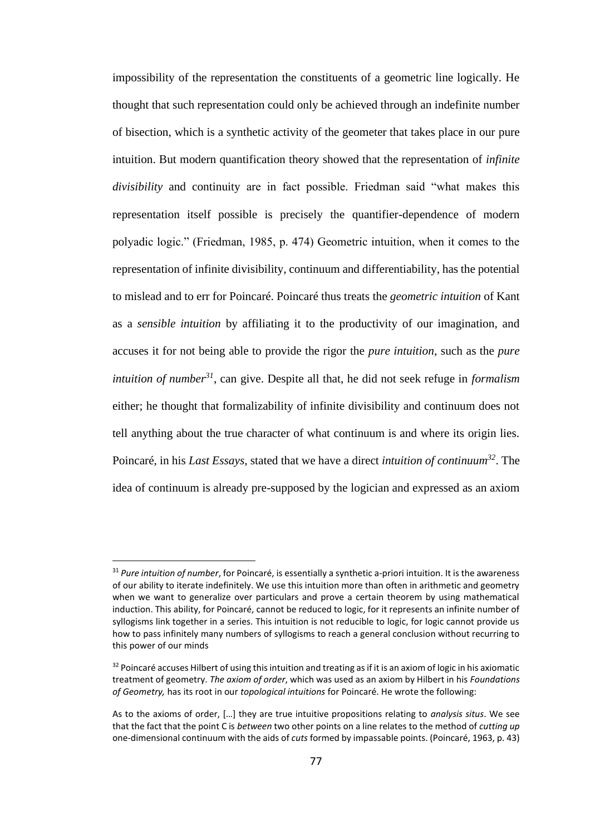impossibility of the representation the constituents of a geometric line logically. He thought that such representation could only be achieved through an indefinite number of bisection, which is a synthetic activity of the geometer that takes place in our pure intuition. But modern quantification theory showed that the representation of *infinite divisibility* and continuity are in fact possible. Friedman said "what makes this representation itself possible is precisely the quantifier-dependence of modern polyadic logic." (Friedman, 1985, p. 474) Geometric intuition, when it comes to the representation of infinite divisibility, continuum and differentiability, has the potential to mislead and to err for Poincaré. Poincaré thus treats the *geometric intuition* of Kant as a *sensible intuition* by affiliating it to the productivity of our imagination, and accuses it for not being able to provide the rigor the *pure intuition,* such as the *pure intuition of number<sup>31</sup>*, can give. Despite all that, he did not seek refuge in *formalism* either; he thought that formalizability of infinite divisibility and continuum does not tell anything about the true character of what continuum is and where its origin lies. Poincaré, in his *Last Essays,* stated that we have a direct *intuition of continuum<sup>32</sup>*. The idea of continuum is already pre-supposed by the logician and expressed as an axiom

<sup>31</sup> *Pure intuition of number*, for Poincaré, is essentially a synthetic a-priori intuition. It is the awareness of our ability to iterate indefinitely. We use this intuition more than often in arithmetic and geometry when we want to generalize over particulars and prove a certain theorem by using mathematical induction. This ability, for Poincaré, cannot be reduced to logic, for it represents an infinite number of syllogisms link together in a series. This intuition is not reducible to logic, for logic cannot provide us how to pass infinitely many numbers of syllogisms to reach a general conclusion without recurring to this power of our minds

 $32$  Poincaré accuses Hilbert of using this intuition and treating as if it is an axiom of logic in his axiomatic treatment of geometry. *The axiom of order*, which was used as an axiom by Hilbert in his *Foundations of Geometry,* has its root in our *topological intuitions* for Poincaré. He wrote the following:

As to the axioms of order, […] they are true intuitive propositions relating to *analysis situs*. We see that the fact that the point C is *between* two other points on a line relates to the method of *cutting up* one-dimensional continuum with the aids of *cuts* formed by impassable points. (Poincaré, 1963, p. 43)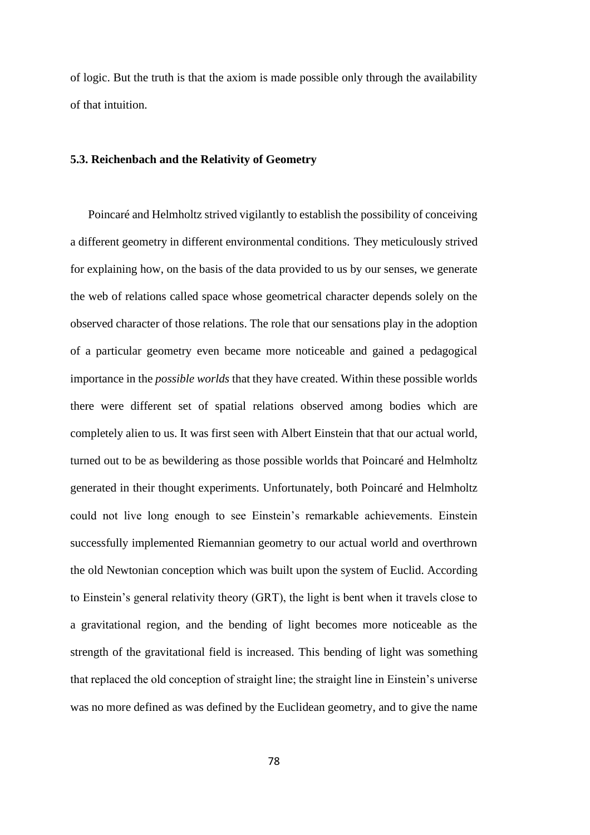of logic. But the truth is that the axiom is made possible only through the availability of that intuition.

## **5.3. Reichenbach and the Relativity of Geometry**

Poincaré and Helmholtz strived vigilantly to establish the possibility of conceiving a different geometry in different environmental conditions. They meticulously strived for explaining how, on the basis of the data provided to us by our senses, we generate the web of relations called space whose geometrical character depends solely on the observed character of those relations. The role that our sensations play in the adoption of a particular geometry even became more noticeable and gained a pedagogical importance in the *possible worlds* that they have created. Within these possible worlds there were different set of spatial relations observed among bodies which are completely alien to us. It was first seen with Albert Einstein that that our actual world, turned out to be as bewildering as those possible worlds that Poincaré and Helmholtz generated in their thought experiments. Unfortunately, both Poincaré and Helmholtz could not live long enough to see Einstein's remarkable achievements. Einstein successfully implemented Riemannian geometry to our actual world and overthrown the old Newtonian conception which was built upon the system of Euclid. According to Einstein's general relativity theory (GRT), the light is bent when it travels close to a gravitational region, and the bending of light becomes more noticeable as the strength of the gravitational field is increased. This bending of light was something that replaced the old conception of straight line; the straight line in Einstein's universe was no more defined as was defined by the Euclidean geometry, and to give the name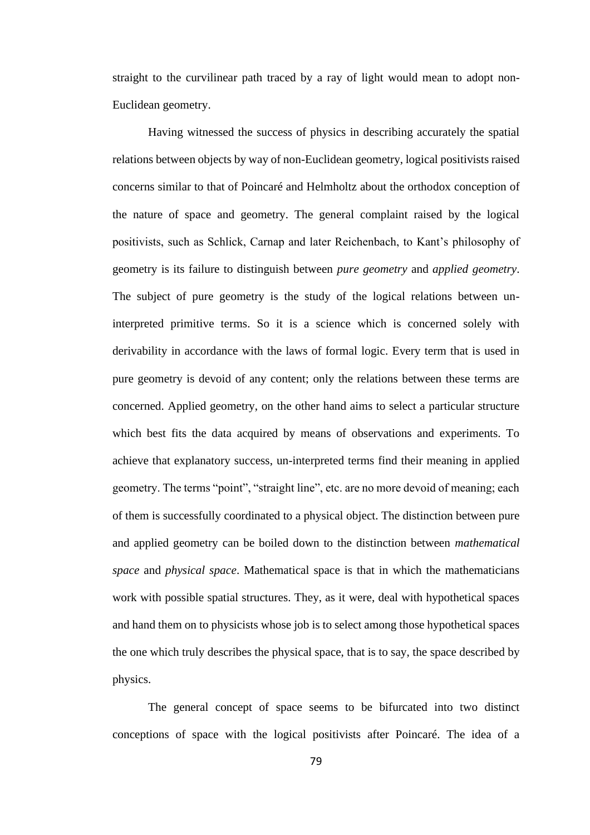straight to the curvilinear path traced by a ray of light would mean to adopt non-Euclidean geometry.

Having witnessed the success of physics in describing accurately the spatial relations between objects by way of non-Euclidean geometry, logical positivists raised concerns similar to that of Poincaré and Helmholtz about the orthodox conception of the nature of space and geometry. The general complaint raised by the logical positivists, such as Schlick, Carnap and later Reichenbach, to Kant's philosophy of geometry is its failure to distinguish between *pure geometry* and *applied geometry*. The subject of pure geometry is the study of the logical relations between uninterpreted primitive terms. So it is a science which is concerned solely with derivability in accordance with the laws of formal logic. Every term that is used in pure geometry is devoid of any content; only the relations between these terms are concerned. Applied geometry, on the other hand aims to select a particular structure which best fits the data acquired by means of observations and experiments. To achieve that explanatory success, un-interpreted terms find their meaning in applied geometry. The terms "point", "straight line", etc. are no more devoid of meaning; each of them is successfully coordinated to a physical object. The distinction between pure and applied geometry can be boiled down to the distinction between *mathematical space* and *physical space*. Mathematical space is that in which the mathematicians work with possible spatial structures. They, as it were, deal with hypothetical spaces and hand them on to physicists whose job is to select among those hypothetical spaces the one which truly describes the physical space, that is to say, the space described by physics.

The general concept of space seems to be bifurcated into two distinct conceptions of space with the logical positivists after Poincaré. The idea of a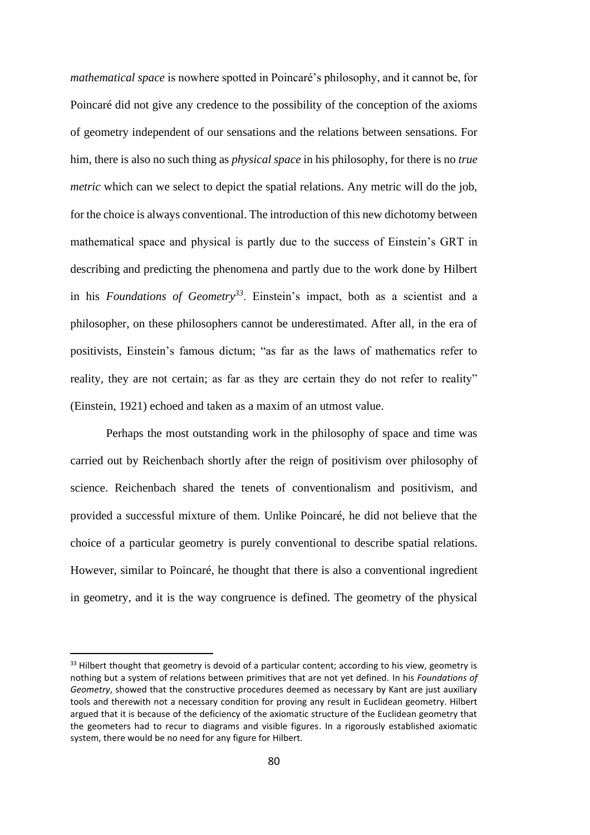*mathematical space* is nowhere spotted in Poincaré's philosophy, and it cannot be, for Poincaré did not give any credence to the possibility of the conception of the axioms of geometry independent of our sensations and the relations between sensations. For him, there is also no such thing as *physical space* in his philosophy, for there is no *true metric* which can we select to depict the spatial relations. Any metric will do the job, for the choice is always conventional. The introduction of this new dichotomy between mathematical space and physical is partly due to the success of Einstein's GRT in describing and predicting the phenomena and partly due to the work done by Hilbert in his *Foundations of Geometry<sup>33</sup>*. Einstein's impact, both as a scientist and a philosopher, on these philosophers cannot be underestimated. After all, in the era of positivists, Einstein's famous dictum; "as far as the laws of mathematics refer to reality, they are not certain; as far as they are certain they do not refer to reality" (Einstein, 1921) echoed and taken as a maxim of an utmost value.

Perhaps the most outstanding work in the philosophy of space and time was carried out by Reichenbach shortly after the reign of positivism over philosophy of science. Reichenbach shared the tenets of conventionalism and positivism, and provided a successful mixture of them. Unlike Poincaré, he did not believe that the choice of a particular geometry is purely conventional to describe spatial relations. However, similar to Poincaré, he thought that there is also a conventional ingredient in geometry, and it is the way congruence is defined. The geometry of the physical

<sup>&</sup>lt;sup>33</sup> Hilbert thought that geometry is devoid of a particular content; according to his view, geometry is nothing but a system of relations between primitives that are not yet defined. In his *Foundations of Geometry*, showed that the constructive procedures deemed as necessary by Kant are just auxiliary tools and therewith not a necessary condition for proving any result in Euclidean geometry. Hilbert argued that it is because of the deficiency of the axiomatic structure of the Euclidean geometry that the geometers had to recur to diagrams and visible figures. In a rigorously established axiomatic system, there would be no need for any figure for Hilbert.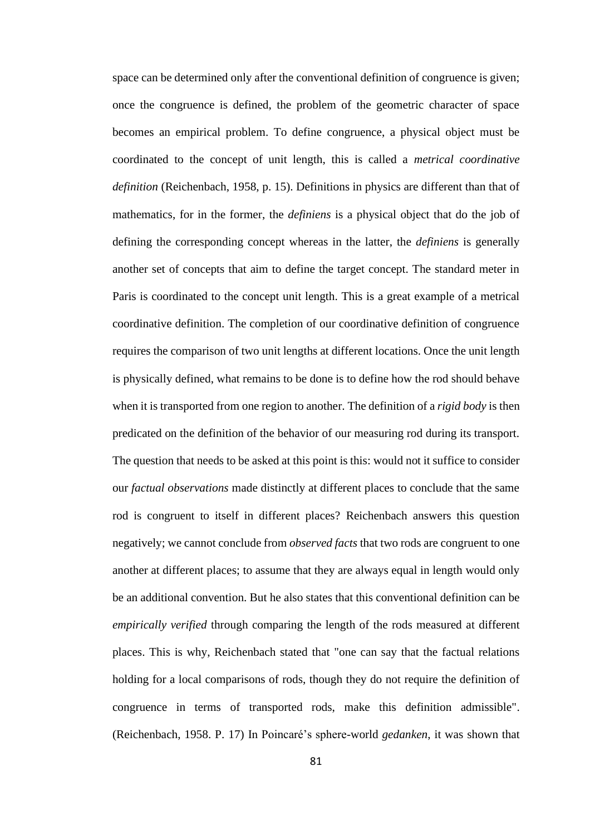space can be determined only after the conventional definition of congruence is given; once the congruence is defined, the problem of the geometric character of space becomes an empirical problem. To define congruence, a physical object must be coordinated to the concept of unit length, this is called a *metrical coordinative definition* (Reichenbach, 1958, p. 15). Definitions in physics are different than that of mathematics, for in the former, the *definiens* is a physical object that do the job of defining the corresponding concept whereas in the latter, the *definiens* is generally another set of concepts that aim to define the target concept. The standard meter in Paris is coordinated to the concept unit length. This is a great example of a metrical coordinative definition. The completion of our coordinative definition of congruence requires the comparison of two unit lengths at different locations. Once the unit length is physically defined, what remains to be done is to define how the rod should behave when it is transported from one region to another. The definition of a *rigid body* is then predicated on the definition of the behavior of our measuring rod during its transport. The question that needs to be asked at this point is this: would not it suffice to consider our *factual observations* made distinctly at different places to conclude that the same rod is congruent to itself in different places? Reichenbach answers this question negatively; we cannot conclude from *observed facts* that two rods are congruent to one another at different places; to assume that they are always equal in length would only be an additional convention. But he also states that this conventional definition can be *empirically verified* through comparing the length of the rods measured at different places. This is why, Reichenbach stated that "one can say that the factual relations holding for a local comparisons of rods, though they do not require the definition of congruence in terms of transported rods, make this definition admissible". (Reichenbach, 1958. P. 17) In Poincaré's sphere-world *gedanken*, it was shown that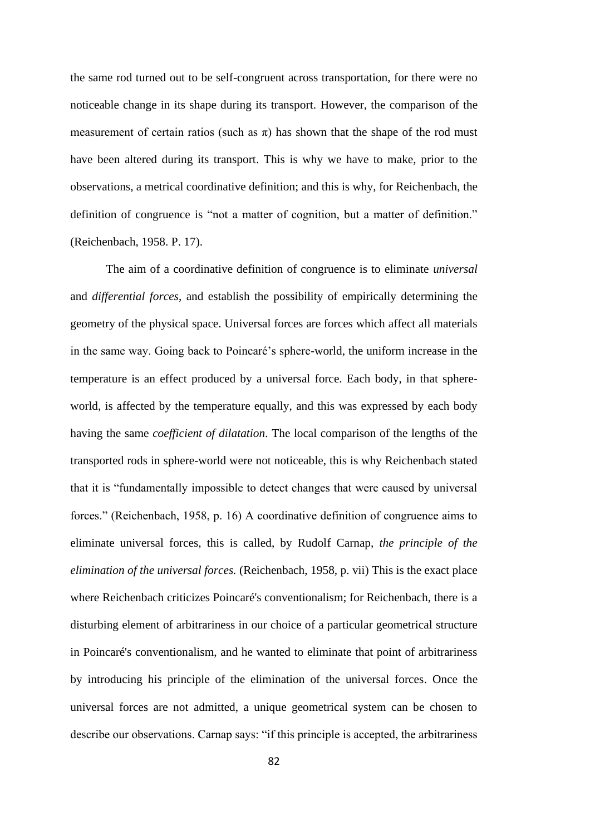the same rod turned out to be self-congruent across transportation, for there were no noticeable change in its shape during its transport. However, the comparison of the measurement of certain ratios (such as  $\pi$ ) has shown that the shape of the rod must have been altered during its transport. This is why we have to make, prior to the observations, a metrical coordinative definition; and this is why, for Reichenbach, the definition of congruence is "not a matter of cognition, but a matter of definition." (Reichenbach, 1958. P. 17).

The aim of a coordinative definition of congruence is to eliminate *universal*  and *differential forces*, and establish the possibility of empirically determining the geometry of the physical space. Universal forces are forces which affect all materials in the same way. Going back to Poincaré's sphere-world, the uniform increase in the temperature is an effect produced by a universal force. Each body, in that sphereworld, is affected by the temperature equally, and this was expressed by each body having the same *coefficient of dilatation*. The local comparison of the lengths of the transported rods in sphere-world were not noticeable, this is why Reichenbach stated that it is "fundamentally impossible to detect changes that were caused by universal forces." (Reichenbach, 1958, p. 16) A coordinative definition of congruence aims to eliminate universal forces, this is called, by Rudolf Carnap, *the principle of the elimination of the universal forces.* (Reichenbach, 1958, p. vii) This is the exact place where Reichenbach criticizes Poincaré's conventionalism; for Reichenbach, there is a disturbing element of arbitrariness in our choice of a particular geometrical structure in Poincaré's conventionalism, and he wanted to eliminate that point of arbitrariness by introducing his principle of the elimination of the universal forces. Once the universal forces are not admitted, a unique geometrical system can be chosen to describe our observations. Carnap says: "if this principle is accepted, the arbitrariness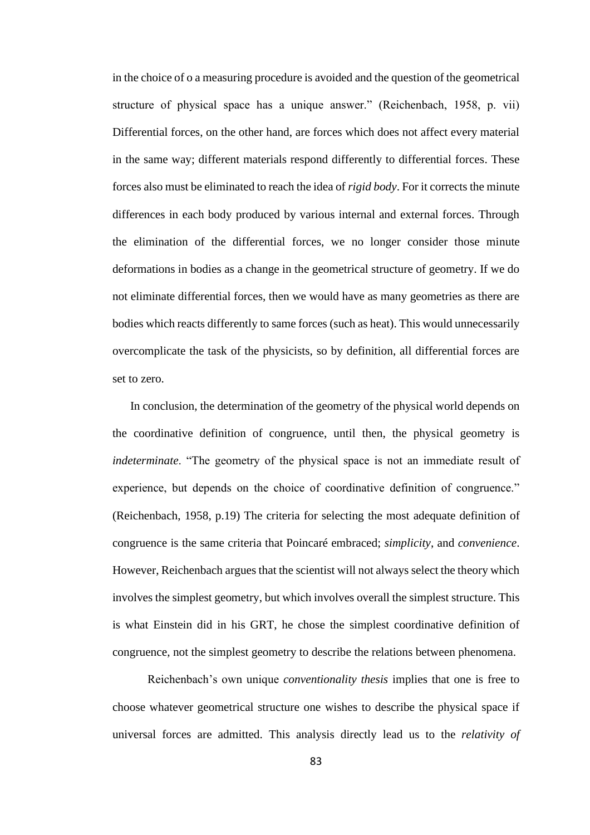in the choice of o a measuring procedure is avoided and the question of the geometrical structure of physical space has a unique answer." (Reichenbach, 1958, p. vii) Differential forces, on the other hand, are forces which does not affect every material in the same way; different materials respond differently to differential forces. These forces also must be eliminated to reach the idea of *rigid body*. For it corrects the minute differences in each body produced by various internal and external forces. Through the elimination of the differential forces, we no longer consider those minute deformations in bodies as a change in the geometrical structure of geometry. If we do not eliminate differential forces, then we would have as many geometries as there are bodies which reacts differently to same forces (such as heat). This would unnecessarily overcomplicate the task of the physicists, so by definition, all differential forces are set to zero.

In conclusion, the determination of the geometry of the physical world depends on the coordinative definition of congruence, until then, the physical geometry is *indeterminate*. "The geometry of the physical space is not an immediate result of experience, but depends on the choice of coordinative definition of congruence." (Reichenbach, 1958, p.19) The criteria for selecting the most adequate definition of congruence is the same criteria that Poincaré embraced; *simplicity*, and *convenience*. However, Reichenbach argues that the scientist will not always select the theory which involves the simplest geometry, but which involves overall the simplest structure. This is what Einstein did in his GRT, he chose the simplest coordinative definition of congruence, not the simplest geometry to describe the relations between phenomena.

Reichenbach's own unique *conventionality thesis* implies that one is free to choose whatever geometrical structure one wishes to describe the physical space if universal forces are admitted. This analysis directly lead us to the *relativity of*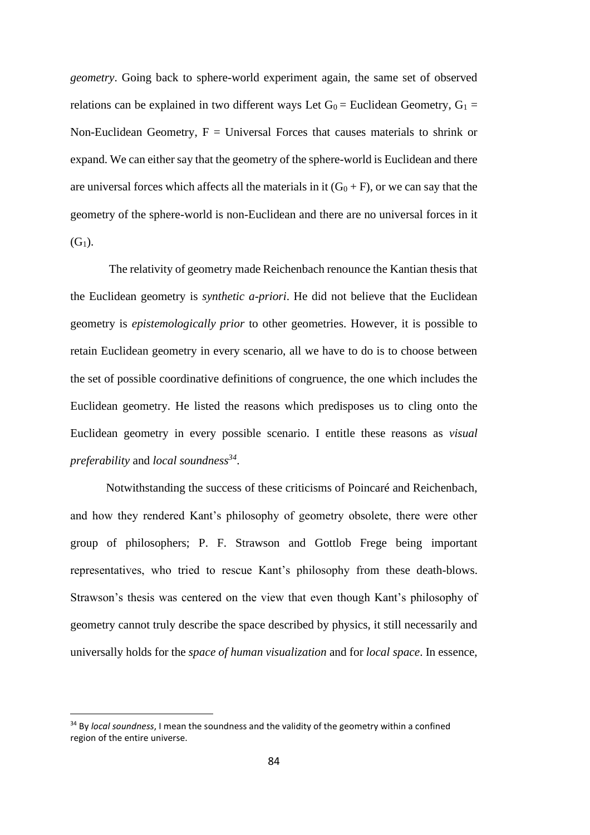*geometry*. Going back to sphere-world experiment again, the same set of observed relations can be explained in two different ways Let  $G_0$  = Euclidean Geometry,  $G_1$  = Non-Euclidean Geometry,  $F =$  Universal Forces that causes materials to shrink or expand. We can either say that the geometry of the sphere-world is Euclidean and there are universal forces which affects all the materials in it  $(G_0 + F)$ , or we can say that the geometry of the sphere-world is non-Euclidean and there are no universal forces in it  $(G<sub>1</sub>)$ .

The relativity of geometry made Reichenbach renounce the Kantian thesis that the Euclidean geometry is *synthetic a-priori*. He did not believe that the Euclidean geometry is *epistemologically prior* to other geometries. However, it is possible to retain Euclidean geometry in every scenario, all we have to do is to choose between the set of possible coordinative definitions of congruence, the one which includes the Euclidean geometry. He listed the reasons which predisposes us to cling onto the Euclidean geometry in every possible scenario. I entitle these reasons as *visual preferability* and *local soundness<sup>34</sup>* .

Notwithstanding the success of these criticisms of Poincaré and Reichenbach, and how they rendered Kant's philosophy of geometry obsolete, there were other group of philosophers; P. F. Strawson and Gottlob Frege being important representatives, who tried to rescue Kant's philosophy from these death-blows. Strawson's thesis was centered on the view that even though Kant's philosophy of geometry cannot truly describe the space described by physics, it still necessarily and universally holds for the *space of human visualization* and for *local space*. In essence,

<sup>34</sup> By *local soundness*, I mean the soundness and the validity of the geometry within a confined region of the entire universe.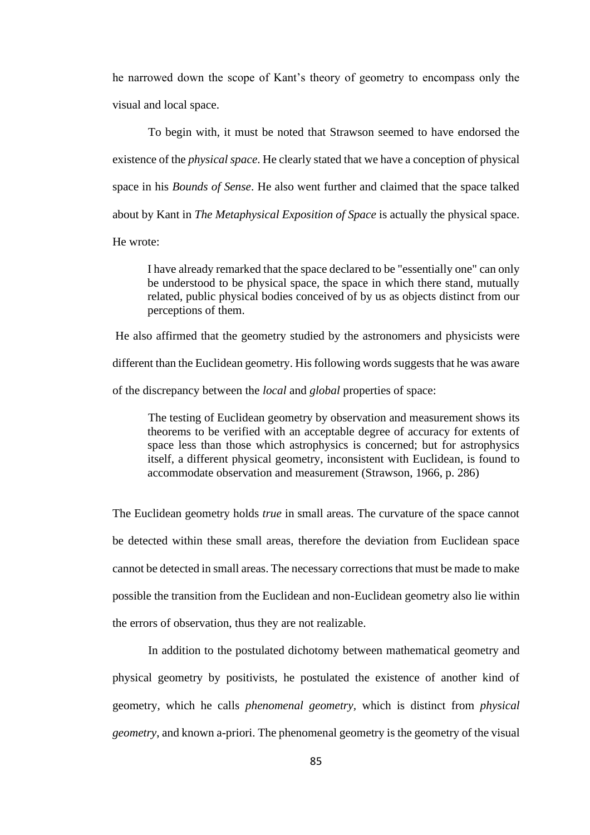he narrowed down the scope of Kant's theory of geometry to encompass only the visual and local space.

To begin with, it must be noted that Strawson seemed to have endorsed the existence of the *physical space*. He clearly stated that we have a conception of physical space in his *Bounds of Sense*. He also went further and claimed that the space talked about by Kant in *The Metaphysical Exposition of Space* is actually the physical space. He wrote:

I have already remarked that the space declared to be "essentially one" can only be understood to be physical space, the space in which there stand, mutually related, public physical bodies conceived of by us as objects distinct from our perceptions of them.

He also affirmed that the geometry studied by the astronomers and physicists were different than the Euclidean geometry. His following words suggests that he was aware of the discrepancy between the *local* and *global* properties of space:

The testing of Euclidean geometry by observation and measurement shows its theorems to be verified with an acceptable degree of accuracy for extents of space less than those which astrophysics is concerned; but for astrophysics itself, a different physical geometry, inconsistent with Euclidean, is found to accommodate observation and measurement (Strawson, 1966, p. 286)

The Euclidean geometry holds *true* in small areas. The curvature of the space cannot be detected within these small areas, therefore the deviation from Euclidean space cannot be detected in small areas. The necessary corrections that must be made to make possible the transition from the Euclidean and non-Euclidean geometry also lie within the errors of observation, thus they are not realizable.

In addition to the postulated dichotomy between mathematical geometry and physical geometry by positivists, he postulated the existence of another kind of geometry, which he calls *phenomenal geometry,* which is distinct from *physical geometry*, and known a-priori. The phenomenal geometry is the geometry of the visual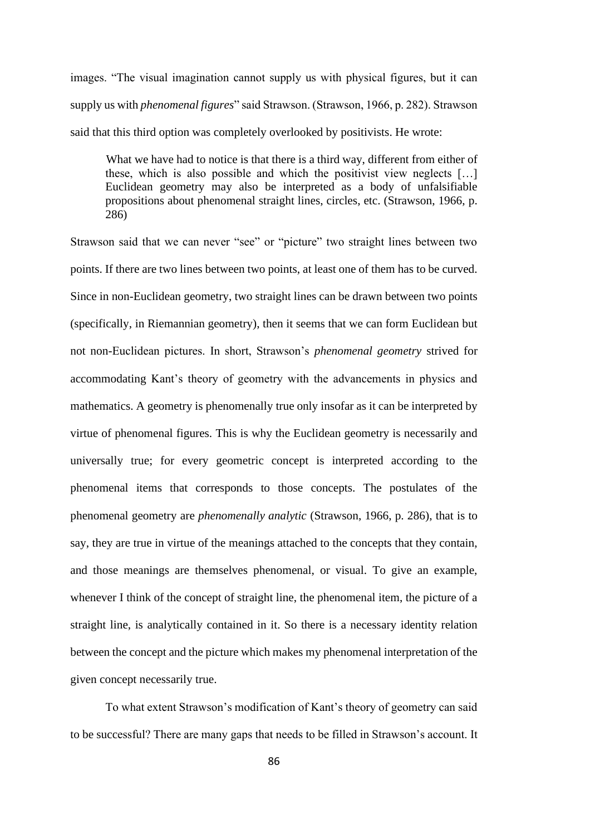images. "The visual imagination cannot supply us with physical figures, but it can supply us with *phenomenal figures*" said Strawson. (Strawson, 1966, p. 282). Strawson said that this third option was completely overlooked by positivists. He wrote:

What we have had to notice is that there is a third way, different from either of these, which is also possible and which the positivist view neglects […] Euclidean geometry may also be interpreted as a body of unfalsifiable propositions about phenomenal straight lines, circles, etc. (Strawson, 1966, p. 286)

Strawson said that we can never "see" or "picture" two straight lines between two points. If there are two lines between two points, at least one of them has to be curved. Since in non-Euclidean geometry, two straight lines can be drawn between two points (specifically, in Riemannian geometry), then it seems that we can form Euclidean but not non-Euclidean pictures. In short, Strawson's *phenomenal geometry* strived for accommodating Kant's theory of geometry with the advancements in physics and mathematics. A geometry is phenomenally true only insofar as it can be interpreted by virtue of phenomenal figures. This is why the Euclidean geometry is necessarily and universally true; for every geometric concept is interpreted according to the phenomenal items that corresponds to those concepts. The postulates of the phenomenal geometry are *phenomenally analytic* (Strawson, 1966, p. 286), that is to say, they are true in virtue of the meanings attached to the concepts that they contain, and those meanings are themselves phenomenal, or visual. To give an example, whenever I think of the concept of straight line, the phenomenal item, the picture of a straight line, is analytically contained in it. So there is a necessary identity relation between the concept and the picture which makes my phenomenal interpretation of the given concept necessarily true.

To what extent Strawson's modification of Kant's theory of geometry can said to be successful? There are many gaps that needs to be filled in Strawson's account. It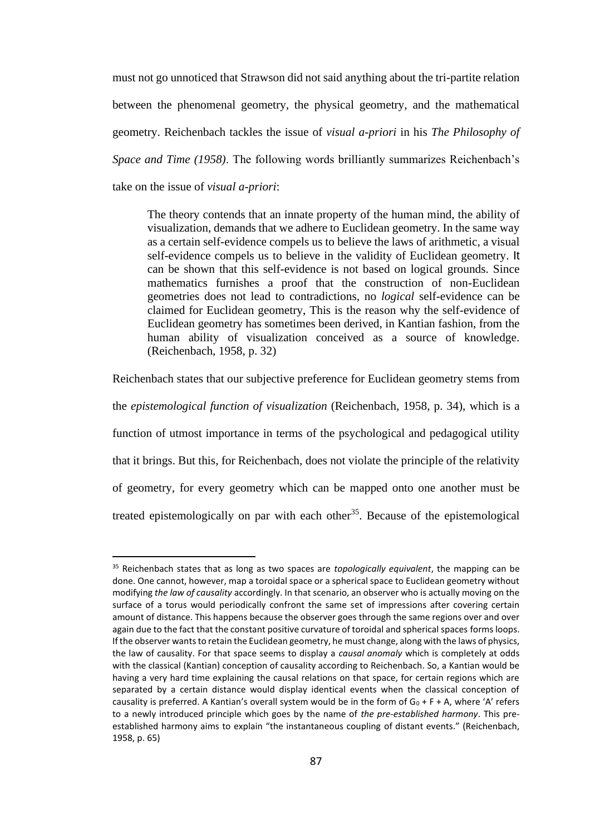must not go unnoticed that Strawson did not said anything about the tri-partite relation between the phenomenal geometry, the physical geometry, and the mathematical geometry. Reichenbach tackles the issue of *visual a-priori* in his *The Philosophy of Space and Time (1958)*. The following words brilliantly summarizes Reichenbach's take on the issue of *visual a-priori*:

The theory contends that an innate property of the human mind, the ability of visualization, demands that we adhere to Euclidean geometry. In the same way as a certain self-evidence compels us to believe the laws of arithmetic, a visual self-evidence compels us to believe in the validity of Euclidean geometry. It can be shown that this self-evidence is not based on logical grounds. Since mathematics furnishes a proof that the construction of non-Euclidean geometries does not lead to contradictions, no *logical* self-evidence can be claimed for Euclidean geometry, This is the reason why the self-evidence of Euclidean geometry has sometimes been derived, in Kantian fashion, from the human ability of visualization conceived as a source of knowledge. (Reichenbach, 1958, p. 32)

Reichenbach states that our subjective preference for Euclidean geometry stems from

the *epistemological function of visualization* (Reichenbach, 1958, p. 34), which is a function of utmost importance in terms of the psychological and pedagogical utility that it brings. But this, for Reichenbach, does not violate the principle of the relativity of geometry, for every geometry which can be mapped onto one another must be treated epistemologically on par with each other<sup>35</sup>. Because of the epistemological

<sup>35</sup> Reichenbach states that as long as two spaces are *topologically equivalent*, the mapping can be done. One cannot, however, map a toroidal space or a spherical space to Euclidean geometry without modifying *the law of causality* accordingly. In that scenario, an observer who is actually moving on the surface of a torus would periodically confront the same set of impressions after covering certain amount of distance. This happens because the observer goes through the same regions over and over again due to the fact that the constant positive curvature of toroidal and spherical spaces forms loops. If the observer wants to retain the Euclidean geometry, he must change, along with the laws of physics, the law of causality. For that space seems to display a *causal anomaly* which is completely at odds with the classical (Kantian) conception of causality according to Reichenbach. So, a Kantian would be having a very hard time explaining the causal relations on that space, for certain regions which are separated by a certain distance would display identical events when the classical conception of causality is preferred. A Kantian's overall system would be in the form of  $G_0 + F + A$ , where 'A' refers to a newly introduced principle which goes by the name of *the pre-established harmony*. This preestablished harmony aims to explain "the instantaneous coupling of distant events." (Reichenbach, 1958, p. 65)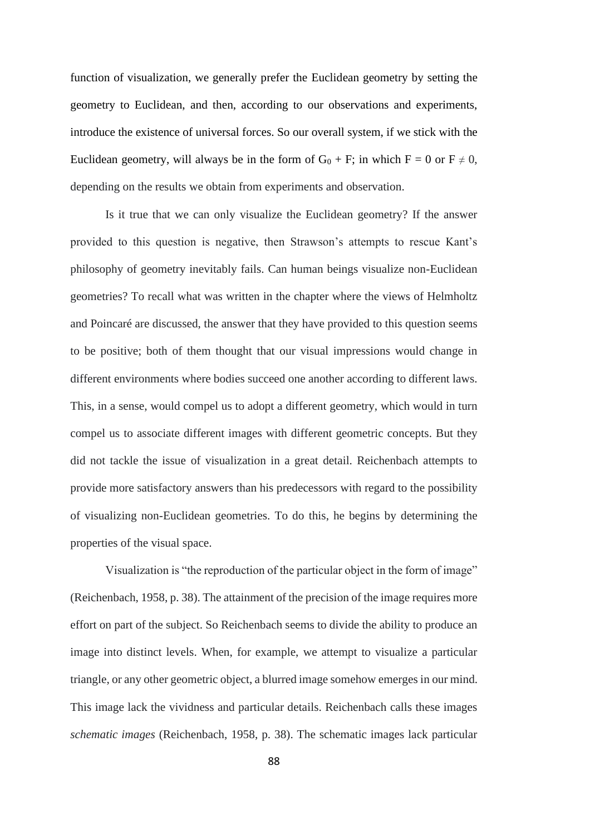function of visualization, we generally prefer the Euclidean geometry by setting the geometry to Euclidean, and then, according to our observations and experiments, introduce the existence of universal forces. So our overall system, if we stick with the Euclidean geometry, will always be in the form of  $G_0 + F$ ; in which  $F = 0$  or  $F \neq 0$ , depending on the results we obtain from experiments and observation.

Is it true that we can only visualize the Euclidean geometry? If the answer provided to this question is negative, then Strawson's attempts to rescue Kant's philosophy of geometry inevitably fails. Can human beings visualize non-Euclidean geometries? To recall what was written in the chapter where the views of Helmholtz and Poincaré are discussed, the answer that they have provided to this question seems to be positive; both of them thought that our visual impressions would change in different environments where bodies succeed one another according to different laws. This, in a sense, would compel us to adopt a different geometry, which would in turn compel us to associate different images with different geometric concepts. But they did not tackle the issue of visualization in a great detail. Reichenbach attempts to provide more satisfactory answers than his predecessors with regard to the possibility of visualizing non-Euclidean geometries. To do this, he begins by determining the properties of the visual space.

Visualization is "the reproduction of the particular object in the form of image" (Reichenbach, 1958, p. 38). The attainment of the precision of the image requires more effort on part of the subject. So Reichenbach seems to divide the ability to produce an image into distinct levels. When, for example, we attempt to visualize a particular triangle, or any other geometric object, a blurred image somehow emerges in our mind. This image lack the vividness and particular details. Reichenbach calls these images *schematic images* (Reichenbach, 1958, p. 38). The schematic images lack particular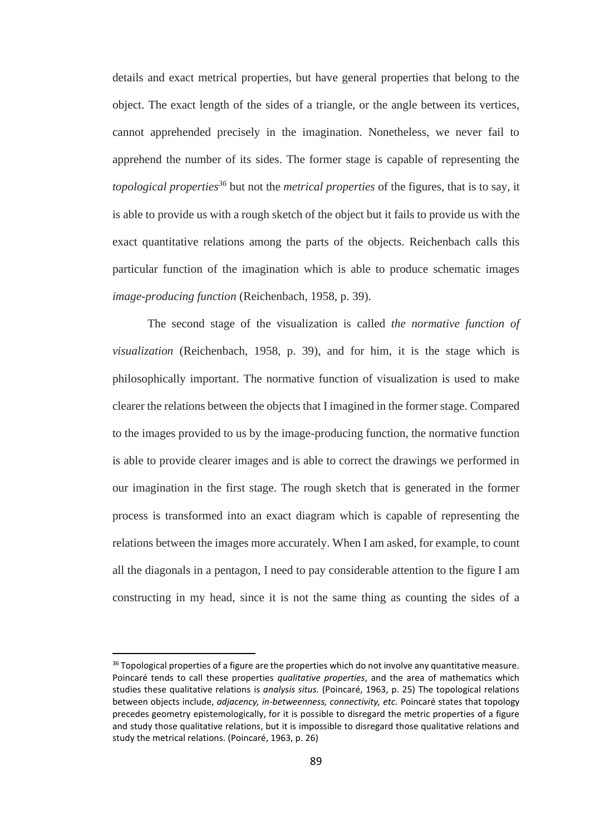details and exact metrical properties, but have general properties that belong to the object. The exact length of the sides of a triangle, or the angle between its vertices, cannot apprehended precisely in the imagination. Nonetheless, we never fail to apprehend the number of its sides. The former stage is capable of representing the *topological properties<sup>36</sup>* but not the *metrical properties* of the figures, that is to say, it is able to provide us with a rough sketch of the object but it fails to provide us with the exact quantitative relations among the parts of the objects. Reichenbach calls this particular function of the imagination which is able to produce schematic images *image-producing function* (Reichenbach, 1958, p. 39).

The second stage of the visualization is called *the normative function of visualization* (Reichenbach, 1958, p. 39), and for him, it is the stage which is philosophically important. The normative function of visualization is used to make clearer the relations between the objects that I imagined in the former stage. Compared to the images provided to us by the image-producing function, the normative function is able to provide clearer images and is able to correct the drawings we performed in our imagination in the first stage. The rough sketch that is generated in the former process is transformed into an exact diagram which is capable of representing the relations between the images more accurately. When I am asked, for example, to count all the diagonals in a pentagon, I need to pay considerable attention to the figure I am constructing in my head, since it is not the same thing as counting the sides of a

<sup>&</sup>lt;sup>36</sup> Topological properties of a figure are the properties which do not involve any quantitative measure. Poincaré tends to call these properties *qualitative properties*, and the area of mathematics which studies these qualitative relations is *analysis situs.* (Poincaré, 1963, p. 25) The topological relations between objects include, *adjacency, in-betweenness, connectivity, etc.* Poincaré states that topology precedes geometry epistemologically, for it is possible to disregard the metric properties of a figure and study those qualitative relations, but it is impossible to disregard those qualitative relations and study the metrical relations. (Poincaré, 1963, p. 26)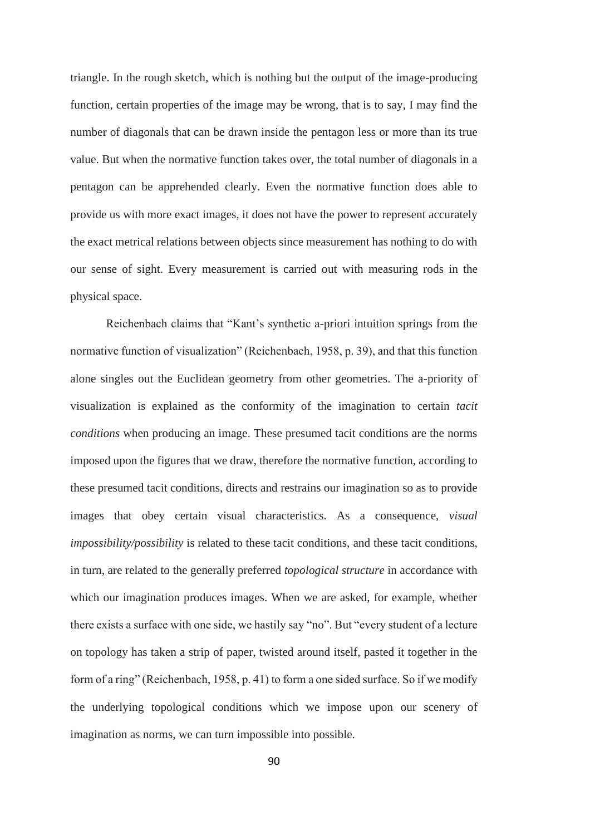triangle. In the rough sketch, which is nothing but the output of the image-producing function, certain properties of the image may be wrong, that is to say, I may find the number of diagonals that can be drawn inside the pentagon less or more than its true value. But when the normative function takes over, the total number of diagonals in a pentagon can be apprehended clearly. Even the normative function does able to provide us with more exact images, it does not have the power to represent accurately the exact metrical relations between objects since measurement has nothing to do with our sense of sight. Every measurement is carried out with measuring rods in the physical space.

Reichenbach claims that "Kant's synthetic a-priori intuition springs from the normative function of visualization" (Reichenbach, 1958, p. 39), and that this function alone singles out the Euclidean geometry from other geometries. The a-priority of visualization is explained as the conformity of the imagination to certain *tacit conditions* when producing an image. These presumed tacit conditions are the norms imposed upon the figures that we draw, therefore the normative function, according to these presumed tacit conditions, directs and restrains our imagination so as to provide images that obey certain visual characteristics. As a consequence, *visual impossibility/possibility* is related to these tacit conditions, and these tacit conditions, in turn, are related to the generally preferred *topological structure* in accordance with which our imagination produces images. When we are asked, for example, whether there exists a surface with one side, we hastily say "no". But "every student of a lecture on topology has taken a strip of paper, twisted around itself, pasted it together in the form of a ring" (Reichenbach, 1958, p. 41) to form a one sided surface. So if we modify the underlying topological conditions which we impose upon our scenery of imagination as norms, we can turn impossible into possible.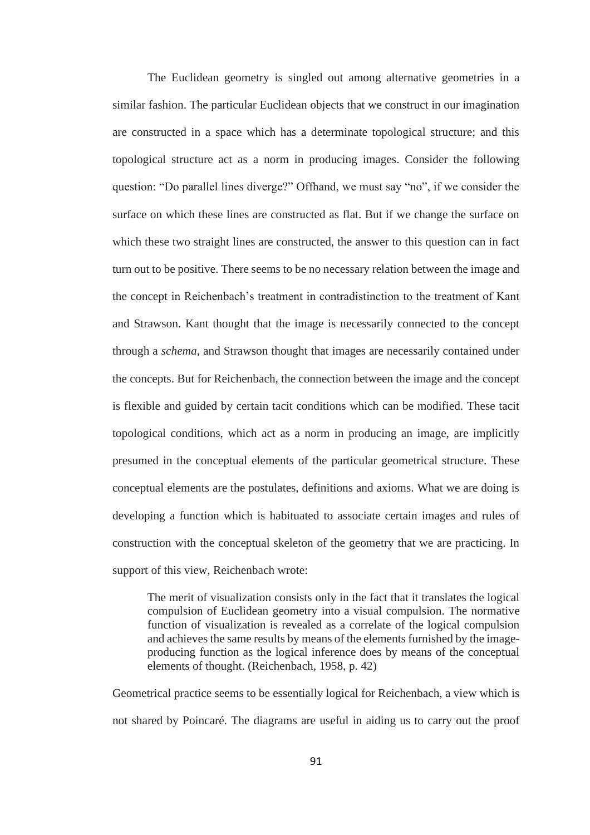The Euclidean geometry is singled out among alternative geometries in a similar fashion. The particular Euclidean objects that we construct in our imagination are constructed in a space which has a determinate topological structure; and this topological structure act as a norm in producing images. Consider the following question: "Do parallel lines diverge?" Offhand, we must say "no", if we consider the surface on which these lines are constructed as flat. But if we change the surface on which these two straight lines are constructed, the answer to this question can in fact turn out to be positive. There seems to be no necessary relation between the image and the concept in Reichenbach's treatment in contradistinction to the treatment of Kant and Strawson. Kant thought that the image is necessarily connected to the concept through a *schema,* and Strawson thought that images are necessarily contained under the concepts. But for Reichenbach, the connection between the image and the concept is flexible and guided by certain tacit conditions which can be modified. These tacit topological conditions, which act as a norm in producing an image, are implicitly presumed in the conceptual elements of the particular geometrical structure. These conceptual elements are the postulates, definitions and axioms. What we are doing is developing a function which is habituated to associate certain images and rules of construction with the conceptual skeleton of the geometry that we are practicing. In support of this view, Reichenbach wrote:

The merit of visualization consists only in the fact that it translates the logical compulsion of Euclidean geometry into a visual compulsion. The normative function of visualization is revealed as a correlate of the logical compulsion and achieves the same results by means of the elements furnished by the imageproducing function as the logical inference does by means of the conceptual elements of thought. (Reichenbach, 1958, p. 42)

Geometrical practice seems to be essentially logical for Reichenbach, a view which is not shared by Poincaré. The diagrams are useful in aiding us to carry out the proof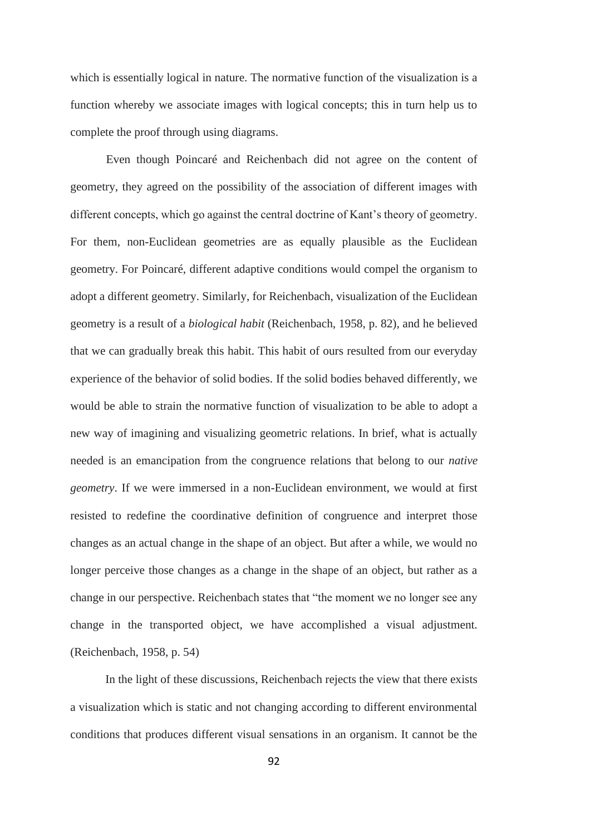which is essentially logical in nature. The normative function of the visualization is a function whereby we associate images with logical concepts; this in turn help us to complete the proof through using diagrams.

Even though Poincaré and Reichenbach did not agree on the content of geometry, they agreed on the possibility of the association of different images with different concepts, which go against the central doctrine of Kant's theory of geometry. For them, non-Euclidean geometries are as equally plausible as the Euclidean geometry. For Poincaré, different adaptive conditions would compel the organism to adopt a different geometry. Similarly, for Reichenbach, visualization of the Euclidean geometry is a result of a *biological habit* (Reichenbach, 1958, p. 82), and he believed that we can gradually break this habit. This habit of ours resulted from our everyday experience of the behavior of solid bodies. If the solid bodies behaved differently, we would be able to strain the normative function of visualization to be able to adopt a new way of imagining and visualizing geometric relations. In brief, what is actually needed is an emancipation from the congruence relations that belong to our *native geometry*. If we were immersed in a non-Euclidean environment, we would at first resisted to redefine the coordinative definition of congruence and interpret those changes as an actual change in the shape of an object. But after a while, we would no longer perceive those changes as a change in the shape of an object, but rather as a change in our perspective. Reichenbach states that "the moment we no longer see any change in the transported object, we have accomplished a visual adjustment. (Reichenbach, 1958, p. 54)

In the light of these discussions, Reichenbach rejects the view that there exists a visualization which is static and not changing according to different environmental conditions that produces different visual sensations in an organism. It cannot be the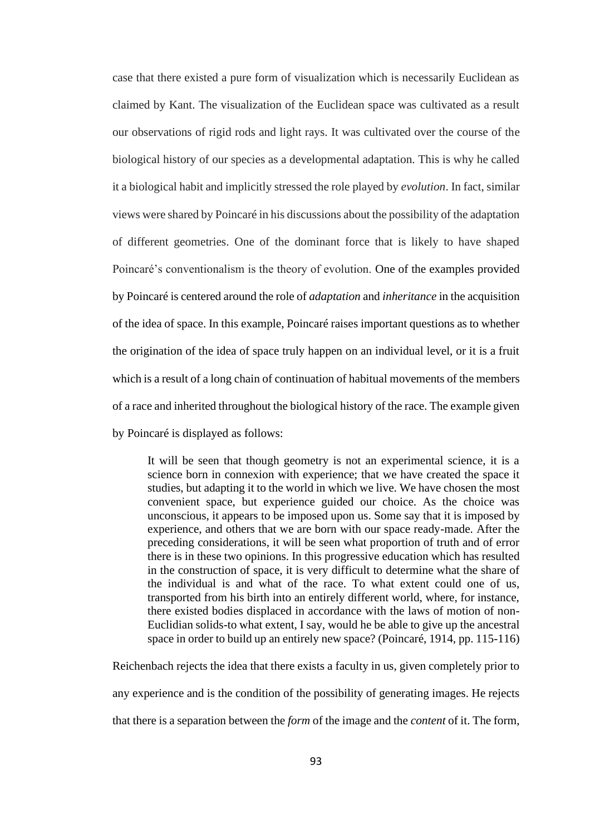case that there existed a pure form of visualization which is necessarily Euclidean as claimed by Kant. The visualization of the Euclidean space was cultivated as a result our observations of rigid rods and light rays. It was cultivated over the course of the biological history of our species as a developmental adaptation. This is why he called it a biological habit and implicitly stressed the role played by *evolution*. In fact, similar views were shared by Poincaré in his discussions about the possibility of the adaptation of different geometries. One of the dominant force that is likely to have shaped Poincaré's conventionalism is the theory of evolution. One of the examples provided by Poincaré is centered around the role of *adaptation* and *inheritance* in the acquisition of the idea of space. In this example, Poincaré raises important questions as to whether the origination of the idea of space truly happen on an individual level, or it is a fruit which is a result of a long chain of continuation of habitual movements of the members of a race and inherited throughout the biological history of the race. The example given by Poincaré is displayed as follows:

It will be seen that though geometry is not an experimental science, it is a science born in connexion with experience; that we have created the space it studies, but adapting it to the world in which we live. We have chosen the most convenient space, but experience guided our choice. As the choice was unconscious, it appears to be imposed upon us. Some say that it is imposed by experience, and others that we are born with our space ready-made. After the preceding considerations, it will be seen what proportion of truth and of error there is in these two opinions. In this progressive education which has resulted in the construction of space, it is very difficult to determine what the share of the individual is and what of the race. To what extent could one of us, transported from his birth into an entirely different world, where, for instance, there existed bodies displaced in accordance with the laws of motion of non-Euclidian solids-to what extent, I say, would he be able to give up the ancestral space in order to build up an entirely new space? (Poincaré, 1914, pp. 115-116)

Reichenbach rejects the idea that there exists a faculty in us, given completely prior to any experience and is the condition of the possibility of generating images. He rejects that there is a separation between the *form* of the image and the *content* of it. The form,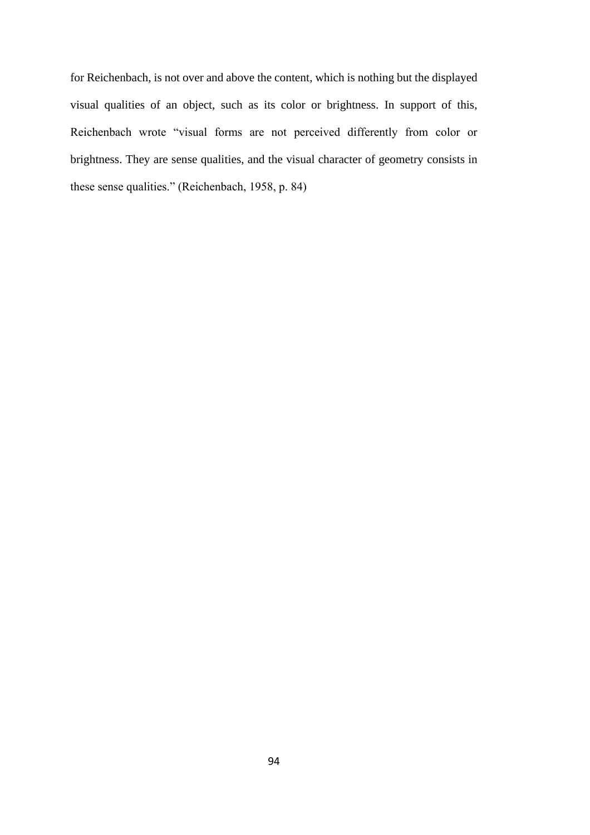for Reichenbach, is not over and above the content, which is nothing but the displayed visual qualities of an object, such as its color or brightness. In support of this, Reichenbach wrote "visual forms are not perceived differently from color or brightness. They are sense qualities, and the visual character of geometry consists in these sense qualities." (Reichenbach, 1958, p. 84)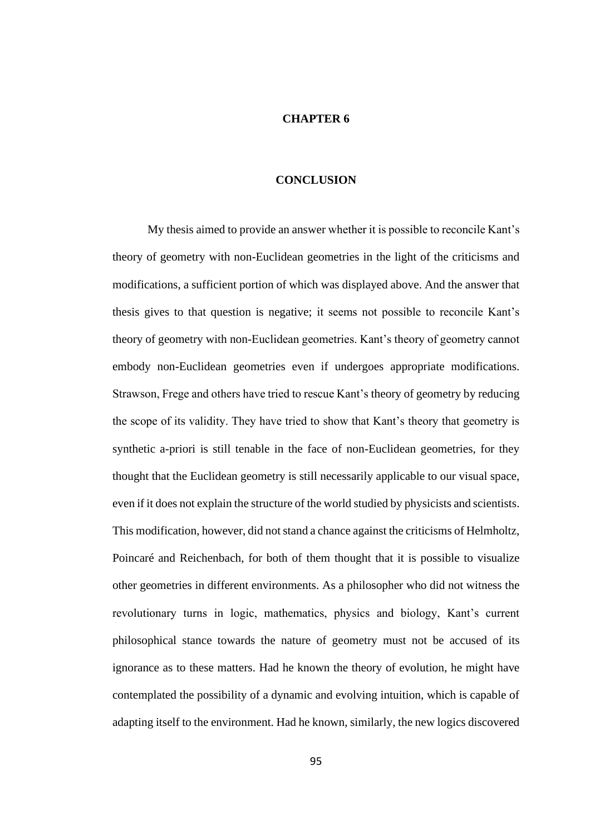## **CHAPTER 6**

## **CONCLUSION**

My thesis aimed to provide an answer whether it is possible to reconcile Kant's theory of geometry with non-Euclidean geometries in the light of the criticisms and modifications, a sufficient portion of which was displayed above. And the answer that thesis gives to that question is negative; it seems not possible to reconcile Kant's theory of geometry with non-Euclidean geometries. Kant's theory of geometry cannot embody non-Euclidean geometries even if undergoes appropriate modifications. Strawson, Frege and others have tried to rescue Kant's theory of geometry by reducing the scope of its validity. They have tried to show that Kant's theory that geometry is synthetic a-priori is still tenable in the face of non-Euclidean geometries, for they thought that the Euclidean geometry is still necessarily applicable to our visual space, even if it does not explain the structure of the world studied by physicists and scientists. This modification, however, did not stand a chance against the criticisms of Helmholtz, Poincaré and Reichenbach, for both of them thought that it is possible to visualize other geometries in different environments. As a philosopher who did not witness the revolutionary turns in logic, mathematics, physics and biology, Kant's current philosophical stance towards the nature of geometry must not be accused of its ignorance as to these matters. Had he known the theory of evolution, he might have contemplated the possibility of a dynamic and evolving intuition, which is capable of adapting itself to the environment. Had he known, similarly, the new logics discovered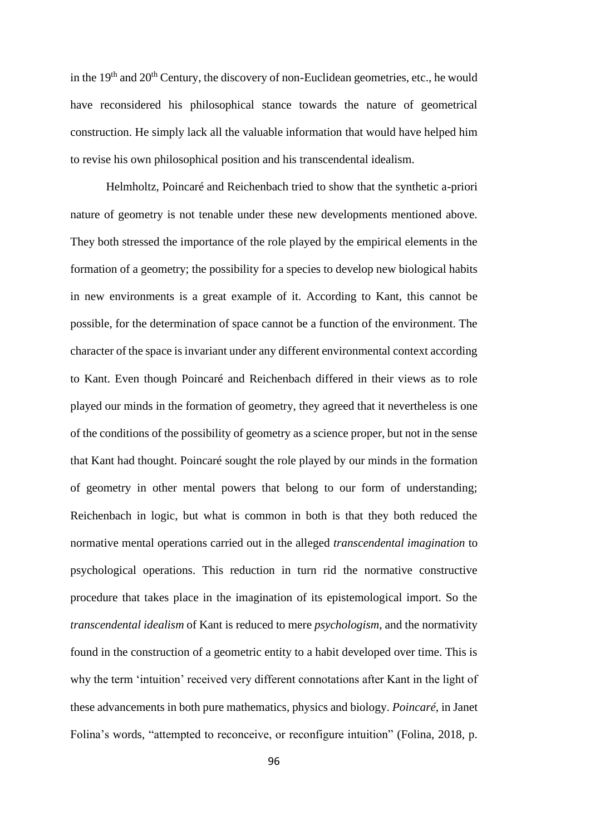in the  $19<sup>th</sup>$  and  $20<sup>th</sup>$  Century, the discovery of non-Euclidean geometries, etc., he would have reconsidered his philosophical stance towards the nature of geometrical construction. He simply lack all the valuable information that would have helped him to revise his own philosophical position and his transcendental idealism.

Helmholtz, Poincaré and Reichenbach tried to show that the synthetic a-priori nature of geometry is not tenable under these new developments mentioned above. They both stressed the importance of the role played by the empirical elements in the formation of a geometry; the possibility for a species to develop new biological habits in new environments is a great example of it. According to Kant, this cannot be possible, for the determination of space cannot be a function of the environment. The character of the space is invariant under any different environmental context according to Kant. Even though Poincaré and Reichenbach differed in their views as to role played our minds in the formation of geometry, they agreed that it nevertheless is one of the conditions of the possibility of geometry as a science proper, but not in the sense that Kant had thought. Poincaré sought the role played by our minds in the formation of geometry in other mental powers that belong to our form of understanding; Reichenbach in logic, but what is common in both is that they both reduced the normative mental operations carried out in the alleged *transcendental imagination* to psychological operations. This reduction in turn rid the normative constructive procedure that takes place in the imagination of its epistemological import. So the *transcendental idealism* of Kant is reduced to mere *psychologism*, and the normativity found in the construction of a geometric entity to a habit developed over time. This is why the term 'intuition' received very different connotations after Kant in the light of these advancements in both pure mathematics, physics and biology. *Poincaré,* in Janet Folina's words, "attempted to reconceive, or reconfigure intuition" (Folina, 2018, p.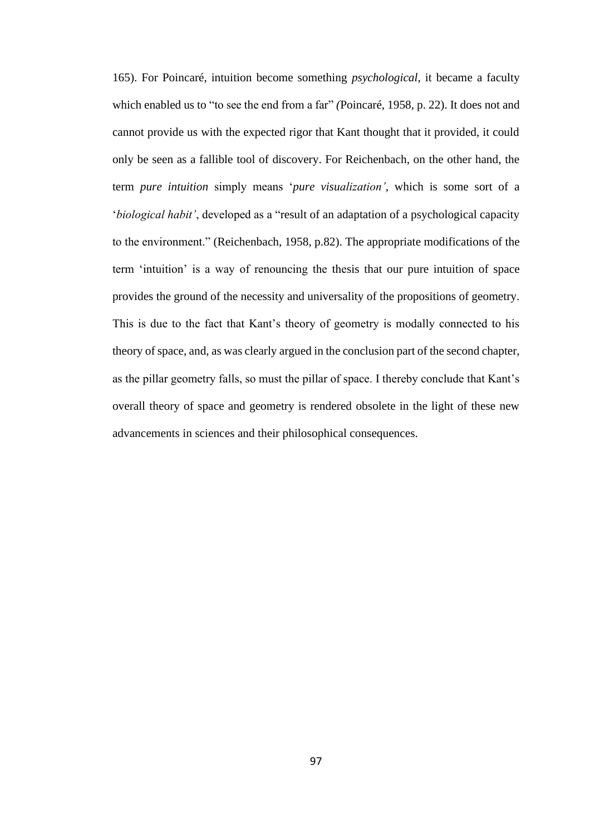165). For Poincaré, intuition become something *psychological*, it became a faculty which enabled us to "to see the end from a far" *(*Poincaré, 1958, p. 22). It does not and cannot provide us with the expected rigor that Kant thought that it provided, it could only be seen as a fallible tool of discovery. For Reichenbach, on the other hand, the term *pure intuition* simply means '*pure visualization'*, which is some sort of a '*biological habit'*, developed as a "result of an adaptation of a psychological capacity to the environment." (Reichenbach, 1958, p.82). The appropriate modifications of the term 'intuition' is a way of renouncing the thesis that our pure intuition of space provides the ground of the necessity and universality of the propositions of geometry. This is due to the fact that Kant's theory of geometry is modally connected to his theory of space, and, as was clearly argued in the conclusion part of the second chapter, as the pillar geometry falls, so must the pillar of space. I thereby conclude that Kant's overall theory of space and geometry is rendered obsolete in the light of these new advancements in sciences and their philosophical consequences.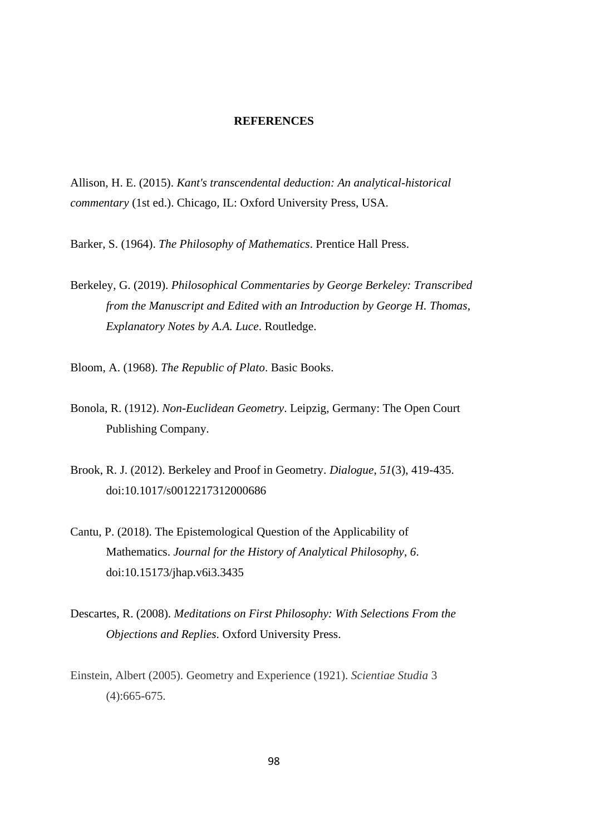### **REFERENCES**

Allison, H. E. (2015). *Kant's transcendental deduction: An analytical-historical commentary* (1st ed.). Chicago, IL: Oxford University Press, USA.

Barker, S. (1964). *The Philosophy of Mathematics*. Prentice Hall Press.

Berkeley, G. (2019). *Philosophical Commentaries by George Berkeley: Transcribed from the Manuscript and Edited with an Introduction by George H. Thomas, Explanatory Notes by A.A. Luce*. Routledge.

Bloom, A. (1968). *The Republic of Plato*. Basic Books.

- Bonola, R. (1912). *Non-Euclidean Geometry*. Leipzig, Germany: The Open Court Publishing Company.
- Brook, R. J. (2012). Berkeley and Proof in Geometry. *Dialogue*, *51*(3), 419-435. doi:10.1017/s0012217312000686
- Cantu, P. (2018). The Epistemological Question of the Applicability of Mathematics. *Journal for the History of Analytical Philosophy*, *6*. doi:10.15173/jhap.v6i3.3435
- Descartes, R. (2008). *Meditations on First Philosophy: With Selections From the Objections and Replies*. Oxford University Press.
- Einstein, Albert (2005). Geometry and Experience (1921). *Scientiae Studia* 3 (4):665-675.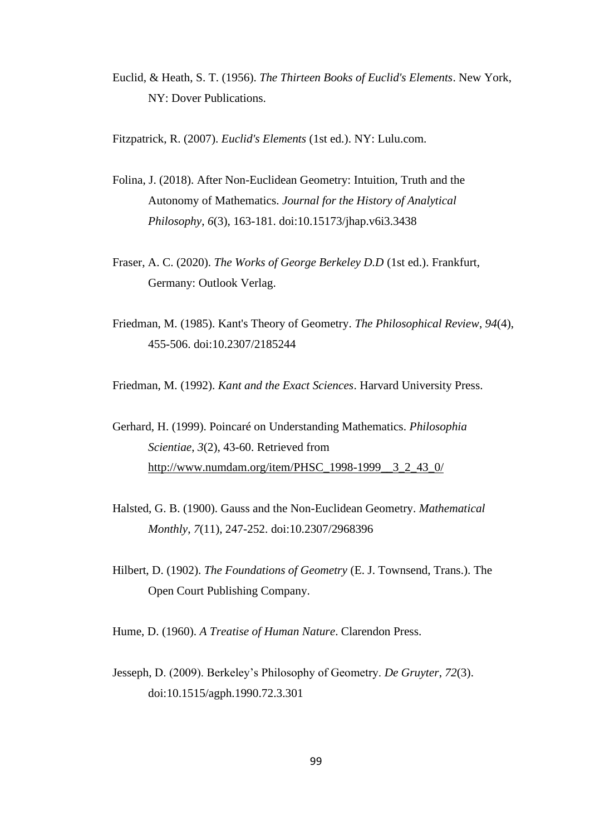Euclid, & Heath, S. T. (1956). *The Thirteen Books of Euclid's Elements*. New York, NY: Dover Publications.

Fitzpatrick, R. (2007). *Euclid's Elements* (1st ed.). NY: Lulu.com.

- Folina, J. (2018). After Non-Euclidean Geometry: Intuition, Truth and the Autonomy of Mathematics. *Journal for the History of Analytical Philosophy*, *6*(3), 163-181. doi:10.15173/jhap.v6i3.3438
- Fraser, A. C. (2020). *The Works of George Berkeley D.D* (1st ed.). Frankfurt, Germany: Outlook Verlag.
- Friedman, M. (1985). Kant's Theory of Geometry. *The Philosophical Review*, *94*(4), 455-506. doi:10.2307/2185244

Friedman, M. (1992). *Kant and the Exact Sciences*. Harvard University Press.

- Gerhard, H. (1999). Poincaré on Understanding Mathematics. *Philosophia Scientiae*, *3*(2), 43-60. Retrieved from [http://www.numdam.org/item/PHSC\\_1998-1999\\_\\_3\\_2\\_43\\_0/](http://www.numdam.org/item/PHSC_1998-1999__3_2_43_0/)
- Halsted, G. B. (1900). Gauss and the Non-Euclidean Geometry. *Mathematical Monthly*, *7*(11), 247-252. doi:10.2307/2968396
- Hilbert, D. (1902). *The Foundations of Geometry* (E. J. Townsend, Trans.). The Open Court Publishing Company.

Hume, D. (1960). *A Treatise of Human Nature*. Clarendon Press.

Jesseph, D. (2009). Berkeley's Philosophy of Geometry. *De Gruyter*, *72*(3). doi:10.1515/agph.1990.72.3.301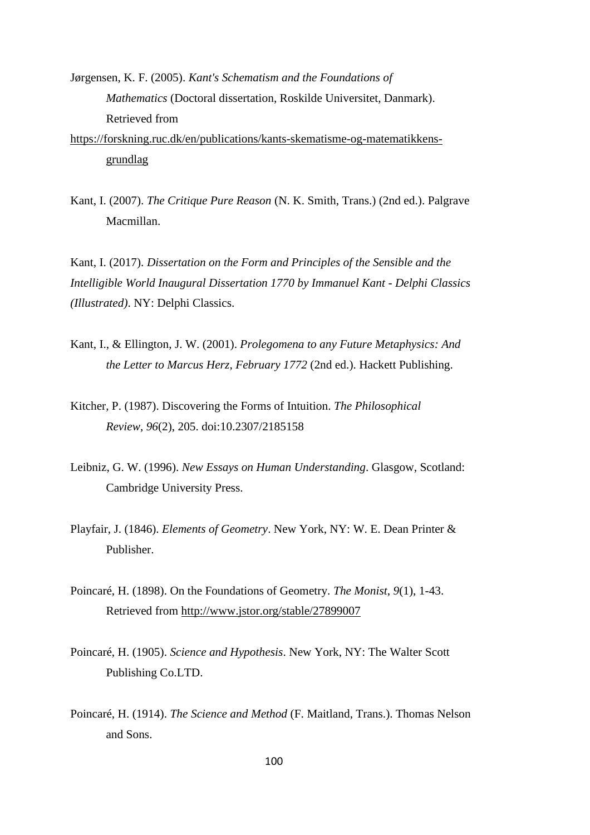Jørgensen, K. F. (2005). *Kant's Schematism and the Foundations of Mathematics* (Doctoral dissertation, Roskilde Universitet, Danmark). Retrieved from

[https://forskning.ruc.dk/en/publications/kants-skematisme-og-matematikkens](https://forskning.ruc.dk/en/publications/kants-skematisme-og-matematikkens-grundlag)[grundlag](https://forskning.ruc.dk/en/publications/kants-skematisme-og-matematikkens-grundlag)

Kant, I. (2007). *The Critique Pure Reason* (N. K. Smith, Trans.) (2nd ed.). Palgrave Macmillan.

Kant, I. (2017). *Dissertation on the Form and Principles of the Sensible and the Intelligible World Inaugural Dissertation 1770 by Immanuel Kant - Delphi Classics (Illustrated)*. NY: Delphi Classics.

- Kant, I., & Ellington, J. W. (2001). *Prolegomena to any Future Metaphysics: And the Letter to Marcus Herz, February 1772* (2nd ed.). Hackett Publishing.
- Kitcher, P. (1987). Discovering the Forms of Intuition. *The Philosophical Review*, *96*(2), 205. doi:10.2307/2185158
- Leibniz, G. W. (1996). *New Essays on Human Understanding*. Glasgow, Scotland: Cambridge University Press.
- Playfair, J. (1846). *Elements of Geometry*. New York, NY: W. E. Dean Printer & Publisher.
- Poincaré, H. (1898). On the Foundations of Geometry. *The Monist*, *9*(1), 1-43. Retrieved from<http://www.jstor.org/stable/27899007>
- Poincaré, H. (1905). *Science and Hypothesis*. New York, NY: The Walter Scott Publishing Co.LTD.
- Poincaré, H. (1914). *The Science and Method* (F. Maitland, Trans.). Thomas Nelson and Sons.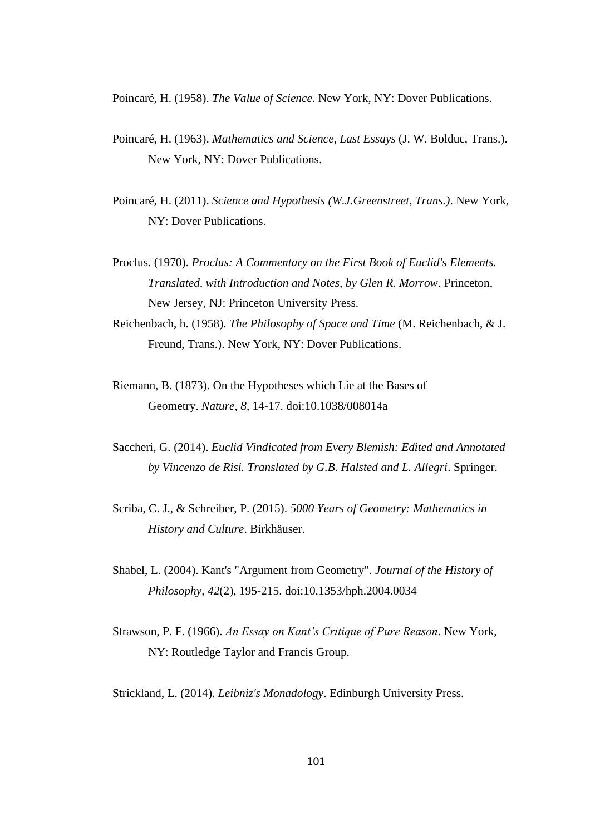Poincaré, H. (1958). *The Value of Science*. New York, NY: Dover Publications.

- Poincaré, H. (1963). *Mathematics and Science, Last Essays* (J. W. Bolduc, Trans.). New York, NY: Dover Publications.
- Poincaré, H. (2011). *Science and Hypothesis (W.J.Greenstreet, Trans.)*. New York, NY: Dover Publications.
- Proclus. (1970). *Proclus: A Commentary on the First Book of Euclid's Elements. Translated, with Introduction and Notes, by Glen R. Morrow*. Princeton, New Jersey, NJ: Princeton University Press.
- Reichenbach, h. (1958). *The Philosophy of Space and Time* (M. Reichenbach, & J. Freund, Trans.). New York, NY: Dover Publications.
- Riemann, B. (1873). On the Hypotheses which Lie at the Bases of Geometry. *Nature*, *8*, 14-17. doi:10.1038/008014a
- Saccheri, G. (2014). *Euclid Vindicated from Every Blemish: Edited and Annotated by Vincenzo de Risi. Translated by G.B. Halsted and L. Allegri*. Springer.
- Scriba, C. J., & Schreiber, P. (2015). *5000 Years of Geometry: Mathematics in History and Culture*. Birkhäuser.
- Shabel, L. (2004). Kant's "Argument from Geometry". *Journal of the History of Philosophy*, *42*(2), 195-215. doi:10.1353/hph.2004.0034
- Strawson, P. F. (1966). *An Essay on Kant's Critique of Pure Reason*. New York, NY: Routledge Taylor and Francis Group.

Strickland, L. (2014). *Leibniz's Monadology*. Edinburgh University Press.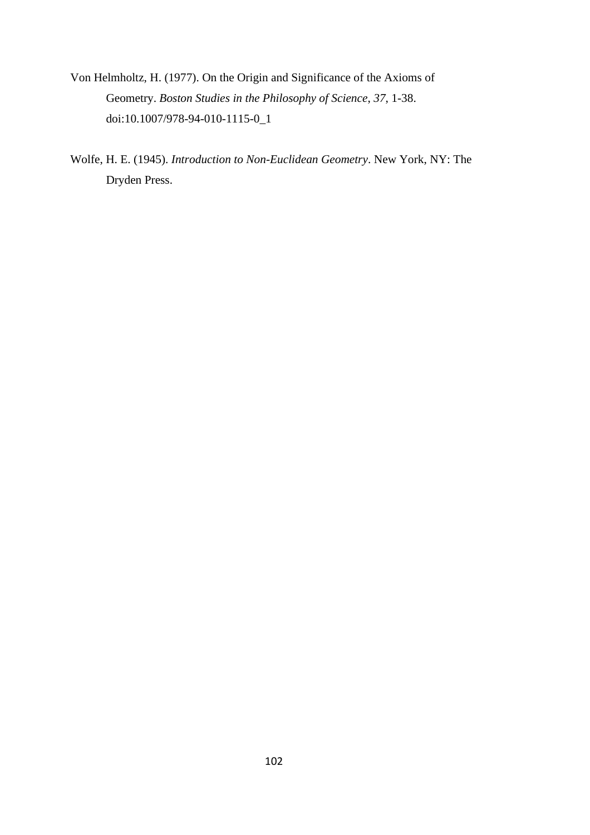- Von Helmholtz, H. (1977). On the Origin and Significance of the Axioms of Geometry. *Boston Studies in the Philosophy of Science*, *37*, 1-38. doi:10.1007/978-94-010-1115-0\_1
- Wolfe, H. E. (1945). *Introduction to Non-Euclidean Geometry*. New York, NY: The Dryden Press.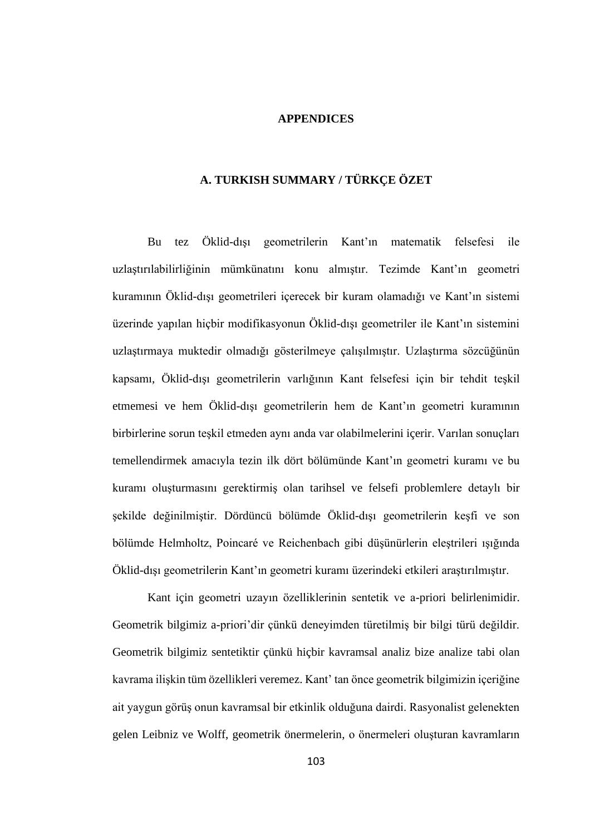## **APPENDICES**

# **A. TURKISH SUMMARY / TÜRKÇE ÖZET**

Bu tez Öklid-dışı geometrilerin Kant'ın matematik felsefesi ile uzlaştırılabilirliğinin mümkünatını konu almıştır. Tezimde Kant'ın geometri kuramının Öklid-dışı geometrileri içerecek bir kuram olamadığı ve Kant'ın sistemi üzerinde yapılan hiçbir modifikasyonun Öklid-dışı geometriler ile Kant'ın sistemini uzlaştırmaya muktedir olmadığı gösterilmeye çalışılmıştır. Uzlaştırma sözcüğünün kapsamı, Öklid-dışı geometrilerin varlığının Kant felsefesi için bir tehdit teşkil etmemesi ve hem Öklid-dışı geometrilerin hem de Kant'ın geometri kuramının birbirlerine sorun teşkil etmeden aynı anda var olabilmelerini içerir. Varılan sonuçları temellendirmek amacıyla tezin ilk dört bölümünde Kant'ın geometri kuramı ve bu kuramı oluşturmasını gerektirmiş olan tarihsel ve felsefi problemlere detaylı bir şekilde değinilmiştir. Dördüncü bölümde Öklid-dışı geometrilerin keşfi ve son bölümde Helmholtz, Poincaré ve Reichenbach gibi düşünürlerin eleştrileri ışığında Öklid-dışı geometrilerin Kant'ın geometri kuramı üzerindeki etkileri araştırılmıştır.

Kant için geometri uzayın özelliklerinin sentetik ve a-priori belirlenimidir. Geometrik bilgimiz a-priori'dir çünkü deneyimden türetilmiş bir bilgi türü değildir. Geometrik bilgimiz sentetiktir çünkü hiçbir kavramsal analiz bize analize tabi olan kavrama ilişkin tüm özellikleri veremez. Kant' tan önce geometrik bilgimizin içeriğine ait yaygun görüş onun kavramsal bir etkinlik olduğuna dairdi. Rasyonalist gelenekten gelen Leibniz ve Wolff, geometrik önermelerin, o önermeleri oluşturan kavramların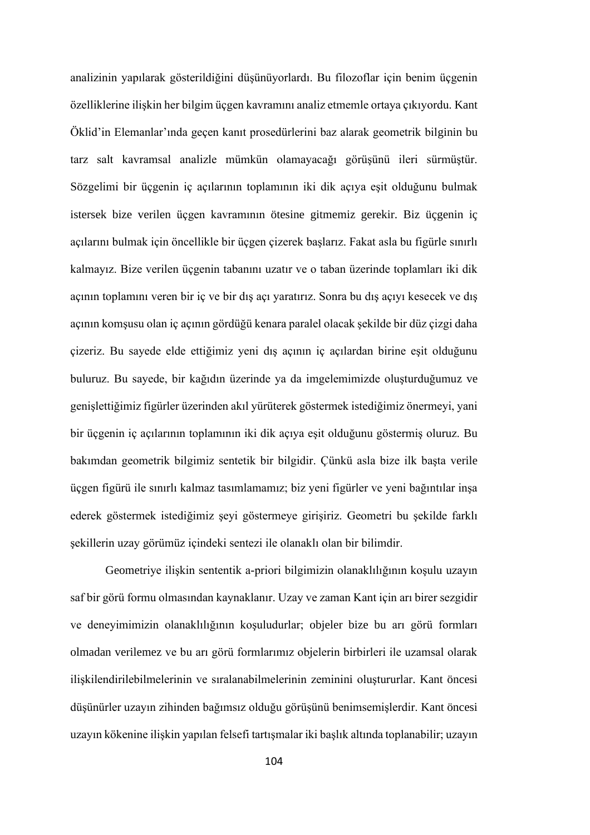analizinin yapılarak gösterildiğini düşünüyorlardı. Bu filozoflar için benim üçgenin özelliklerine ilişkin her bilgim üçgen kavramını analiz etmemle ortaya çıkıyordu. Kant Öklid'in Elemanlar'ında geçen kanıt prosedürlerini baz alarak geometrik bilginin bu tarz salt kavramsal analizle mümkün olamayacağı görüşünü ileri sürmüştür. Sözgelimi bir üçgenin iç açılarının toplamının iki dik açıya eşit olduğunu bulmak istersek bize verilen üçgen kavramının ötesine gitmemiz gerekir. Biz üçgenin iç açılarını bulmak için öncellikle bir üçgen çizerek başlarız. Fakat asla bu figürle sınırlı kalmayız. Bize verilen üçgenin tabanını uzatır ve o taban üzerinde toplamları iki dik açının toplamını veren bir iç ve bir dış açı yaratırız. Sonra bu dış açıyı kesecek ve dış açının komşusu olan iç açının gördüğü kenara paralel olacak şekilde bir düz çizgi daha çizeriz. Bu sayede elde ettiğimiz yeni dış açının iç açılardan birine eşit olduğunu buluruz. Bu sayede, bir kağıdın üzerinde ya da imgelemimizde oluşturduğumuz ve genişlettiğimiz figürler üzerinden akıl yürüterek göstermek istediğimiz önermeyi, yani bir üçgenin iç açılarının toplamının iki dik açıya eşit olduğunu göstermiş oluruz. Bu bakımdan geometrik bilgimiz sentetik bir bilgidir. Çünkü asla bize ilk başta verile üçgen figürü ile sınırlı kalmaz tasımlamamız; biz yeni figürler ve yeni bağıntılar inşa ederek göstermek istediğimiz şeyi göstermeye girişiriz. Geometri bu şekilde farklı şekillerin uzay görümüz içindeki sentezi ile olanaklı olan bir bilimdir.

Geometriye ilişkin sententik a-priori bilgimizin olanaklılığının koşulu uzayın saf bir görü formu olmasından kaynaklanır. Uzay ve zaman Kant için arı birer sezgidir ve deneyimimizin olanaklılığının koşuludurlar; objeler bize bu arı görü formları olmadan verilemez ve bu arı görü formlarımız objelerin birbirleri ile uzamsal olarak ilişkilendirilebilmelerinin ve sıralanabilmelerinin zeminini oluştururlar. Kant öncesi düşünürler uzayın zihinden bağımsız olduğu görüşünü benimsemişlerdir. Kant öncesi uzayın kökenine ilişkin yapılan felsefi tartışmalar iki başlık altında toplanabilir; uzayın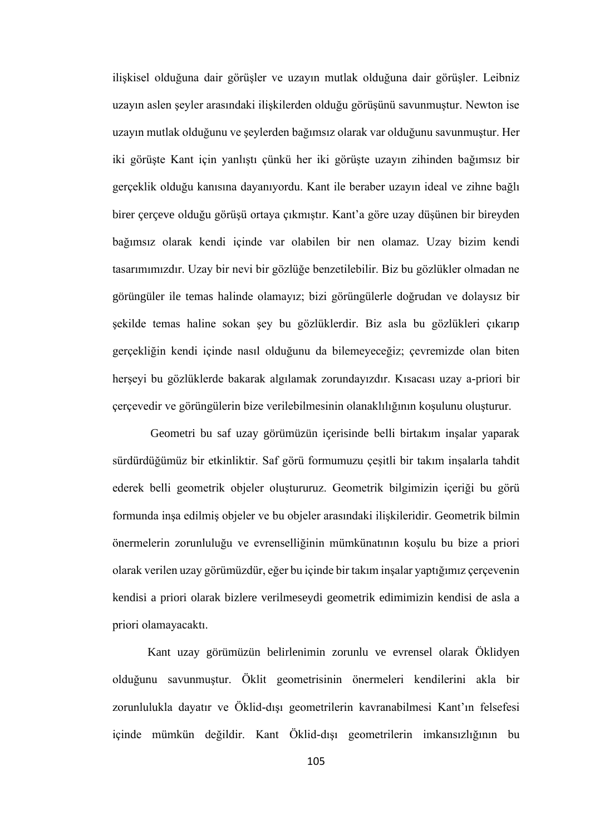ilişkisel olduğuna dair görüşler ve uzayın mutlak olduğuna dair görüşler. Leibniz uzayın aslen şeyler arasındaki ilişkilerden olduğu görüşünü savunmuştur. Newton ise uzayın mutlak olduğunu ve şeylerden bağımsız olarak var olduğunu savunmuştur. Her iki görüşte Kant için yanlıştı çünkü her iki görüşte uzayın zihinden bağımsız bir gerçeklik olduğu kanısına dayanıyordu. Kant ile beraber uzayın ideal ve zihne bağlı birer çerçeve olduğu görüşü ortaya çıkmıştır. Kant'a göre uzay düşünen bir bireyden bağımsız olarak kendi içinde var olabilen bir nen olamaz. Uzay bizim kendi tasarımımızdır. Uzay bir nevi bir gözlüğe benzetilebilir. Biz bu gözlükler olmadan ne görüngüler ile temas halinde olamayız; bizi görüngülerle doğrudan ve dolaysız bir şekilde temas haline sokan şey bu gözlüklerdir. Biz asla bu gözlükleri çıkarıp gerçekliğin kendi içinde nasıl olduğunu da bilemeyeceğiz; çevremizde olan biten herşeyi bu gözlüklerde bakarak algılamak zorundayızdır. Kısacası uzay a-priori bir çerçevedir ve görüngülerin bize verilebilmesinin olanaklılığının koşulunu oluşturur.

Geometri bu saf uzay görümüzün içerisinde belli birtakım inşalar yaparak sürdürdüğümüz bir etkinliktir. Saf görü formumuzu çeşitli bir takım inşalarla tahdit ederek belli geometrik objeler oluştururuz. Geometrik bilgimizin içeriği bu görü formunda inşa edilmiş objeler ve bu objeler arasındaki ilişkileridir. Geometrik bilmin önermelerin zorunluluğu ve evrenselliğinin mümkünatının koşulu bu bize a priori olarak verilen uzay görümüzdür, eğer bu içinde bir takım inşalar yaptığımız çerçevenin kendisi a priori olarak bizlere verilmeseydi geometrik edimimizin kendisi de asla a priori olamayacaktı.

Kant uzay görümüzün belirlenimin zorunlu ve evrensel olarak Öklidyen olduğunu savunmuştur. Öklit geometrisinin önermeleri kendilerini akla bir zorunlulukla dayatır ve Öklid-dışı geometrilerin kavranabilmesi Kant'ın felsefesi içinde mümkün değildir. Kant Öklid-dışı geometrilerin imkansızlığının bu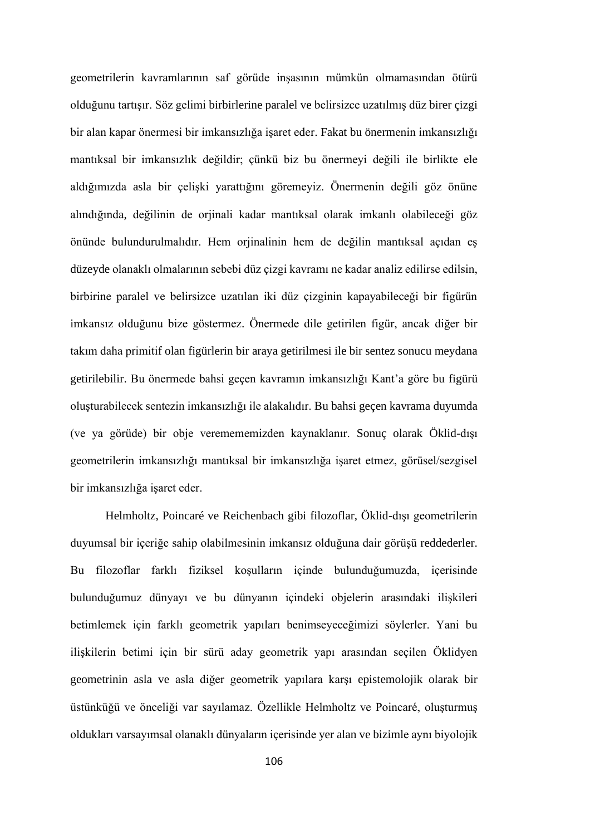geometrilerin kavramlarının saf görüde inşasının mümkün olmamasından ötürü olduğunu tartışır. Söz gelimi birbirlerine paralel ve belirsizce uzatılmış düz birer çizgi bir alan kapar önermesi bir imkansızlığa işaret eder. Fakat bu önermenin imkansızlığı mantıksal bir imkansızlık değildir; çünkü biz bu önermeyi değili ile birlikte ele aldığımızda asla bir çelişki yarattığını göremeyiz. Önermenin değili göz önüne alındığında, değilinin de orjinali kadar mantıksal olarak imkanlı olabileceği göz önünde bulundurulmalıdır. Hem orjinalinin hem de değilin mantıksal açıdan eş düzeyde olanaklı olmalarının sebebi düz çizgi kavramı ne kadar analiz edilirse edilsin, birbirine paralel ve belirsizce uzatılan iki düz çizginin kapayabileceği bir figürün imkansız olduğunu bize göstermez. Önermede dile getirilen figür, ancak diğer bir takım daha primitif olan figürlerin bir araya getirilmesi ile bir sentez sonucu meydana getirilebilir. Bu önermede bahsi geçen kavramın imkansızlığı Kant'a göre bu figürü oluşturabilecek sentezin imkansızlığı ile alakalıdır. Bu bahsi geçen kavrama duyumda (ve ya görüde) bir obje veremememizden kaynaklanır. Sonuç olarak Öklid-dışı geometrilerin imkansızlığı mantıksal bir imkansızlığa işaret etmez, görüsel/sezgisel bir imkansızlığa işaret eder.

Helmholtz, Poincaré ve Reichenbach gibi filozoflar, Öklid-dışı geometrilerin duyumsal bir içeriğe sahip olabilmesinin imkansız olduğuna dair görüşü reddederler. Bu filozoflar farklı fiziksel koşulların içinde bulunduğumuzda, içerisinde bulunduğumuz dünyayı ve bu dünyanın içindeki objelerin arasındaki ilişkileri betimlemek için farklı geometrik yapıları benimseyeceğimizi söylerler. Yani bu ilişkilerin betimi için bir sürü aday geometrik yapı arasından seçilen Öklidyen geometrinin asla ve asla diğer geometrik yapılara karşı epistemolojik olarak bir üstünküğü ve önceliği var sayılamaz. Özellikle Helmholtz ve Poincaré, oluşturmuş oldukları varsayımsal olanaklı dünyaların içerisinde yer alan ve bizimle aynı biyolojik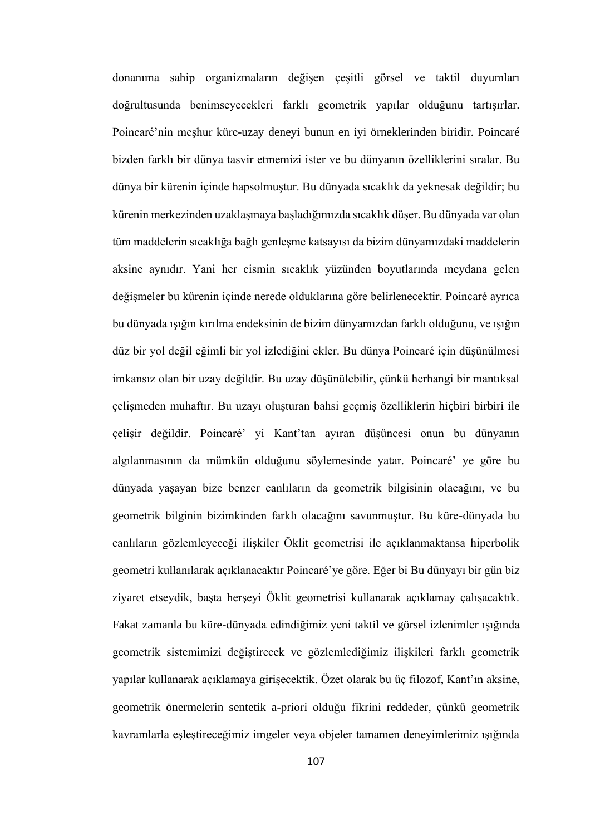donanıma sahip organizmaların değişen çeşitli görsel ve taktil duyumları doğrultusunda benimseyecekleri farklı geometrik yapılar olduğunu tartışırlar. Poincaré'nin meşhur küre-uzay deneyi bunun en iyi örneklerinden biridir. Poincaré bizden farklı bir dünya tasvir etmemizi ister ve bu dünyanın özelliklerini sıralar. Bu dünya bir kürenin içinde hapsolmuştur. Bu dünyada sıcaklık da yeknesak değildir; bu kürenin merkezinden uzaklaşmaya başladığımızda sıcaklık düşer. Bu dünyada var olan tüm maddelerin sıcaklığa bağlı genleşme katsayısı da bizim dünyamızdaki maddelerin aksine aynıdır. Yani her cismin sıcaklık yüzünden boyutlarında meydana gelen değişmeler bu kürenin içinde nerede olduklarına göre belirlenecektir. Poincaré ayrıca bu dünyada ışığın kırılma endeksinin de bizim dünyamızdan farklı olduğunu, ve ışığın düz bir yol değil eğimli bir yol izlediğini ekler. Bu dünya Poincaré için düşünülmesi imkansız olan bir uzay değildir. Bu uzay düşünülebilir, çünkü herhangi bir mantıksal çelişmeden muhaftır. Bu uzayı oluşturan bahsi geçmiş özelliklerin hiçbiri birbiri ile çelişir değildir. Poincaré' yi Kant'tan ayıran düşüncesi onun bu dünyanın algılanmasının da mümkün olduğunu söylemesinde yatar. Poincaré' ye göre bu dünyada yaşayan bize benzer canlıların da geometrik bilgisinin olacağını, ve bu geometrik bilginin bizimkinden farklı olacağını savunmuştur. Bu küre-dünyada bu canlıların gözlemleyeceği ilişkiler Öklit geometrisi ile açıklanmaktansa hiperbolik geometri kullanılarak açıklanacaktır Poincaré'ye göre. Eğer bi Bu dünyayı bir gün biz ziyaret etseydik, başta herşeyi Öklit geometrisi kullanarak açıklamay çalışacaktık. Fakat zamanla bu küre-dünyada edindiğimiz yeni taktil ve görsel izlenimler ışığında geometrik sistemimizi değiştirecek ve gözlemlediğimiz ilişkileri farklı geometrik yapılar kullanarak açıklamaya girişecektik. Özet olarak bu üç filozof, Kant'ın aksine, geometrik önermelerin sentetik a-priori olduğu fikrini reddeder, çünkü geometrik kavramlarla eşleştireceğimiz imgeler veya objeler tamamen deneyimlerimiz ışığında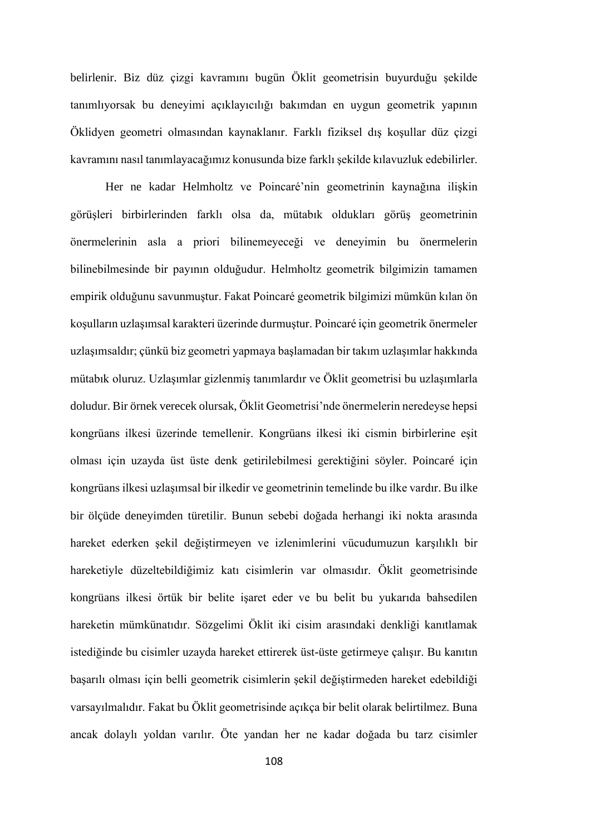belirlenir. Biz düz çizgi kavramını bugün Öklit geometrisin buyurduğu şekilde tanımlıyorsak bu deneyimi açıklayıcılığı bakımdan en uygun geometrik yapının Öklidyen geometri olmasından kaynaklanır. Farklı fiziksel dış koşullar düz çizgi kavramını nasıl tanımlayacağımız konusunda bize farklı şekilde kılavuzluk edebilirler.

Her ne kadar Helmholtz ve Poincaré'nin geometrinin kaynağına ilişkin görüşleri birbirlerinden farklı olsa da, mütabık oldukları görüş geometrinin önermelerinin asla a priori bilinemeyeceği ve deneyimin bu önermelerin bilinebilmesinde bir payının olduğudur. Helmholtz geometrik bilgimizin tamamen empirik olduğunu savunmuştur. Fakat Poincaré geometrik bilgimizi mümkün kılan ön koşulların uzlaşımsal karakteri üzerinde durmuştur. Poincaré için geometrik önermeler uzlaşımsaldır; çünkü biz geometri yapmaya başlamadan bir takım uzlaşımlar hakkında mütabık oluruz. Uzlaşımlar gizlenmiş tanımlardır ve Öklit geometrisi bu uzlaşımlarla doludur. Bir örnek verecek olursak, Öklit Geometrisi'nde önermelerin neredeyse hepsi kongrüans ilkesi üzerinde temellenir. Kongrüans ilkesi iki cismin birbirlerine eşit olması için uzayda üst üste denk getirilebilmesi gerektiğini söyler. Poincaré için kongrüans ilkesi uzlaşımsal bir ilkedir ve geometrinin temelinde bu ilke vardır. Bu ilke bir ölçüde deneyimden türetilir. Bunun sebebi doğada herhangi iki nokta arasında hareket ederken şekil değiştirmeyen ve izlenimlerini vücudumuzun karşılıklı bir hareketiyle düzeltebildiğimiz katı cisimlerin var olmasıdır. Öklit geometrisinde kongrüans ilkesi örtük bir belite işaret eder ve bu belit bu yukarıda bahsedilen hareketin mümkünatıdır. Sözgelimi Öklit iki cisim arasındaki denkliği kanıtlamak istediğinde bu cisimler uzayda hareket ettirerek üst-üste getirmeye çalışır. Bu kanıtın başarılı olması için belli geometrik cisimlerin şekil değiştirmeden hareket edebildiği varsayılmalıdır. Fakat bu Öklit geometrisinde açıkça bir belit olarak belirtilmez. Buna ancak dolaylı yoldan varılır. Öte yandan her ne kadar doğada bu tarz cisimler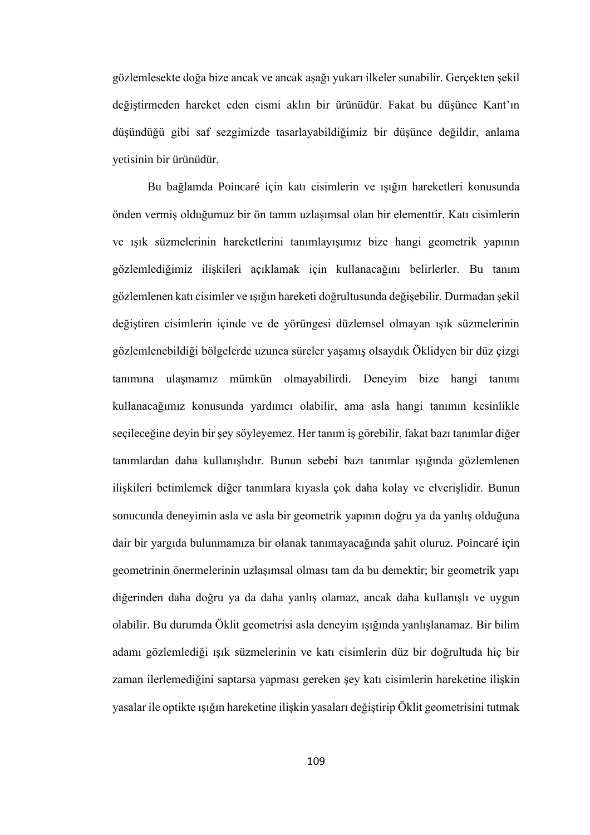gözlemlesekte doğa bize ancak ve ancak aşağı yukarı ilkeler sunabilir. Gerçekten şekil değiştirmeden hareket eden cismi aklın bir ürünüdür. Fakat bu düşünce Kant'ın düşündüğü gibi saf sezgimizde tasarlayabildiğimiz bir düşünce değildir, anlama yetisinin bir ürünüdür.

Bu bağlamda Poincaré için katı cisimlerin ve ışığın hareketleri konusunda önden vermiş olduğumuz bir ön tanım uzlaşımsal olan bir elementtir. Katı cisimlerin ve ışık süzmelerinin hareketlerini tanımlayışımız bize hangi geometrik yapının gözlemlediğimiz ilişkileri açıklamak için kullanacağını belirlerler. Bu tanım gözlemlenen katı cisimler ve ışığın hareketi doğrultusunda değişebilir. Durmadan şekil değiştiren cisimlerin içinde ve de yörüngesi düzlemsel olmayan ışık süzmelerinin gözlemlenebildiği bölgelerde uzunca süreler yaşamış olsaydık Öklidyen bir düz çizgi tanımına ulaşmamız mümkün olmayabilirdi. Deneyim bize hangi tanımı kullanacağımız konusunda yardımcı olabilir, ama asla hangi tanımın kesinlikle seçileceğine deyin bir şey söyleyemez. Her tanım iş görebilir, fakat bazı tanımlar diğer tanımlardan daha kullanışlıdır. Bunun sebebi bazı tanımlar ışığında gözlemlenen ilişkileri betimlemek diğer tanımlara kıyasla çok daha kolay ve elverişlidir. Bunun sonucunda deneyimin asla ve asla bir geometrik yapının doğru ya da yanlış olduğuna dair bir yargıda bulunmamıza bir olanak tanımayacağında şahit oluruz. Poincaré için geometrinin önermelerinin uzlaşımsal olması tam da bu demektir; bir geometrik yapı diğerinden daha doğru ya da daha yanlış olamaz, ancak daha kullanışlı ve uygun olabilir. Bu durumda Öklit geometrisi asla deneyim ışığında yanlışlanamaz. Bir bilim adamı gözlemlediği ışık süzmelerinin ve katı cisimlerin düz bir doğrultuda hiç bir zaman ilerlemediğini saptarsa yapması gereken şey katı cisimlerin hareketine ilişkin yasalar ile optikte ışığın hareketine ilişkin yasaları değiştirip Öklit geometrisini tutmak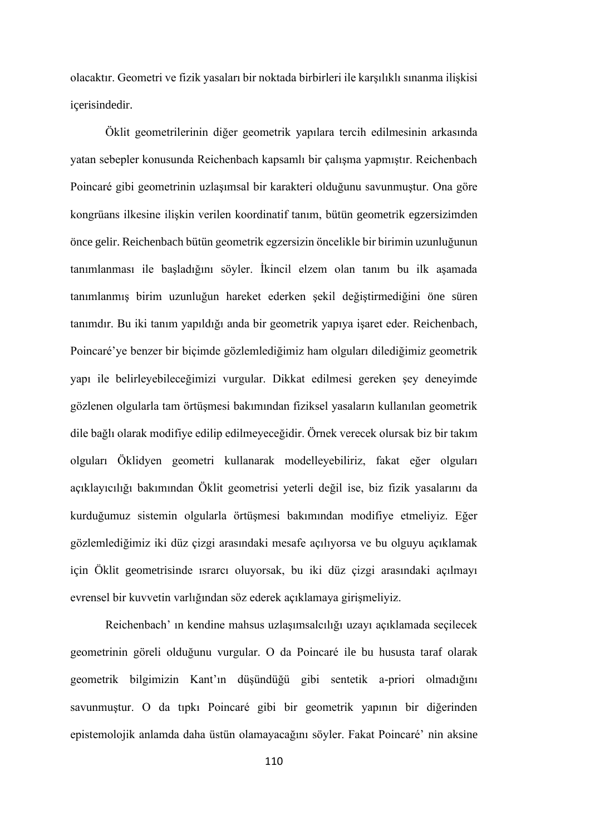olacaktır. Geometri ve fizik yasaları bir noktada birbirleri ile karşılıklı sınanma ilişkisi içerisindedir.

Öklit geometrilerinin diğer geometrik yapılara tercih edilmesinin arkasında yatan sebepler konusunda Reichenbach kapsamlı bir çalışma yapmıştır. Reichenbach Poincaré gibi geometrinin uzlaşımsal bir karakteri olduğunu savunmuştur. Ona göre kongrüans ilkesine ilişkin verilen koordinatif tanım, bütün geometrik egzersizimden önce gelir. Reichenbach bütün geometrik egzersizin öncelikle bir birimin uzunluğunun tanımlanması ile başladığını söyler. İkincil elzem olan tanım bu ilk aşamada tanımlanmış birim uzunluğun hareket ederken şekil değiştirmediğini öne süren tanımdır. Bu iki tanım yapıldığı anda bir geometrik yapıya işaret eder. Reichenbach, Poincaré'ye benzer bir biçimde gözlemlediğimiz ham olguları dilediğimiz geometrik yapı ile belirleyebileceğimizi vurgular. Dikkat edilmesi gereken şey deneyimde gözlenen olgularla tam örtüşmesi bakımından fiziksel yasaların kullanılan geometrik dile bağlı olarak modifiye edilip edilmeyeceğidir. Örnek verecek olursak biz bir takım olguları Öklidyen geometri kullanarak modelleyebiliriz, fakat eğer olguları açıklayıcılığı bakımından Öklit geometrisi yeterli değil ise, biz fizik yasalarını da kurduğumuz sistemin olgularla örtüşmesi bakımından modifiye etmeliyiz. Eğer gözlemlediğimiz iki düz çizgi arasındaki mesafe açılıyorsa ve bu olguyu açıklamak için Öklit geometrisinde ısrarcı oluyorsak, bu iki düz çizgi arasındaki açılmayı evrensel bir kuvvetin varlığından söz ederek açıklamaya girişmeliyiz.

Reichenbach' ın kendine mahsus uzlaşımsalcılığı uzayı açıklamada seçilecek geometrinin göreli olduğunu vurgular. O da Poincaré ile bu hususta taraf olarak geometrik bilgimizin Kant'ın düşündüğü gibi sentetik a-priori olmadığını savunmuştur. O da tıpkı Poincaré gibi bir geometrik yapının bir diğerinden epistemolojik anlamda daha üstün olamayacağını söyler. Fakat Poincaré' nin aksine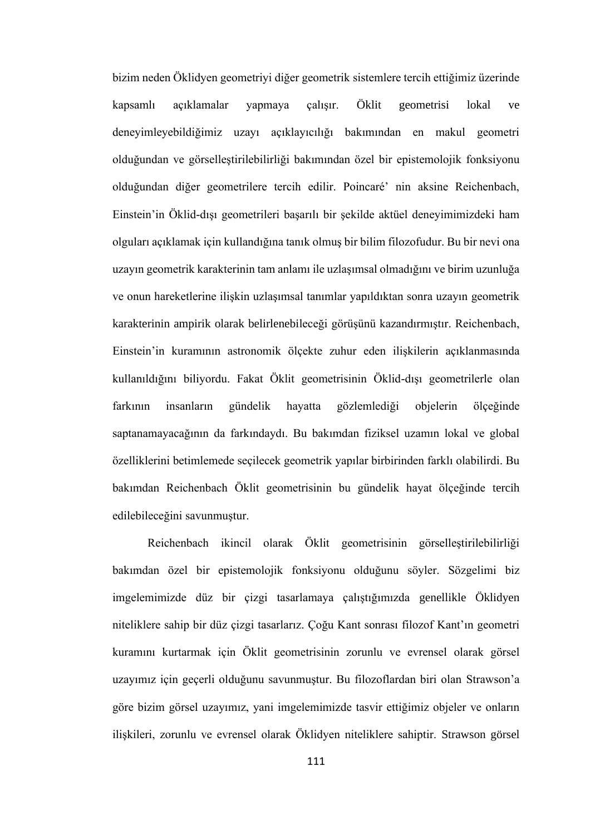bizim neden Öklidyen geometriyi diğer geometrik sistemlere tercih ettiğimiz üzerinde kapsamlı açıklamalar yapmaya çalışır. Öklit geometrisi lokal ve deneyimleyebildiğimiz uzayı açıklayıcılığı bakımından en makul geometri olduğundan ve görselleştirilebilirliği bakımından özel bir epistemolojik fonksiyonu olduğundan diğer geometrilere tercih edilir. Poincaré' nin aksine Reichenbach, Einstein'in Öklid-dışı geometrileri başarılı bir şekilde aktüel deneyimimizdeki ham olguları açıklamak için kullandığına tanık olmuş bir bilim filozofudur. Bu bir nevi ona uzayın geometrik karakterinin tam anlamı ile uzlaşımsal olmadığını ve birim uzunluğa ve onun hareketlerine ilişkin uzlaşımsal tanımlar yapıldıktan sonra uzayın geometrik karakterinin ampirik olarak belirlenebileceği görüşünü kazandırmıştır. Reichenbach, Einstein'in kuramının astronomik ölçekte zuhur eden ilişkilerin açıklanmasında kullanıldığını biliyordu. Fakat Öklit geometrisinin Öklid-dışı geometrilerle olan farkının insanların gündelik hayatta gözlemlediği objelerin ölçeğinde saptanamayacağının da farkındaydı. Bu bakımdan fiziksel uzamın lokal ve global özelliklerini betimlemede seçilecek geometrik yapılar birbirinden farklı olabilirdi. Bu bakımdan Reichenbach Öklit geometrisinin bu gündelik hayat ölçeğinde tercih edilebileceğini savunmuştur.

Reichenbach ikincil olarak Öklit geometrisinin görselleştirilebilirliği bakımdan özel bir epistemolojik fonksiyonu olduğunu söyler. Sözgelimi biz imgelemimizde düz bir çizgi tasarlamaya çalıştığımızda genellikle Öklidyen niteliklere sahip bir düz çizgi tasarlarız. Çoğu Kant sonrası filozof Kant'ın geometri kuramını kurtarmak için Öklit geometrisinin zorunlu ve evrensel olarak görsel uzayımız için geçerli olduğunu savunmuştur. Bu filozoflardan biri olan Strawson'a göre bizim görsel uzayımız, yani imgelemimizde tasvir ettiğimiz objeler ve onların ilişkileri, zorunlu ve evrensel olarak Öklidyen niteliklere sahiptir. Strawson görsel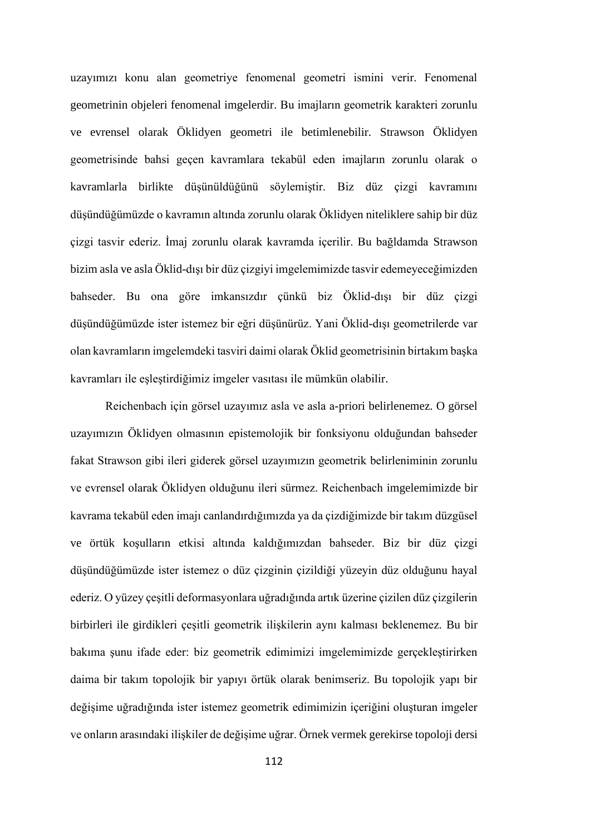uzayımızı konu alan geometriye fenomenal geometri ismini verir. Fenomenal geometrinin objeleri fenomenal imgelerdir. Bu imajların geometrik karakteri zorunlu ve evrensel olarak Öklidyen geometri ile betimlenebilir. Strawson Öklidyen geometrisinde bahsi geçen kavramlara tekabül eden imajların zorunlu olarak o kavramlarla birlikte düşünüldüğünü söylemiştir. Biz düz çizgi kavramını düşündüğümüzde o kavramın altında zorunlu olarak Öklidyen niteliklere sahip bir düz çizgi tasvir ederiz. İmaj zorunlu olarak kavramda içerilir. Bu bağldamda Strawson bizim asla ve asla Öklid-dışı bir düz çizgiyi imgelemimizde tasvir edemeyeceğimizden bahseder. Bu ona göre imkansızdır çünkü biz Öklid-dışı bir düz çizgi düşündüğümüzde ister istemez bir eğri düşünürüz. Yani Öklid-dışı geometrilerde var olan kavramların imgelemdeki tasviri daimi olarak Öklid geometrisinin birtakım başka kavramları ile eşleştirdiğimiz imgeler vasıtası ile mümkün olabilir.

Reichenbach için görsel uzayımız asla ve asla a-priori belirlenemez. O görsel uzayımızın Öklidyen olmasının epistemolojik bir fonksiyonu olduğundan bahseder fakat Strawson gibi ileri giderek görsel uzayımızın geometrik belirleniminin zorunlu ve evrensel olarak Öklidyen olduğunu ileri sürmez. Reichenbach imgelemimizde bir kavrama tekabül eden imajı canlandırdığımızda ya da çizdiğimizde bir takım düzgüsel ve örtük koşulların etkisi altında kaldığımızdan bahseder. Biz bir düz çizgi düşündüğümüzde ister istemez o düz çizginin çizildiği yüzeyin düz olduğunu hayal ederiz. O yüzey çeşitli deformasyonlara uğradığında artık üzerine çizilen düz çizgilerin birbirleri ile girdikleri çeşitli geometrik ilişkilerin aynı kalması beklenemez. Bu bir bakıma şunu ifade eder: biz geometrik edimimizi imgelemimizde gerçekleştirirken daima bir takım topolojik bir yapıyı örtük olarak benimseriz. Bu topolojik yapı bir değişime uğradığında ister istemez geometrik edimimizin içeriğini oluşturan imgeler ve onların arasındaki ilişkiler de değişime uğrar. Örnek vermek gerekirse topoloji dersi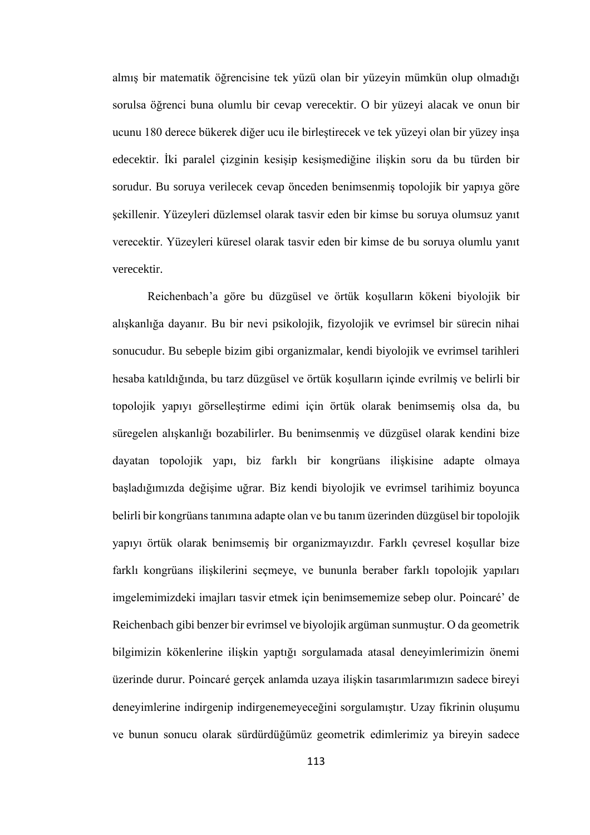almış bir matematik öğrencisine tek yüzü olan bir yüzeyin mümkün olup olmadığı sorulsa öğrenci buna olumlu bir cevap verecektir. O bir yüzeyi alacak ve onun bir ucunu 180 derece bükerek diğer ucu ile birleştirecek ve tek yüzeyi olan bir yüzey inşa edecektir. İki paralel çizginin kesişip kesişmediğine ilişkin soru da bu türden bir sorudur. Bu soruya verilecek cevap önceden benimsenmiş topolojik bir yapıya göre şekillenir. Yüzeyleri düzlemsel olarak tasvir eden bir kimse bu soruya olumsuz yanıt verecektir. Yüzeyleri küresel olarak tasvir eden bir kimse de bu soruya olumlu yanıt verecektir.

Reichenbach'a göre bu düzgüsel ve örtük koşulların kökeni biyolojik bir alışkanlığa dayanır. Bu bir nevi psikolojik, fizyolojik ve evrimsel bir sürecin nihai sonucudur. Bu sebeple bizim gibi organizmalar, kendi biyolojik ve evrimsel tarihleri hesaba katıldığında, bu tarz düzgüsel ve örtük koşulların içinde evrilmiş ve belirli bir topolojik yapıyı görselleştirme edimi için örtük olarak benimsemiş olsa da, bu süregelen alışkanlığı bozabilirler. Bu benimsenmiş ve düzgüsel olarak kendini bize dayatan topolojik yapı, biz farklı bir kongrüans ilişkisine adapte olmaya başladığımızda değişime uğrar. Biz kendi biyolojik ve evrimsel tarihimiz boyunca belirli bir kongrüans tanımına adapte olan ve bu tanım üzerinden düzgüsel bir topolojik yapıyı örtük olarak benimsemiş bir organizmayızdır. Farklı çevresel koşullar bize farklı kongrüans ilişkilerini seçmeye, ve bununla beraber farklı topolojik yapıları imgelemimizdeki imajları tasvir etmek için benimsememize sebep olur. Poincaré' de Reichenbach gibi benzer bir evrimsel ve biyolojik argüman sunmuştur. O da geometrik bilgimizin kökenlerine ilişkin yaptığı sorgulamada atasal deneyimlerimizin önemi üzerinde durur. Poincaré gerçek anlamda uzaya ilişkin tasarımlarımızın sadece bireyi deneyimlerine indirgenip indirgenemeyeceğini sorgulamıştır. Uzay fikrinin oluşumu ve bunun sonucu olarak sürdürdüğümüz geometrik edimlerimiz ya bireyin sadece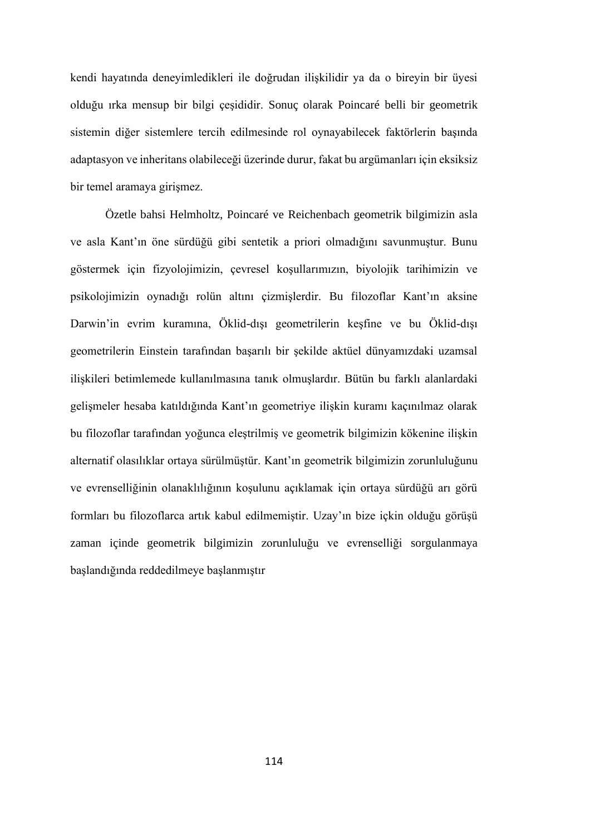kendi hayatında deneyimledikleri ile doğrudan ilişkilidir ya da o bireyin bir üyesi olduğu ırka mensup bir bilgi çeşididir. Sonuç olarak Poincaré belli bir geometrik sistemin diğer sistemlere tercih edilmesinde rol oynayabilecek faktörlerin başında adaptasyon ve inheritans olabileceği üzerinde durur, fakat bu argümanları için eksiksiz bir temel aramaya girişmez.

Özetle bahsi Helmholtz, Poincaré ve Reichenbach geometrik bilgimizin asla ve asla Kant'ın öne sürdüğü gibi sentetik a priori olmadığını savunmuştur. Bunu göstermek için fizyolojimizin, çevresel koşullarımızın, biyolojik tarihimizin ve psikolojimizin oynadığı rolün altını çizmişlerdir. Bu filozoflar Kant'ın aksine Darwin'in evrim kuramına, Öklid-dışı geometrilerin keşfine ve bu Öklid-dışı geometrilerin Einstein tarafından başarılı bir şekilde aktüel dünyamızdaki uzamsal ilişkileri betimlemede kullanılmasına tanık olmuşlardır. Bütün bu farklı alanlardaki gelişmeler hesaba katıldığında Kant'ın geometriye ilişkin kuramı kaçınılmaz olarak bu filozoflar tarafından yoğunca eleştrilmiş ve geometrik bilgimizin kökenine ilişkin alternatif olasılıklar ortaya sürülmüştür. Kant'ın geometrik bilgimizin zorunluluğunu ve evrenselliğinin olanaklılığının koşulunu açıklamak için ortaya sürdüğü arı görü formları bu filozoflarca artık kabul edilmemiştir. Uzay'ın bize içkin olduğu görüşü zaman içinde geometrik bilgimizin zorunluluğu ve evrenselliği sorgulanmaya başlandığında reddedilmeye başlanmıştır